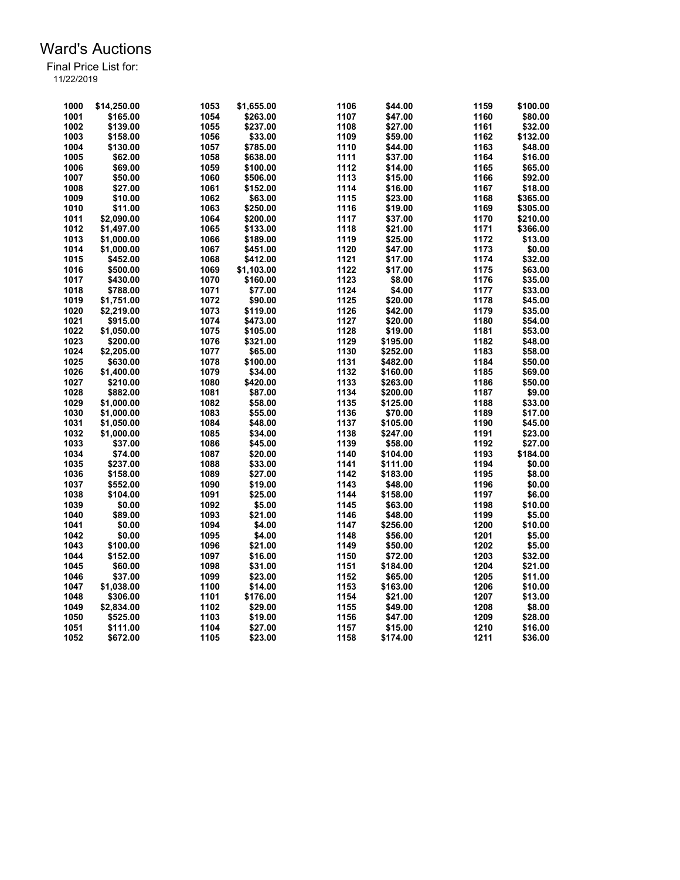| 1000 | \$14,250.00 | 1053 | \$1,655.00 | 1106 | \$44.00  | 1159 | \$100.00 |
|------|-------------|------|------------|------|----------|------|----------|
| 1001 | \$165.00    | 1054 | \$263.00   | 1107 | \$47.00  | 1160 | \$80.00  |
| 1002 | \$139.00    | 1055 | \$237.00   | 1108 | \$27.00  | 1161 | \$32.00  |
| 1003 | \$158.00    | 1056 | \$33.00    | 1109 | \$59.00  | 1162 | \$132.00 |
| 1004 | \$130.00    | 1057 | \$785.00   | 1110 | \$44.00  | 1163 | \$48.00  |
| 1005 | \$62.00     | 1058 | \$638.00   | 1111 | \$37.00  | 1164 | \$16.00  |
| 1006 | \$69.00     | 1059 | \$100.00   | 1112 | \$14.00  | 1165 | \$65.00  |
| 1007 | \$50.00     | 1060 | \$506.00   | 1113 | \$15.00  | 1166 | \$92.00  |
| 1008 | \$27.00     | 1061 | \$152.00   | 1114 | \$16.00  | 1167 |          |
|      |             |      |            |      |          |      | \$18.00  |
| 1009 | \$10.00     | 1062 | \$63.00    | 1115 | \$23.00  | 1168 | \$365.00 |
| 1010 | \$11.00     | 1063 | \$250.00   | 1116 | \$19.00  | 1169 | \$305.00 |
| 1011 | \$2.090.00  | 1064 | \$200.00   | 1117 | \$37.00  | 1170 | \$210.00 |
| 1012 | \$1,497.00  | 1065 | \$133.00   | 1118 | \$21.00  | 1171 | \$366.00 |
| 1013 | \$1,000.00  | 1066 | \$189.00   | 1119 | \$25.00  | 1172 | \$13.00  |
| 1014 | \$1,000.00  | 1067 | \$451.00   | 1120 | \$47.00  | 1173 | \$0.00   |
| 1015 | \$452.00    | 1068 | \$412.00   | 1121 | \$17.00  | 1174 | \$32.00  |
| 1016 | \$500.00    | 1069 | \$1,103.00 | 1122 | \$17.00  | 1175 | \$63.00  |
| 1017 | \$430.00    | 1070 | \$160.00   | 1123 | \$8.00   | 1176 | \$35.00  |
| 1018 | \$788.00    | 1071 | \$77.00    | 1124 | \$4.00   | 1177 | \$33.00  |
| 1019 | \$1,751.00  | 1072 | \$90.00    | 1125 | \$20.00  | 1178 | \$45.00  |
| 1020 | \$2,219.00  | 1073 | \$119.00   | 1126 | \$42.00  | 1179 | \$35.00  |
| 1021 | \$915.00    | 1074 | \$473.00   | 1127 | \$20.00  | 1180 | \$54.00  |
| 1022 | \$1,050.00  | 1075 | \$105.00   | 1128 | \$19.00  | 1181 | \$53.00  |
| 1023 | \$200.00    | 1076 | \$321.00   | 1129 | \$195.00 | 1182 | \$48.00  |
| 1024 | \$2,205.00  | 1077 | \$65.00    | 1130 | \$252.00 | 1183 | \$58.00  |
| 1025 | \$630.00    | 1078 | \$100.00   | 1131 | \$482.00 | 1184 | \$50.00  |
| 1026 | \$1,400.00  | 1079 | \$34.00    | 1132 | \$160.00 | 1185 | \$69.00  |
| 1027 | \$210.00    | 1080 | \$420.00   | 1133 | \$263.00 | 1186 | \$50.00  |
| 1028 | \$882.00    | 1081 | \$87.00    | 1134 | \$200.00 | 1187 | \$9.00   |
| 1029 | \$1,000.00  | 1082 | \$58.00    | 1135 | \$125.00 | 1188 | \$33.00  |
| 1030 | \$1,000.00  | 1083 | \$55.00    | 1136 | \$70.00  | 1189 | \$17.00  |
| 1031 | \$1,050.00  | 1084 | \$48.00    | 1137 | \$105.00 | 1190 | \$45.00  |
| 1032 |             | 1085 |            | 1138 | \$247.00 | 1191 | \$23.00  |
|      | \$1,000.00  |      | \$34.00    |      |          |      |          |
| 1033 | \$37.00     | 1086 | \$45.00    | 1139 | \$58.00  | 1192 | \$27.00  |
| 1034 | \$74.00     | 1087 | \$20.00    | 1140 | \$104.00 | 1193 | \$184.00 |
| 1035 | \$237.00    | 1088 | \$33.00    | 1141 | \$111.00 | 1194 | \$0.00   |
| 1036 | \$158.00    | 1089 | \$27.00    | 1142 | \$183.00 | 1195 | \$8.00   |
| 1037 | \$552.00    | 1090 | \$19.00    | 1143 | \$48.00  | 1196 | \$0.00   |
| 1038 | \$104.00    | 1091 | \$25.00    | 1144 | \$158.00 | 1197 | \$6.00   |
| 1039 | \$0.00      | 1092 | \$5.00     | 1145 | \$63.00  | 1198 | \$10.00  |
| 1040 | \$89.00     | 1093 | \$21.00    | 1146 | \$48.00  | 1199 | \$5.00   |
| 1041 | \$0.00      | 1094 | \$4.00     | 1147 | \$256.00 | 1200 | \$10.00  |
| 1042 | \$0.00      | 1095 | \$4.00     | 1148 | \$56.00  | 1201 | \$5.00   |
| 1043 | \$100.00    | 1096 | \$21.00    | 1149 | \$50.00  | 1202 | \$5.00   |
| 1044 | \$152.00    | 1097 | \$16.00    | 1150 | \$72.00  | 1203 | \$32.00  |
| 1045 | \$60.00     | 1098 | \$31.00    | 1151 | \$184.00 | 1204 | \$21.00  |
| 1046 | \$37.00     | 1099 | \$23.00    | 1152 | \$65.00  | 1205 | \$11.00  |
| 1047 | \$1,038.00  | 1100 | \$14.00    | 1153 | \$163.00 | 1206 | \$10.00  |
| 1048 | \$306.00    | 1101 | \$176.00   | 1154 | \$21.00  | 1207 | \$13.00  |
| 1049 | \$2,834.00  | 1102 | \$29.00    | 1155 | \$49.00  | 1208 | \$8.00   |
| 1050 | \$525.00    | 1103 | \$19.00    | 1156 | \$47.00  | 1209 | \$28.00  |
| 1051 | \$111.00    | 1104 | \$27.00    | 1157 | \$15.00  | 1210 | \$16.00  |
| 1052 | \$672.00    | 1105 | \$23.00    | 1158 | \$174.00 | 1211 | \$36.00  |
|      |             |      |            |      |          |      |          |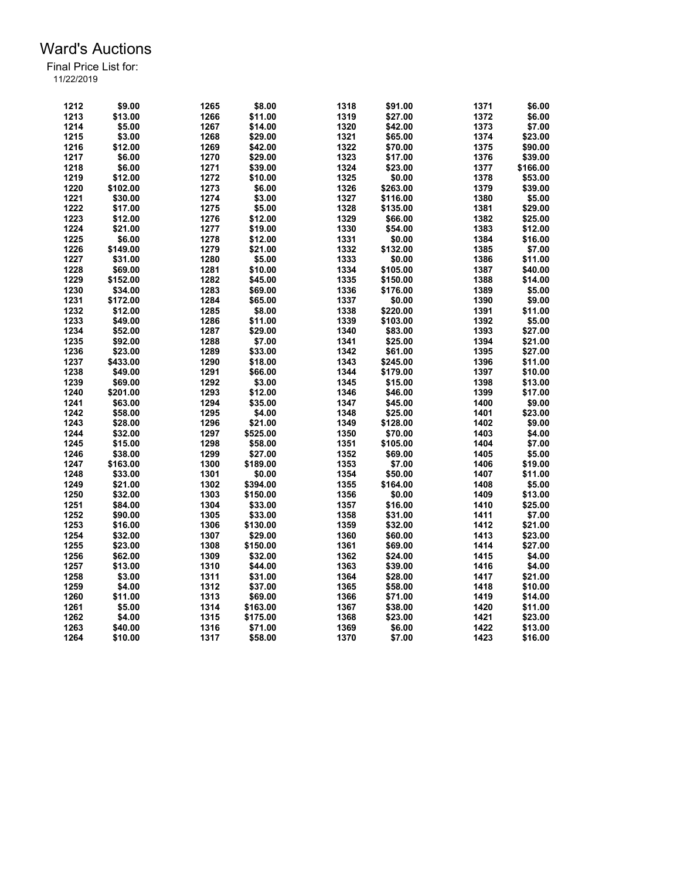| 1212 | \$9.00   | 1265         | \$8.00   | 1318 | \$91.00            | 1371 | \$6.00   |
|------|----------|--------------|----------|------|--------------------|------|----------|
| 1213 | \$13.00  | 1266         | \$11.00  | 1319 | \$27.00            | 1372 | \$6.00   |
| 1214 | \$5.00   | 1267         | \$14.00  | 1320 | \$42.00            | 1373 | \$7.00   |
| 1215 | \$3.00   | 1268         | \$29.00  | 1321 | \$65.00            | 1374 | \$23.00  |
| 1216 | \$12.00  | 1269         | \$42.00  | 1322 | \$70.00            | 1375 | \$90.00  |
| 1217 | \$6.00   | 1270         | \$29.00  | 1323 | \$17.00            | 1376 | \$39.00  |
| 1218 | \$6.00   | 1271         | \$39.00  | 1324 | \$23.00            | 1377 | \$166.00 |
| 1219 | \$12.00  | 1272         | \$10.00  | 1325 | \$0.00             | 1378 | \$53.00  |
| 1220 | \$102.00 | 1273         | \$6.00   | 1326 | \$263.00           | 1379 | \$39.00  |
| 1221 | \$30.00  | 1274         | \$3.00   | 1327 | \$116.00           | 1380 | \$5.00   |
| 1222 | \$17.00  | 1275         | \$5.00   | 1328 | \$135.00           | 1381 | \$29.00  |
| 1223 | \$12.00  | 1276         | \$12.00  | 1329 | \$66.00            | 1382 | \$25.00  |
| 1224 | \$21.00  | 1277         | \$19.00  | 1330 | \$54.00            | 1383 | \$12.00  |
| 1225 | \$6.00   | 1278         | \$12.00  | 1331 | \$0.00             | 1384 | \$16.00  |
| 1226 | \$149.00 | 1279         | \$21.00  | 1332 | \$132.00           | 1385 | \$7.00   |
| 1227 | \$31.00  | 1280         | \$5.00   | 1333 | \$0.00             | 1386 | \$11.00  |
| 1228 | \$69.00  | 1281         | \$10.00  | 1334 | \$105.00           | 1387 | \$40.00  |
| 1229 | \$152.00 | 1282         | \$45.00  | 1335 | \$150.00           | 1388 | \$14.00  |
| 1230 | \$34.00  | 1283         | \$69.00  | 1336 | \$176.00           | 1389 | \$5.00   |
| 1231 | \$172.00 | 1284         | \$65.00  | 1337 | \$0.00             | 1390 | \$9.00   |
| 1232 | \$12.00  | 1285         | \$8.00   | 1338 | \$220.00           | 1391 | \$11.00  |
| 1233 | \$49.00  | 1286         | \$11.00  | 1339 | \$103.00           | 1392 | \$5.00   |
| 1234 | \$52.00  | 1287         | \$29.00  | 1340 |                    | 1393 | \$27.00  |
| 1235 | \$92.00  | 1288         | \$7.00   |      | \$83.00<br>\$25.00 | 1394 | \$21.00  |
|      |          |              |          | 1341 |                    |      |          |
| 1236 | \$23.00  | 1289<br>1290 | \$33.00  | 1342 | \$61.00            | 1395 | \$27.00  |
| 1237 | \$433.00 |              | \$18.00  | 1343 | \$245.00           | 1396 | \$11.00  |
| 1238 | \$49.00  | 1291         | \$66.00  | 1344 | \$179.00           | 1397 | \$10.00  |
| 1239 | \$69.00  | 1292         | \$3.00   | 1345 | \$15.00            | 1398 | \$13.00  |
| 1240 | \$201.00 | 1293         | \$12.00  | 1346 | \$46.00            | 1399 | \$17.00  |
| 1241 | \$63.00  | 1294         | \$35.00  | 1347 | \$45.00            | 1400 | \$9.00   |
| 1242 | \$58.00  | 1295         | \$4.00   | 1348 | \$25.00            | 1401 | \$23.00  |
| 1243 | \$28.00  | 1296         | \$21.00  | 1349 | \$128.00           | 1402 | \$9.00   |
| 1244 | \$32.00  | 1297         | \$525.00 | 1350 | \$70.00            | 1403 | \$4.00   |
| 1245 | \$15.00  | 1298         | \$58.00  | 1351 | \$105.00           | 1404 | \$7.00   |
| 1246 | \$38.00  | 1299         | \$27.00  | 1352 | \$69.00            | 1405 | \$5.00   |
| 1247 | \$163.00 | 1300         | \$189.00 | 1353 | \$7.00             | 1406 | \$19.00  |
| 1248 | \$33.00  | 1301         | \$0.00   | 1354 | \$50.00            | 1407 | \$11.00  |
| 1249 | \$21.00  | 1302         | \$394.00 | 1355 | \$164.00           | 1408 | \$5.00   |
| 1250 | \$32.00  | 1303         | \$150.00 | 1356 | \$0.00             | 1409 | \$13.00  |
| 1251 | \$84.00  | 1304         | \$33.00  | 1357 | \$16.00            | 1410 | \$25.00  |
| 1252 | \$90.00  | 1305         | \$33.00  | 1358 | \$31.00            | 1411 | \$7.00   |
| 1253 | \$16.00  | 1306         | \$130.00 | 1359 | \$32.00            | 1412 | \$21.00  |
| 1254 | \$32.00  | 1307         | \$29.00  | 1360 | \$60.00            | 1413 | \$23.00  |
| 1255 | \$23.00  | 1308         | \$150.00 | 1361 | \$69.00            | 1414 | \$27.00  |
| 1256 | \$62.00  | 1309         | \$32.00  | 1362 | \$24.00            | 1415 | \$4.00   |
| 1257 | \$13.00  | 1310         | \$44.00  | 1363 | \$39.00            | 1416 | \$4.00   |
| 1258 | \$3.00   | 1311         | \$31.00  | 1364 | \$28.00            | 1417 | \$21.00  |
| 1259 | \$4.00   | 1312         | \$37.00  | 1365 | \$58.00            | 1418 | \$10.00  |
| 1260 | \$11.00  | 1313         | \$69.00  | 1366 | \$71.00            | 1419 | \$14.00  |
| 1261 | \$5.00   | 1314         | \$163.00 | 1367 | \$38.00            | 1420 | \$11.00  |
| 1262 | \$4.00   | 1315         | \$175.00 | 1368 | \$23.00            | 1421 | \$23.00  |
| 1263 | \$40.00  | 1316         | \$71.00  | 1369 | \$6.00             | 1422 | \$13.00  |
| 1264 | \$10.00  | 1317         | \$58.00  | 1370 | \$7.00             | 1423 | \$16.00  |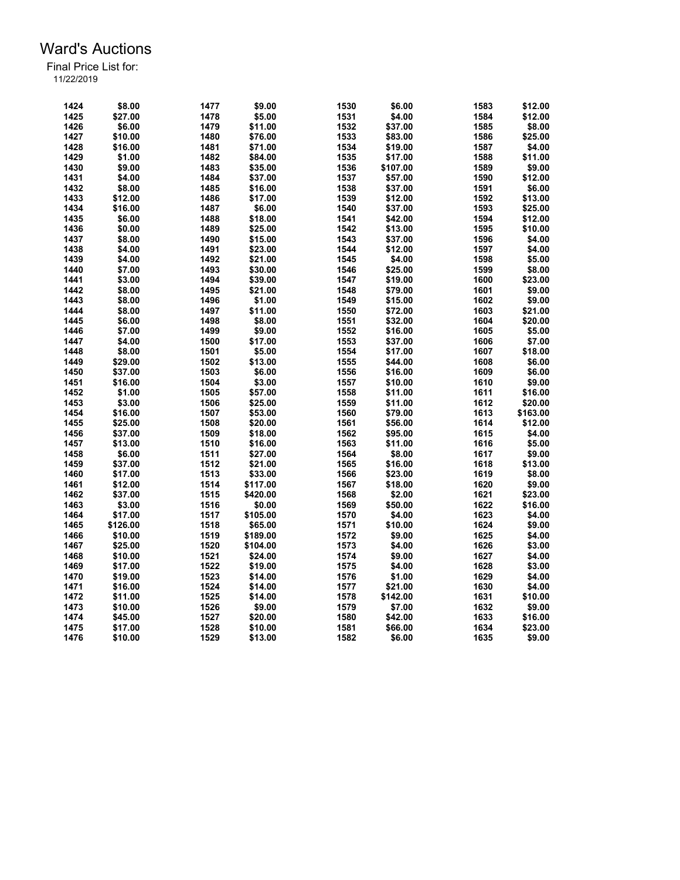| 1424 | \$8.00   | 1477 | \$9.00   | 1530 | \$6.00   | 1583 | \$12.00  |
|------|----------|------|----------|------|----------|------|----------|
| 1425 | \$27.00  | 1478 | \$5.00   | 1531 | \$4.00   | 1584 | \$12.00  |
| 1426 | \$6.00   | 1479 | \$11.00  | 1532 | \$37.00  | 1585 | \$8.00   |
| 1427 | \$10.00  | 1480 | \$76.00  | 1533 | \$83.00  | 1586 | \$25.00  |
| 1428 | \$16.00  | 1481 | \$71.00  | 1534 | \$19.00  | 1587 | \$4.00   |
| 1429 | \$1.00   | 1482 |          | 1535 | \$17.00  | 1588 | \$11.00  |
|      |          |      | \$84.00  |      |          |      |          |
| 1430 | \$9.00   | 1483 | \$35.00  | 1536 | \$107.00 | 1589 | \$9.00   |
| 1431 | \$4.00   | 1484 | \$37.00  | 1537 | \$57.00  | 1590 | \$12.00  |
| 1432 | \$8.00   | 1485 | \$16.00  | 1538 | \$37.00  | 1591 | \$6.00   |
| 1433 | \$12.00  | 1486 | \$17.00  | 1539 | \$12.00  | 1592 | \$13.00  |
| 1434 | \$16.00  | 1487 | \$6.00   | 1540 | \$37.00  | 1593 | \$25.00  |
| 1435 | \$6.00   | 1488 | \$18.00  | 1541 | \$42.00  | 1594 | \$12.00  |
| 1436 | \$0.00   | 1489 | \$25.00  | 1542 | \$13.00  | 1595 | \$10.00  |
| 1437 | \$8.00   | 1490 | \$15.00  | 1543 | \$37.00  | 1596 | \$4.00   |
| 1438 | \$4.00   | 1491 | \$23.00  | 1544 | \$12.00  | 1597 | \$4.00   |
| 1439 | \$4.00   | 1492 | \$21.00  | 1545 | \$4.00   | 1598 | \$5.00   |
| 1440 | \$7.00   | 1493 | \$30.00  | 1546 | \$25.00  | 1599 | \$8.00   |
| 1441 | \$3.00   | 1494 | \$39.00  | 1547 | \$19.00  | 1600 | \$23.00  |
| 1442 | \$8.00   | 1495 | \$21.00  | 1548 | \$79.00  | 1601 | \$9.00   |
| 1443 | \$8.00   | 1496 | \$1.00   | 1549 | \$15.00  | 1602 | \$9.00   |
| 1444 | \$8.00   | 1497 | \$11.00  | 1550 | \$72.00  | 1603 | \$21.00  |
| 1445 | \$6.00   | 1498 | \$8.00   | 1551 | \$32.00  | 1604 | \$20.00  |
| 1446 | \$7.00   | 1499 | \$9.00   | 1552 | \$16.00  | 1605 | \$5.00   |
| 1447 | \$4.00   | 1500 | \$17.00  | 1553 | \$37.00  | 1606 | \$7.00   |
| 1448 | \$8.00   | 1501 | \$5.00   | 1554 | \$17.00  | 1607 | \$18.00  |
| 1449 | \$29.00  | 1502 | \$13.00  | 1555 | \$44.00  | 1608 | \$6.00   |
|      |          |      |          |      |          | 1609 |          |
| 1450 | \$37.00  | 1503 | \$6.00   | 1556 | \$16.00  |      | \$6.00   |
| 1451 | \$16.00  | 1504 | \$3.00   | 1557 | \$10.00  | 1610 | \$9.00   |
| 1452 | \$1.00   | 1505 | \$57.00  | 1558 | \$11.00  | 1611 | \$16.00  |
| 1453 | \$3.00   | 1506 | \$25.00  | 1559 | \$11.00  | 1612 | \$20.00  |
| 1454 | \$16.00  | 1507 | \$53.00  | 1560 | \$79.00  | 1613 | \$163.00 |
| 1455 | \$25.00  | 1508 | \$20.00  | 1561 | \$56.00  | 1614 | \$12.00  |
| 1456 | \$37.00  | 1509 | \$18.00  | 1562 | \$95.00  | 1615 | \$4.00   |
| 1457 | \$13.00  | 1510 | \$16.00  | 1563 | \$11.00  | 1616 | \$5.00   |
| 1458 | \$6.00   | 1511 | \$27.00  | 1564 | \$8.00   | 1617 | \$9.00   |
| 1459 | \$37.00  | 1512 | \$21.00  | 1565 | \$16.00  | 1618 | \$13.00  |
| 1460 | \$17.00  | 1513 | \$33.00  | 1566 | \$23.00  | 1619 | \$8.00   |
| 1461 | \$12.00  | 1514 | \$117.00 | 1567 | \$18.00  | 1620 | \$9.00   |
| 1462 | \$37.00  | 1515 | \$420.00 | 1568 | \$2.00   | 1621 | \$23.00  |
| 1463 | \$3.00   | 1516 | \$0.00   | 1569 | \$50.00  | 1622 | \$16.00  |
| 1464 | \$17.00  | 1517 | \$105.00 | 1570 | \$4.00   | 1623 | \$4.00   |
| 1465 | \$126.00 | 1518 | \$65.00  | 1571 | \$10.00  | 1624 | \$9.00   |
| 1466 | \$10.00  | 1519 | \$189.00 | 1572 | \$9.00   | 1625 | \$4.00   |
| 1467 | \$25.00  | 1520 | \$104.00 | 1573 | \$4.00   | 1626 | \$3.00   |
| 1468 | \$10.00  | 1521 | \$24.00  | 1574 | \$9.00   | 1627 | \$4.00   |
| 1469 | \$17.00  | 1522 | \$19.00  | 1575 | \$4.00   | 1628 | \$3.00   |
| 1470 | \$19.00  | 1523 | \$14.00  | 1576 | \$1.00   | 1629 | \$4.00   |
| 1471 | \$16.00  | 1524 | \$14.00  | 1577 | \$21.00  | 1630 | \$4.00   |
|      | \$11.00  |      |          | 1578 | \$142.00 | 1631 |          |
| 1472 |          | 1525 | \$14.00  |      |          |      | \$10.00  |
| 1473 | \$10.00  | 1526 | \$9.00   | 1579 | \$7.00   | 1632 | \$9.00   |
| 1474 | \$45.00  | 1527 | \$20.00  | 1580 | \$42.00  | 1633 | \$16.00  |
| 1475 | \$17.00  | 1528 | \$10.00  | 1581 | \$66.00  | 1634 | \$23.00  |
| 1476 | \$10.00  | 1529 | \$13.00  | 1582 | \$6.00   | 1635 | \$9.00   |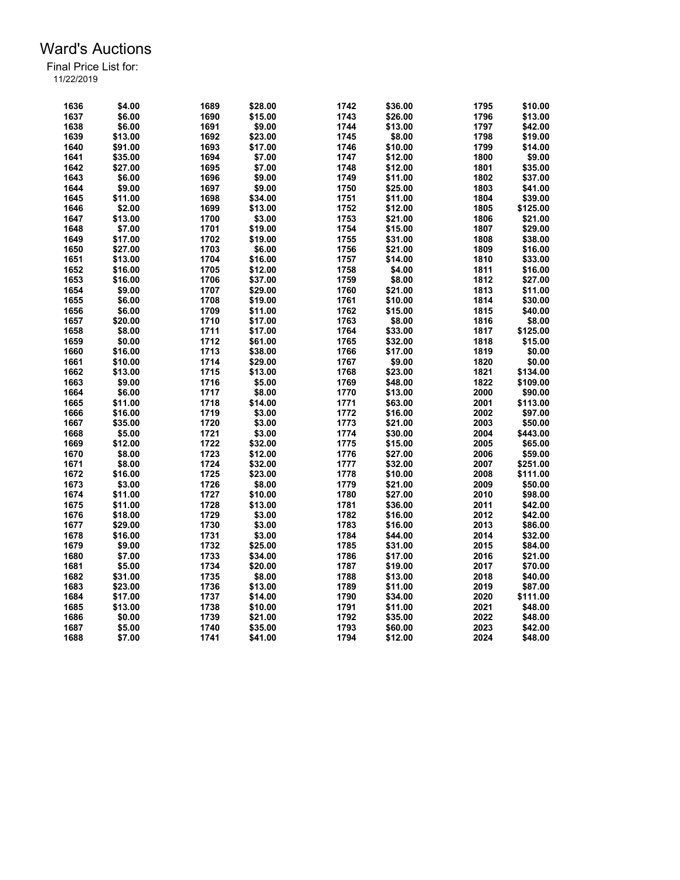| 1636 | \$4.00  | 1689 | \$28.00 | 1742 | \$36.00 | 1795 | \$10.00  |
|------|---------|------|---------|------|---------|------|----------|
| 1637 | \$6.00  | 1690 | \$15.00 | 1743 | \$26.00 | 1796 | \$13.00  |
| 1638 | \$6.00  | 1691 | \$9.00  | 1744 | \$13.00 | 1797 | \$42.00  |
| 1639 | \$13.00 | 1692 | \$23.00 | 1745 | \$8.00  | 1798 | \$19.00  |
| 1640 | \$91.00 | 1693 | \$17.00 | 1746 | \$10.00 | 1799 | \$14.00  |
| 1641 | \$35.00 | 1694 | \$7.00  | 1747 | \$12.00 | 1800 | \$9.00   |
| 1642 | \$27.00 | 1695 | \$7.00  | 1748 | \$12.00 | 1801 | \$35.00  |
| 1643 | \$6.00  | 1696 | \$9.00  | 1749 | \$11.00 | 1802 | \$37.00  |
| 1644 | \$9.00  | 1697 | \$9.00  | 1750 | \$25.00 | 1803 | \$41.00  |
| 1645 | \$11.00 | 1698 | \$34.00 | 1751 | \$11.00 | 1804 | \$39.00  |
| 1646 | \$2.00  | 1699 | \$13.00 | 1752 | \$12.00 | 1805 | \$125.00 |
| 1647 | \$13.00 | 1700 | \$3.00  | 1753 | \$21.00 | 1806 | \$21.00  |
| 1648 | \$7.00  | 1701 | \$19.00 | 1754 | \$15.00 | 1807 | \$29.00  |
| 1649 | \$17.00 | 1702 | \$19.00 | 1755 | \$31.00 | 1808 | \$38.00  |
| 1650 | \$27.00 | 1703 | \$6.00  | 1756 | \$21.00 | 1809 | \$16.00  |
| 1651 | \$13.00 | 1704 | \$16.00 | 1757 | \$14.00 | 1810 | \$33.00  |
| 1652 | \$16.00 | 1705 | \$12.00 | 1758 | \$4.00  | 1811 | \$16.00  |
| 1653 | \$16.00 | 1706 | \$37.00 | 1759 | \$8.00  | 1812 | \$27.00  |
|      |         |      |         |      |         |      |          |
| 1654 | \$9.00  | 1707 | \$29.00 | 1760 | \$21.00 | 1813 | \$11.00  |
| 1655 | \$6.00  | 1708 | \$19.00 | 1761 | \$10.00 | 1814 | \$30.00  |
| 1656 | \$6.00  | 1709 | \$11.00 | 1762 | \$15.00 | 1815 | \$40.00  |
| 1657 | \$20.00 | 1710 | \$17.00 | 1763 | \$8.00  | 1816 | \$8.00   |
| 1658 | \$8.00  | 1711 | \$17.00 | 1764 | \$33.00 | 1817 | \$125.00 |
| 1659 | \$0.00  | 1712 | \$61.00 | 1765 | \$32.00 | 1818 | \$15.00  |
| 1660 | \$16.00 | 1713 | \$38.00 | 1766 | \$17.00 | 1819 | \$0.00   |
| 1661 | \$10.00 | 1714 | \$29.00 | 1767 | \$9.00  | 1820 | \$0.00   |
| 1662 | \$13.00 | 1715 | \$13.00 | 1768 | \$23.00 | 1821 | \$134.00 |
| 1663 | \$9.00  | 1716 | \$5.00  | 1769 | \$48.00 | 1822 | \$109.00 |
| 1664 | \$6.00  | 1717 | \$8.00  | 1770 | \$13.00 | 2000 | \$90.00  |
| 1665 | \$11.00 | 1718 | \$14.00 | 1771 | \$63.00 | 2001 | \$113.00 |
| 1666 | \$16.00 | 1719 | \$3.00  | 1772 | \$16.00 | 2002 | \$97.00  |
| 1667 | \$35.00 | 1720 | \$3.00  | 1773 | \$21.00 | 2003 | \$50.00  |
| 1668 | \$5.00  | 1721 | \$3.00  | 1774 | \$30.00 | 2004 | \$443.00 |
| 1669 | \$12.00 | 1722 | \$32.00 | 1775 | \$15.00 | 2005 | \$65.00  |
| 1670 | \$8.00  | 1723 | \$12.00 | 1776 | \$27.00 | 2006 | \$59.00  |
| 1671 | \$8.00  | 1724 | \$32.00 | 1777 | \$32.00 | 2007 | \$251.00 |
| 1672 | \$16.00 | 1725 | \$23.00 | 1778 | \$10.00 | 2008 | \$111.00 |
| 1673 | \$3.00  | 1726 | \$8.00  | 1779 | \$21.00 | 2009 | \$50.00  |
| 1674 | \$11.00 | 1727 | \$10.00 | 1780 | \$27.00 | 2010 | \$98.00  |
| 1675 | \$11.00 | 1728 | \$13.00 | 1781 | \$36.00 | 2011 | \$42.00  |
| 1676 | \$18.00 | 1729 | \$3.00  | 1782 | \$16.00 | 2012 | \$42.00  |
| 1677 | \$29.00 | 1730 | \$3.00  | 1783 | \$16.00 | 2013 | \$86.00  |
| 1678 | \$16.00 | 1731 | \$3.00  | 1784 | \$44.00 | 2014 | \$32.00  |
| 1679 | \$9.00  | 1732 | \$25.00 | 1785 | \$31.00 | 2015 | \$84.00  |
| 1680 | \$7.00  | 1733 | \$34.00 | 1786 | \$17.00 | 2016 | \$21.00  |
|      |         |      |         |      |         |      |          |
| 1681 | \$5.00  | 1734 | \$20.00 | 1787 | \$19.00 | 2017 | \$70.00  |
| 1682 | \$31.00 | 1735 | \$8.00  | 1788 | \$13.00 | 2018 | \$40.00  |
| 1683 | \$23.00 | 1736 | \$13.00 | 1789 | \$11.00 | 2019 | \$87.00  |
| 1684 | \$17.00 | 1737 | \$14.00 | 1790 | \$34.00 | 2020 | \$111.00 |
| 1685 | \$13.00 | 1738 | \$10.00 | 1791 | \$11.00 | 2021 | \$48.00  |
| 1686 | \$0.00  | 1739 | \$21.00 | 1792 | \$35.00 | 2022 | \$48.00  |
| 1687 | \$5.00  | 1740 | \$35.00 | 1793 | \$60.00 | 2023 | \$42.00  |
| 1688 | \$7.00  | 1741 | \$41.00 | 1794 | \$12.00 | 2024 | \$48.00  |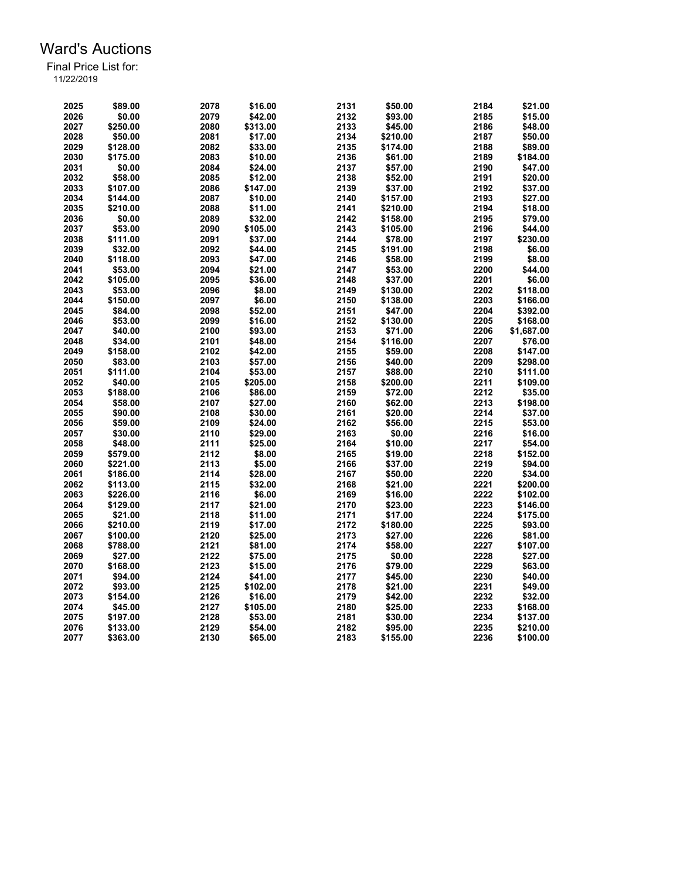| 2025 | \$89.00             | 2078 | \$16.00  | 2131         | \$50.00  | 2184 | \$21.00              |
|------|---------------------|------|----------|--------------|----------|------|----------------------|
| 2026 | \$0.00              | 2079 | \$42.00  | 2132         | \$93.00  | 2185 | \$15.00              |
| 2027 | \$250.00            | 2080 | \$313.00 | 2133         | \$45.00  | 2186 | \$48.00              |
| 2028 | \$50.00             | 2081 | \$17.00  | 2134         | \$210.00 | 2187 | \$50.00              |
| 2029 | \$128.00            | 2082 | \$33.00  | 2135         | \$174.00 | 2188 | \$89.00              |
| 2030 | \$175.00            | 2083 | \$10.00  | 2136         | \$61.00  | 2189 | \$184.00             |
| 2031 | \$0.00              | 2084 | \$24.00  | 2137         | \$57.00  | 2190 | \$47.00              |
| 2032 | \$58.00             | 2085 | \$12.00  | 2138         | \$52.00  | 2191 | \$20.00              |
| 2033 | \$107.00            | 2086 | \$147.00 | 2139         | \$37.00  | 2192 | \$37.00              |
| 2034 | \$144.00            | 2087 | \$10.00  | 2140         | \$157.00 | 2193 | \$27.00              |
| 2035 |                     | 2088 | \$11.00  | 2141         |          | 2194 | \$18.00              |
|      | \$210.00            |      |          |              | \$210.00 |      |                      |
| 2036 | \$0.00              | 2089 | \$32.00  | 2142         | \$158.00 | 2195 | \$79.00              |
| 2037 | \$53.00             | 2090 | \$105.00 | 2143         | \$105.00 | 2196 | \$44.00              |
| 2038 | \$111.00            | 2091 | \$37.00  | 2144         | \$78.00  | 2197 | \$230.00             |
| 2039 | \$32.00             | 2092 | \$44.00  | 2145         | \$191.00 | 2198 | \$6.00               |
| 2040 | \$118.00            | 2093 | \$47.00  | 2146         | \$58.00  | 2199 | \$8.00               |
| 2041 | \$53.00             | 2094 | \$21.00  | 2147         | \$53.00  | 2200 | \$44.00              |
| 2042 | \$105.00            | 2095 | \$36.00  | 2148         | \$37.00  | 2201 | \$6.00               |
| 2043 | \$53.00             | 2096 | \$8.00   | 2149         | \$130.00 | 2202 | \$118.00             |
| 2044 | \$150.00            | 2097 | \$6.00   | 2150         | \$138.00 | 2203 | \$166.00             |
| 2045 | \$84.00             | 2098 | \$52.00  | 2151         | \$47.00  | 2204 | \$392.00             |
| 2046 | \$53.00             | 2099 | \$16.00  | 2152         | \$130.00 | 2205 | \$168.00             |
| 2047 | \$40.00             | 2100 | \$93.00  | 2153         | \$71.00  | 2206 | \$1,687.00           |
| 2048 | \$34.00             | 2101 | \$48.00  | 2154         | \$116.00 | 2207 | \$76.00              |
| 2049 | \$158.00            | 2102 | \$42.00  | 2155         | \$59.00  | 2208 | \$147.00             |
| 2050 | \$83.00             | 2103 | \$57.00  | 2156         | \$40.00  | 2209 | \$298.00             |
| 2051 | \$111.00            | 2104 | \$53.00  | 2157         | \$88.00  | 2210 | \$111.00             |
| 2052 | \$40.00             | 2105 | \$205.00 | 2158         | \$200.00 | 2211 | \$109.00             |
| 2053 | \$188.00            | 2106 | \$86.00  | 2159         | \$72.00  | 2212 | \$35.00              |
| 2054 | \$58.00             | 2107 | \$27.00  | 2160         | \$62.00  | 2213 | \$198.00             |
| 2055 | \$90.00             | 2108 | \$30.00  | 2161         | \$20.00  | 2214 | \$37.00              |
| 2056 | \$59.00             | 2109 | \$24.00  | 2162         | \$56.00  | 2215 | \$53.00              |
| 2057 | \$30.00             | 2110 | \$29.00  | 2163         | \$0.00   | 2216 | \$16.00              |
| 2058 | \$48.00             | 2111 | \$25.00  | 2164         | \$10.00  | 2217 | \$54.00              |
| 2059 | \$579.00            | 2112 | \$8.00   | 2165         | \$19.00  | 2218 | \$152.00             |
| 2060 | \$221.00            | 2113 | \$5.00   | 2166         | \$37.00  | 2219 | \$94.00              |
| 2061 | \$186.00            | 2114 | \$28.00  | 2167         | \$50.00  | 2220 | \$34.00              |
| 2062 | \$113.00            | 2115 | \$32.00  | 2168         | \$21.00  | 2221 | \$200.00             |
| 2063 | \$226.00            | 2116 | \$6.00   | 2169         | \$16.00  | 2222 | \$102.00             |
| 2064 |                     | 2117 |          |              |          | 2223 |                      |
| 2065 | \$129.00<br>\$21.00 | 2118 | \$21.00  | 2170<br>2171 | \$23.00  | 2224 | \$146.00<br>\$175.00 |
|      |                     | 2119 | \$11.00  | 2172         | \$17.00  | 2225 |                      |
| 2066 | \$210.00            |      | \$17.00  |              | \$180.00 |      | \$93.00              |
| 2067 | \$100.00            | 2120 | \$25.00  | 2173         | \$27.00  | 2226 | \$81.00              |
| 2068 | \$788.00            | 2121 | \$81.00  | 2174         | \$58.00  | 2227 | \$107.00             |
| 2069 | \$27.00             | 2122 | \$75.00  | 2175         | \$0.00   | 2228 | \$27.00              |
| 2070 | \$168.00            | 2123 | \$15.00  | 2176         | \$79.00  | 2229 | \$63.00              |
| 2071 | \$94.00             | 2124 | \$41.00  | 2177         | \$45.00  | 2230 | \$40.00              |
| 2072 | \$93.00             | 2125 | \$102.00 | 2178         | \$21.00  | 2231 | \$49.00              |
| 2073 | \$154.00            | 2126 | \$16.00  | 2179         | \$42.00  | 2232 | \$32.00              |
| 2074 | \$45.00             | 2127 | \$105.00 | 2180         | \$25.00  | 2233 | \$168.00             |
| 2075 | \$197.00            | 2128 | \$53.00  | 2181         | \$30.00  | 2234 | \$137.00             |
| 2076 | \$133.00            | 2129 | \$54.00  | 2182         | \$95.00  | 2235 | \$210.00             |
| 2077 | \$363.00            | 2130 | \$65.00  | 2183         | \$155.00 | 2236 | \$100.00             |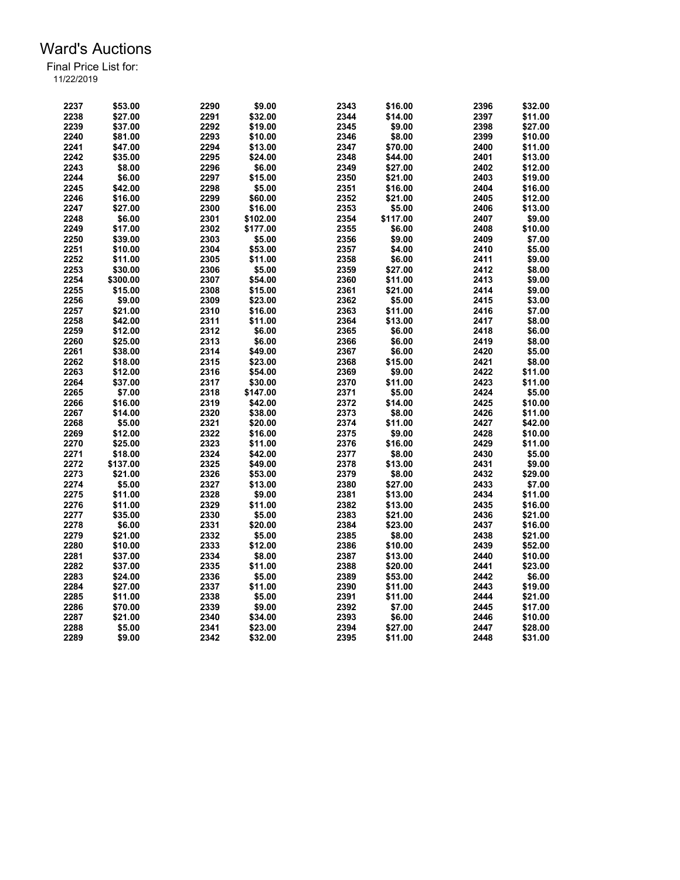| 2237 | \$53.00  | 2290 | \$9.00   | 2343 | \$16.00  | 2396 | \$32.00 |
|------|----------|------|----------|------|----------|------|---------|
| 2238 | \$27.00  | 2291 | \$32.00  | 2344 | \$14.00  | 2397 | \$11.00 |
| 2239 | \$37.00  | 2292 | \$19.00  | 2345 | \$9.00   | 2398 | \$27.00 |
| 2240 | \$81.00  | 2293 | \$10.00  | 2346 | \$8.00   | 2399 | \$10.00 |
| 2241 | \$47.00  | 2294 | \$13.00  | 2347 | \$70.00  | 2400 | \$11.00 |
| 2242 | \$35.00  | 2295 | \$24.00  | 2348 | \$44.00  | 2401 | \$13.00 |
| 2243 | \$8.00   | 2296 | \$6.00   | 2349 | \$27.00  | 2402 | \$12.00 |
| 2244 | \$6.00   | 2297 | \$15.00  | 2350 | \$21.00  | 2403 | \$19.00 |
| 2245 | \$42.00  | 2298 | \$5.00   | 2351 | \$16.00  | 2404 | \$16.00 |
| 2246 | \$16.00  | 2299 | \$60.00  | 2352 | \$21.00  | 2405 | \$12.00 |
| 2247 | \$27.00  | 2300 | \$16.00  | 2353 | \$5.00   | 2406 | \$13.00 |
| 2248 | \$6.00   | 2301 | \$102.00 | 2354 | \$117.00 | 2407 | \$9.00  |
|      |          |      |          |      |          |      |         |
| 2249 | \$17.00  | 2302 | \$177.00 | 2355 | \$6.00   | 2408 | \$10.00 |
| 2250 | \$39.00  | 2303 | \$5.00   | 2356 | \$9.00   | 2409 | \$7.00  |
| 2251 | \$10.00  | 2304 | \$53.00  | 2357 | \$4.00   | 2410 | \$5.00  |
| 2252 | \$11.00  | 2305 | \$11.00  | 2358 | \$6.00   | 2411 | \$9.00  |
| 2253 | \$30.00  | 2306 | \$5.00   | 2359 | \$27.00  | 2412 | \$8.00  |
| 2254 | \$300.00 | 2307 | \$54.00  | 2360 | \$11.00  | 2413 | \$9.00  |
| 2255 | \$15.00  | 2308 | \$15.00  | 2361 | \$21.00  | 2414 | \$9.00  |
| 2256 | \$9.00   | 2309 | \$23.00  | 2362 | \$5.00   | 2415 | \$3.00  |
| 2257 | \$21.00  | 2310 | \$16.00  | 2363 | \$11.00  | 2416 | \$7.00  |
| 2258 | \$42.00  | 2311 | \$11.00  | 2364 | \$13.00  | 2417 | \$8.00  |
| 2259 | \$12.00  | 2312 | \$6.00   | 2365 | \$6.00   | 2418 | \$6.00  |
| 2260 | \$25.00  | 2313 | \$6.00   | 2366 | \$6.00   | 2419 | \$8.00  |
| 2261 | \$38.00  | 2314 | \$49.00  | 2367 | \$6.00   | 2420 | \$5.00  |
| 2262 | \$18.00  | 2315 | \$23.00  | 2368 | \$15.00  | 2421 | \$8.00  |
| 2263 | \$12.00  | 2316 | \$54.00  | 2369 | \$9.00   | 2422 | \$11.00 |
| 2264 | \$37.00  | 2317 | \$30.00  | 2370 | \$11.00  | 2423 | \$11.00 |
| 2265 | \$7.00   | 2318 | \$147.00 | 2371 | \$5.00   | 2424 | \$5.00  |
| 2266 | \$16.00  | 2319 | \$42.00  | 2372 | \$14.00  | 2425 | \$10.00 |
| 2267 | \$14.00  | 2320 | \$38.00  | 2373 | \$8.00   | 2426 | \$11.00 |
| 2268 | \$5.00   | 2321 | \$20.00  | 2374 | \$11.00  | 2427 | \$42.00 |
| 2269 | \$12.00  | 2322 | \$16.00  | 2375 | \$9.00   | 2428 | \$10.00 |
| 2270 | \$25.00  | 2323 | \$11.00  | 2376 | \$16.00  | 2429 | \$11.00 |
| 2271 | \$18.00  | 2324 | \$42.00  | 2377 | \$8.00   | 2430 | \$5.00  |
| 2272 | \$137.00 | 2325 | \$49.00  | 2378 | \$13.00  | 2431 | \$9.00  |
| 2273 | \$21.00  | 2326 | \$53.00  | 2379 | \$8.00   | 2432 | \$29.00 |
|      |          |      |          |      |          |      |         |
| 2274 | \$5.00   | 2327 | \$13.00  | 2380 | \$27.00  | 2433 | \$7.00  |
| 2275 | \$11.00  | 2328 | \$9.00   | 2381 | \$13.00  | 2434 | \$11.00 |
| 2276 | \$11.00  | 2329 | \$11.00  | 2382 | \$13.00  | 2435 | \$16.00 |
| 2277 | \$35.00  | 2330 | \$5.00   | 2383 | \$21.00  | 2436 | \$21.00 |
| 2278 | \$6.00   | 2331 | \$20.00  | 2384 | \$23.00  | 2437 | \$16.00 |
| 2279 | \$21.00  | 2332 | \$5.00   | 2385 | \$8.00   | 2438 | \$21.00 |
| 2280 | \$10.00  | 2333 | \$12.00  | 2386 | \$10.00  | 2439 | \$52.00 |
| 2281 | \$37.00  | 2334 | \$8.00   | 2387 | \$13.00  | 2440 | \$10.00 |
| 2282 | \$37.00  | 2335 | \$11.00  | 2388 | \$20.00  | 2441 | \$23.00 |
| 2283 | \$24.00  | 2336 | \$5.00   | 2389 | \$53.00  | 2442 | \$6.00  |
| 2284 | \$27.00  | 2337 | \$11.00  | 2390 | \$11.00  | 2443 | \$19.00 |
| 2285 | \$11.00  | 2338 | \$5.00   | 2391 | \$11.00  | 2444 | \$21.00 |
| 2286 | \$70.00  | 2339 | \$9.00   | 2392 | \$7.00   | 2445 | \$17.00 |
| 2287 | \$21.00  | 2340 | \$34.00  | 2393 | \$6.00   | 2446 | \$10.00 |
| 2288 | \$5.00   | 2341 | \$23.00  | 2394 | \$27.00  | 2447 | \$28.00 |
| 2289 | \$9.00   | 2342 | \$32.00  | 2395 | \$11.00  | 2448 | \$31.00 |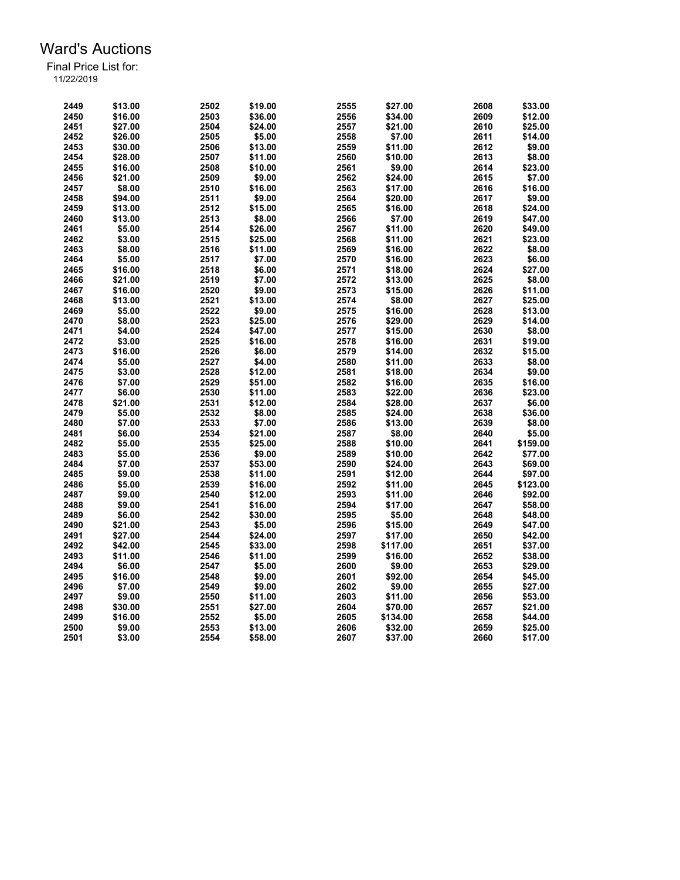| 2449 | \$13.00 | 2502 | \$19.00 | 2555 | \$27.00  | 2608 | \$33.00  |
|------|---------|------|---------|------|----------|------|----------|
| 2450 | \$16.00 | 2503 | \$36.00 | 2556 | \$34.00  | 2609 | \$12.00  |
| 2451 | \$27.00 | 2504 | \$24.00 | 2557 | \$21.00  | 2610 | \$25.00  |
| 2452 | \$26.00 | 2505 | \$5.00  | 2558 | \$7.00   | 2611 | \$14.00  |
| 2453 | \$30.00 | 2506 | \$13.00 | 2559 | \$11.00  | 2612 | \$9.00   |
| 2454 | \$28.00 | 2507 | \$11.00 | 2560 | \$10.00  | 2613 | \$8.00   |
| 2455 | \$16.00 | 2508 | \$10.00 | 2561 | \$9.00   | 2614 | \$23.00  |
| 2456 | \$21.00 | 2509 | \$9.00  | 2562 | \$24.00  | 2615 | \$7.00   |
| 2457 | \$8.00  | 2510 | \$16.00 | 2563 | \$17.00  | 2616 | \$16.00  |
| 2458 | \$94.00 | 2511 | \$9.00  | 2564 | \$20.00  | 2617 | \$9.00   |
| 2459 | \$13.00 | 2512 | \$15.00 | 2565 | \$16.00  | 2618 | \$24.00  |
| 2460 | \$13.00 | 2513 | \$8.00  | 2566 | \$7.00   | 2619 | \$47.00  |
|      | \$5.00  |      |         |      |          | 2620 |          |
| 2461 |         | 2514 | \$26.00 | 2567 | \$11.00  |      | \$49.00  |
| 2462 | \$3.00  | 2515 | \$25.00 | 2568 | \$11.00  | 2621 | \$23.00  |
| 2463 | \$8.00  | 2516 | \$11.00 | 2569 | \$16.00  | 2622 | \$8.00   |
| 2464 | \$5.00  | 2517 | \$7.00  | 2570 | \$16.00  | 2623 | \$6.00   |
| 2465 | \$16.00 | 2518 | \$6.00  | 2571 | \$18.00  | 2624 | \$27.00  |
| 2466 | \$21.00 | 2519 | \$7.00  | 2572 | \$13.00  | 2625 | \$8.00   |
| 2467 | \$16.00 | 2520 | \$9.00  | 2573 | \$15.00  | 2626 | \$11.00  |
| 2468 | \$13.00 | 2521 | \$13.00 | 2574 | \$8.00   | 2627 | \$25.00  |
| 2469 | \$5.00  | 2522 | \$9.00  | 2575 | \$16.00  | 2628 | \$13.00  |
| 2470 | \$8.00  | 2523 | \$25.00 | 2576 | \$29.00  | 2629 | \$14.00  |
| 2471 | \$4.00  | 2524 | \$47.00 | 2577 | \$15.00  | 2630 | \$8.00   |
| 2472 | \$3.00  | 2525 | \$16.00 | 2578 | \$16.00  | 2631 | \$19.00  |
| 2473 | \$16.00 | 2526 | \$6.00  | 2579 | \$14.00  | 2632 | \$15.00  |
| 2474 | \$5.00  | 2527 | \$4.00  | 2580 | \$11.00  | 2633 | \$8.00   |
| 2475 | \$3.00  | 2528 | \$12.00 | 2581 | \$18.00  | 2634 | \$9.00   |
| 2476 | \$7.00  | 2529 | \$51.00 | 2582 | \$16.00  | 2635 | \$16.00  |
| 2477 | \$6.00  | 2530 | \$11.00 | 2583 | \$22.00  | 2636 | \$23.00  |
| 2478 | \$21.00 | 2531 | \$12.00 | 2584 | \$28.00  | 2637 | \$6.00   |
| 2479 | \$5.00  | 2532 | \$8.00  | 2585 | \$24.00  | 2638 | \$36.00  |
| 2480 | \$7.00  | 2533 | \$7.00  | 2586 | \$13.00  | 2639 | \$8.00   |
| 2481 | \$6.00  | 2534 | \$21.00 | 2587 | \$8.00   | 2640 | \$5.00   |
| 2482 | \$5.00  | 2535 | \$25.00 | 2588 | \$10.00  | 2641 | \$159.00 |
| 2483 | \$5.00  | 2536 | \$9.00  | 2589 | \$10.00  | 2642 | \$77.00  |
| 2484 | \$7.00  | 2537 | \$53.00 | 2590 | \$24.00  | 2643 | \$69.00  |
| 2485 | \$9.00  | 2538 | \$11.00 | 2591 | \$12.00  | 2644 | \$97.00  |
|      |         |      |         | 2592 |          |      |          |
| 2486 | \$5.00  | 2539 | \$16.00 |      | \$11.00  | 2645 | \$123.00 |
| 2487 | \$9.00  | 2540 | \$12.00 | 2593 | \$11.00  | 2646 | \$92.00  |
| 2488 | \$9.00  | 2541 | \$16.00 | 2594 | \$17.00  | 2647 | \$58.00  |
| 2489 | \$6.00  | 2542 | \$30.00 | 2595 | \$5.00   | 2648 | \$48.00  |
| 2490 | \$21.00 | 2543 | \$5.00  | 2596 | \$15.00  | 2649 | \$47.00  |
| 2491 | \$27.00 | 2544 | \$24.00 | 2597 | \$17.00  | 2650 | \$42.00  |
| 2492 | \$42.00 | 2545 | \$33.00 | 2598 | \$117.00 | 2651 | \$37.00  |
| 2493 | \$11.00 | 2546 | \$11.00 | 2599 | \$16.00  | 2652 | \$38.00  |
| 2494 | \$6.00  | 2547 | \$5.00  | 2600 | \$9.00   | 2653 | \$29.00  |
| 2495 | \$16.00 | 2548 | \$9.00  | 2601 | \$92.00  | 2654 | \$45.00  |
| 2496 | \$7.00  | 2549 | \$9.00  | 2602 | \$9.00   | 2655 | \$27.00  |
| 2497 | \$9.00  | 2550 | \$11.00 | 2603 | \$11.00  | 2656 | \$53.00  |
| 2498 | \$30.00 | 2551 | \$27.00 | 2604 | \$70.00  | 2657 | \$21.00  |
| 2499 | \$16.00 | 2552 | \$5.00  | 2605 | \$134.00 | 2658 | \$44.00  |
| 2500 | \$9.00  | 2553 | \$13.00 | 2606 | \$32.00  | 2659 | \$25.00  |
| 2501 | \$3.00  | 2554 | \$58.00 | 2607 | \$37.00  | 2660 | \$17.00  |
|      |         |      |         |      |          |      |          |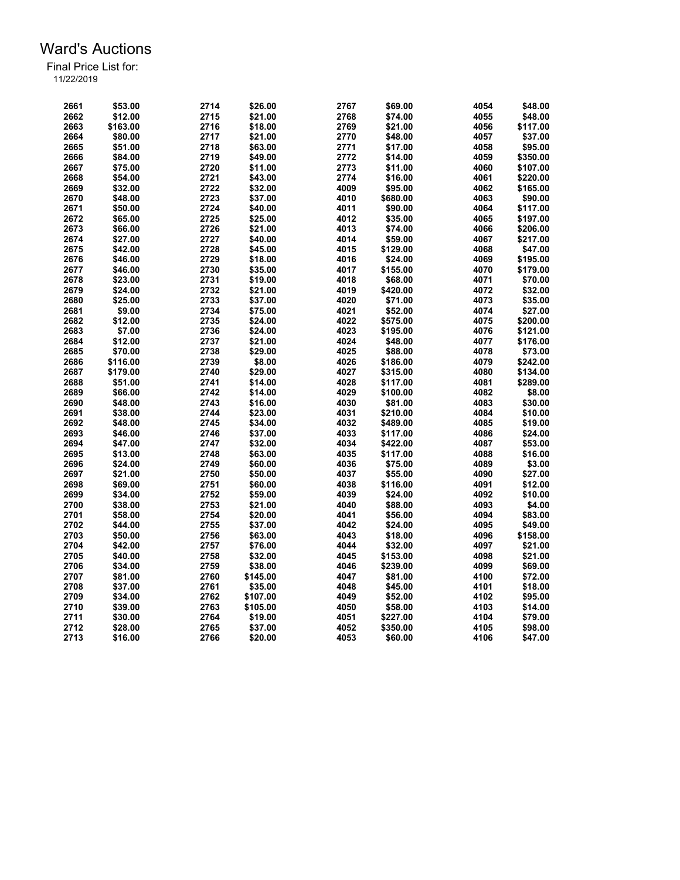| 2661 | \$53.00  | 2714 | \$26.00  | 2767 | \$69.00  | 4054 | \$48.00  |
|------|----------|------|----------|------|----------|------|----------|
| 2662 | \$12.00  | 2715 | \$21.00  | 2768 | \$74.00  | 4055 | \$48.00  |
| 2663 | \$163.00 | 2716 | \$18.00  | 2769 | \$21.00  | 4056 | \$117.00 |
| 2664 | \$80.00  | 2717 | \$21.00  | 2770 | \$48.00  | 4057 | \$37.00  |
| 2665 | \$51.00  | 2718 | \$63.00  | 2771 | \$17.00  | 4058 | \$95.00  |
| 2666 | \$84.00  | 2719 | \$49.00  | 2772 | \$14.00  | 4059 | \$350.00 |
| 2667 | \$75.00  | 2720 | \$11.00  | 2773 | \$11.00  | 4060 | \$107.00 |
| 2668 | \$54.00  | 2721 | \$43.00  | 2774 | \$16.00  | 4061 | \$220.00 |
| 2669 | \$32.00  | 2722 | \$32.00  | 4009 | \$95.00  | 4062 | \$165.00 |
| 2670 | \$48.00  | 2723 | \$37.00  | 4010 | \$680.00 | 4063 | \$90.00  |
| 2671 | \$50.00  | 2724 | \$40.00  | 4011 | \$90.00  | 4064 | \$117.00 |
| 2672 | \$65.00  | 2725 | \$25.00  | 4012 | \$35.00  | 4065 | \$197.00 |
| 2673 | \$66.00  | 2726 | \$21.00  | 4013 | \$74.00  | 4066 | \$206.00 |
| 2674 | \$27.00  | 2727 | \$40.00  | 4014 | \$59.00  | 4067 | \$217.00 |
| 2675 | \$42.00  | 2728 | \$45.00  | 4015 | \$129.00 | 4068 | \$47.00  |
| 2676 | \$46.00  | 2729 | \$18.00  | 4016 | \$24.00  | 4069 | \$195.00 |
| 2677 | \$46.00  | 2730 | \$35.00  | 4017 | \$155.00 | 4070 | \$179.00 |
| 2678 | \$23.00  | 2731 | \$19.00  | 4018 | \$68.00  | 4071 | \$70.00  |
| 2679 | \$24.00  | 2732 | \$21.00  | 4019 | \$420.00 | 4072 | \$32.00  |
| 2680 | \$25.00  | 2733 |          | 4020 |          | 4073 | \$35.00  |
|      |          |      | \$37.00  | 4021 | \$71.00  |      |          |
| 2681 | \$9.00   | 2734 | \$75.00  |      | \$52.00  | 4074 | \$27.00  |
| 2682 | \$12.00  | 2735 | \$24.00  | 4022 | \$575.00 | 4075 | \$200.00 |
| 2683 | \$7.00   | 2736 | \$24.00  | 4023 | \$195.00 | 4076 | \$121.00 |
| 2684 | \$12.00  | 2737 | \$21.00  | 4024 | \$48.00  | 4077 | \$176.00 |
| 2685 | \$70.00  | 2738 | \$29.00  | 4025 | \$88.00  | 4078 | \$73.00  |
| 2686 | \$116.00 | 2739 | \$8.00   | 4026 | \$186.00 | 4079 | \$242.00 |
| 2687 | \$179.00 | 2740 | \$29.00  | 4027 | \$315.00 | 4080 | \$134.00 |
| 2688 | \$51.00  | 2741 | \$14.00  | 4028 | \$117.00 | 4081 | \$289.00 |
| 2689 | \$66.00  | 2742 | \$14.00  | 4029 | \$100.00 | 4082 | \$8.00   |
| 2690 | \$48.00  | 2743 | \$16.00  | 4030 | \$81.00  | 4083 | \$30.00  |
| 2691 | \$38.00  | 2744 | \$23.00  | 4031 | \$210.00 | 4084 | \$10.00  |
| 2692 | \$48.00  | 2745 | \$34.00  | 4032 | \$489.00 | 4085 | \$19.00  |
| 2693 | \$46.00  | 2746 | \$37.00  | 4033 | \$117.00 | 4086 | \$24.00  |
| 2694 | \$47.00  | 2747 | \$32.00  | 4034 | \$422.00 | 4087 | \$53.00  |
| 2695 | \$13.00  | 2748 | \$63.00  | 4035 | \$117.00 | 4088 | \$16.00  |
| 2696 | \$24.00  | 2749 | \$60.00  | 4036 | \$75.00  | 4089 | \$3.00   |
| 2697 | \$21.00  | 2750 | \$50.00  | 4037 | \$55.00  | 4090 | \$27.00  |
| 2698 | \$69.00  | 2751 | \$60.00  | 4038 | \$116.00 | 4091 | \$12.00  |
| 2699 | \$34.00  | 2752 | \$59.00  | 4039 | \$24.00  | 4092 | \$10.00  |
| 2700 | \$38.00  | 2753 | \$21.00  | 4040 | \$88.00  | 4093 | \$4.00   |
| 2701 | \$58.00  | 2754 | \$20.00  | 4041 | \$56.00  | 4094 | \$83.00  |
| 2702 | \$44.00  | 2755 | \$37.00  | 4042 | \$24.00  | 4095 | \$49.00  |
| 2703 | \$50.00  | 2756 | \$63.00  | 4043 | \$18.00  | 4096 | \$158.00 |
| 2704 | \$42.00  | 2757 | \$76.00  | 4044 | \$32.00  | 4097 | \$21.00  |
| 2705 | \$40.00  | 2758 | \$32.00  | 4045 | \$153.00 | 4098 | \$21.00  |
| 2706 | \$34.00  | 2759 | \$38.00  | 4046 | \$239.00 | 4099 | \$69.00  |
| 2707 | \$81.00  | 2760 | \$145.00 | 4047 | \$81.00  | 4100 | \$72.00  |
| 2708 | \$37.00  | 2761 | \$35.00  | 4048 | \$45.00  | 4101 | \$18.00  |
| 2709 | \$34.00  | 2762 | \$107.00 | 4049 | \$52.00  | 4102 | \$95.00  |
| 2710 | \$39.00  | 2763 | \$105.00 | 4050 | \$58.00  | 4103 | \$14.00  |
| 2711 | \$30.00  | 2764 | \$19.00  | 4051 | \$227.00 | 4104 | \$79.00  |
| 2712 | \$28.00  | 2765 | \$37.00  | 4052 | \$350.00 | 4105 | \$98.00  |
| 2713 | \$16.00  | 2766 | \$20.00  | 4053 | \$60.00  | 4106 | \$47.00  |
|      |          |      |          |      |          |      |          |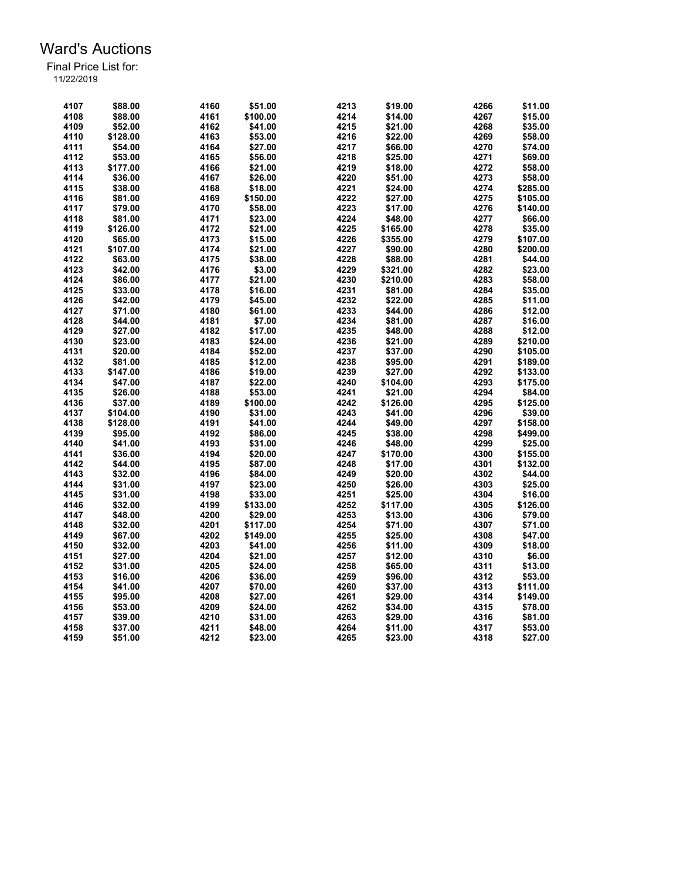| 4107 | \$88.00  | 4160 | \$51.00  | 4213 | \$19.00  | 4266 | \$11.00  |
|------|----------|------|----------|------|----------|------|----------|
| 4108 | \$88.00  | 4161 | \$100.00 | 4214 | \$14.00  | 4267 | \$15.00  |
| 4109 | \$52.00  | 4162 | \$41.00  | 4215 | \$21.00  | 4268 | \$35.00  |
| 4110 | \$128.00 | 4163 | \$53.00  | 4216 | \$22.00  | 4269 | \$58.00  |
| 4111 | \$54.00  | 4164 | \$27.00  | 4217 | \$66.00  | 4270 | \$74.00  |
| 4112 | \$53.00  | 4165 | \$56.00  | 4218 | \$25.00  | 4271 | \$69.00  |
| 4113 | \$177.00 | 4166 | \$21.00  | 4219 | \$18.00  | 4272 | \$58.00  |
| 4114 | \$36.00  | 4167 | \$26.00  | 4220 | \$51.00  | 4273 | \$58.00  |
| 4115 | \$38.00  | 4168 | \$18.00  | 4221 | \$24.00  | 4274 | \$285.00 |
| 4116 | \$81.00  | 4169 | \$150.00 | 4222 | \$27.00  | 4275 | \$105.00 |
| 4117 | \$79.00  | 4170 | \$58.00  | 4223 | \$17.00  | 4276 | \$140.00 |
| 4118 | \$81.00  | 4171 | \$23.00  | 4224 | \$48.00  | 4277 | \$66.00  |
| 4119 | \$126.00 | 4172 | \$21.00  | 4225 | \$165.00 | 4278 | \$35.00  |
| 4120 | \$65.00  | 4173 | \$15.00  | 4226 | \$355.00 | 4279 | \$107.00 |
| 4121 | \$107.00 | 4174 | \$21.00  | 4227 | \$90.00  | 4280 | \$200.00 |
| 4122 | \$63.00  | 4175 | \$38.00  | 4228 | \$88.00  | 4281 | \$44.00  |
| 4123 | \$42.00  | 4176 | \$3.00   | 4229 | \$321.00 | 4282 | \$23.00  |
| 4124 | \$86.00  | 4177 | \$21.00  | 4230 | \$210.00 | 4283 | \$58.00  |
| 4125 | \$33.00  | 4178 | \$16.00  | 4231 | \$81.00  | 4284 | \$35.00  |
| 4126 | \$42.00  | 4179 |          | 4232 | \$22.00  | 4285 | \$11.00  |
|      |          |      | \$45.00  |      |          |      |          |
| 4127 | \$71.00  | 4180 | \$61.00  | 4233 | \$44.00  | 4286 | \$12.00  |
| 4128 | \$44.00  | 4181 | \$7.00   | 4234 | \$81.00  | 4287 | \$16.00  |
| 4129 | \$27.00  | 4182 | \$17.00  | 4235 | \$48.00  | 4288 | \$12.00  |
| 4130 | \$23.00  | 4183 | \$24.00  | 4236 | \$21.00  | 4289 | \$210.00 |
| 4131 | \$20.00  | 4184 | \$52.00  | 4237 | \$37.00  | 4290 | \$105.00 |
| 4132 | \$81.00  | 4185 | \$12.00  | 4238 | \$95.00  | 4291 | \$189.00 |
| 4133 | \$147.00 | 4186 | \$19.00  | 4239 | \$27.00  | 4292 | \$133.00 |
| 4134 | \$47.00  | 4187 | \$22.00  | 4240 | \$104.00 | 4293 | \$175.00 |
| 4135 | \$26.00  | 4188 | \$53.00  | 4241 | \$21.00  | 4294 | \$84.00  |
| 4136 | \$37.00  | 4189 | \$100.00 | 4242 | \$126.00 | 4295 | \$125.00 |
| 4137 | \$104.00 | 4190 | \$31.00  | 4243 | \$41.00  | 4296 | \$39.00  |
| 4138 | \$128.00 | 4191 | \$41.00  | 4244 | \$49.00  | 4297 | \$158.00 |
| 4139 | \$95.00  | 4192 | \$86.00  | 4245 | \$38.00  | 4298 | \$499.00 |
| 4140 | \$41.00  | 4193 | \$31.00  | 4246 | \$48.00  | 4299 | \$25.00  |
| 4141 | \$36.00  | 4194 | \$20.00  | 4247 | \$170.00 | 4300 | \$155.00 |
| 4142 | \$44.00  | 4195 | \$87.00  | 4248 | \$17.00  | 4301 | \$132.00 |
| 4143 | \$32.00  | 4196 | \$84.00  | 4249 | \$20.00  | 4302 | \$44.00  |
| 4144 | \$31.00  | 4197 | \$23.00  | 4250 | \$26.00  | 4303 | \$25.00  |
| 4145 | \$31.00  | 4198 | \$33.00  | 4251 | \$25.00  | 4304 | \$16.00  |
| 4146 | \$32.00  | 4199 | \$133.00 | 4252 | \$117.00 | 4305 | \$126.00 |
| 4147 | \$48.00  | 4200 | \$29.00  | 4253 | \$13.00  | 4306 | \$79.00  |
| 4148 | \$32.00  | 4201 | \$117.00 | 4254 | \$71.00  | 4307 | \$71.00  |
| 4149 | \$67.00  | 4202 | \$149.00 | 4255 | \$25.00  | 4308 | \$47.00  |
| 4150 | \$32.00  | 4203 | \$41.00  | 4256 | \$11.00  | 4309 | \$18.00  |
| 4151 | \$27.00  | 4204 | \$21.00  | 4257 | \$12.00  | 4310 | \$6.00   |
| 4152 | \$31.00  | 4205 | \$24.00  | 4258 | \$65.00  | 4311 | \$13.00  |
| 4153 | \$16.00  | 4206 | \$36.00  | 4259 | \$96.00  | 4312 | \$53.00  |
| 4154 | \$41.00  | 4207 | \$70.00  | 4260 | \$37.00  | 4313 | \$111.00 |
| 4155 | \$95.00  | 4208 | \$27.00  | 4261 | \$29.00  | 4314 | \$149.00 |
| 4156 | \$53.00  | 4209 | \$24.00  | 4262 | \$34.00  | 4315 | \$78.00  |
| 4157 | \$39.00  | 4210 | \$31.00  | 4263 | \$29.00  | 4316 | \$81.00  |
| 4158 | \$37.00  | 4211 | \$48.00  | 4264 | \$11.00  | 4317 | \$53.00  |
| 4159 | \$51.00  | 4212 | \$23.00  | 4265 | \$23.00  | 4318 | \$27.00  |
|      |          |      |          |      |          |      |          |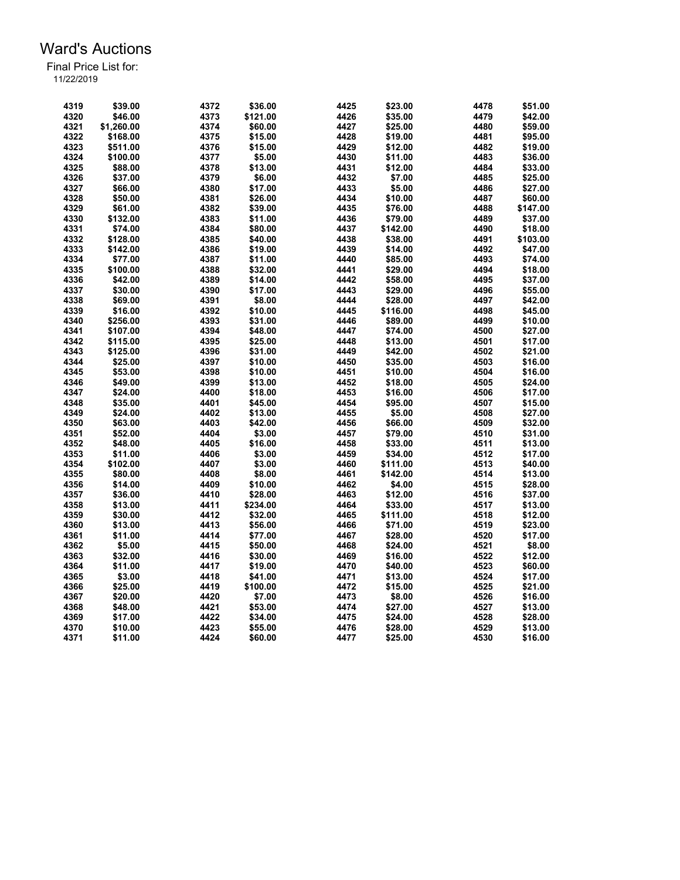| 4319 | \$39.00    | 4372 | \$36.00  | 4425 | \$23.00  | 4478 | \$51.00  |
|------|------------|------|----------|------|----------|------|----------|
| 4320 | \$46.00    | 4373 | \$121.00 | 4426 | \$35.00  | 4479 | \$42.00  |
| 4321 | \$1,260.00 | 4374 | \$60.00  | 4427 | \$25.00  | 4480 | \$59.00  |
| 4322 | \$168.00   | 4375 | \$15.00  | 4428 | \$19.00  | 4481 | \$95.00  |
| 4323 | \$511.00   | 4376 | \$15.00  | 4429 | \$12.00  | 4482 | \$19.00  |
| 4324 | \$100.00   | 4377 | \$5.00   | 4430 | \$11.00  | 4483 | \$36.00  |
| 4325 | \$88.00    | 4378 | \$13.00  | 4431 | \$12.00  | 4484 | \$33.00  |
| 4326 | \$37.00    | 4379 | \$6.00   | 4432 | \$7.00   | 4485 | \$25.00  |
| 4327 | \$66.00    | 4380 | \$17.00  | 4433 | \$5.00   | 4486 | \$27.00  |
| 4328 | \$50.00    | 4381 | \$26.00  | 4434 | \$10.00  | 4487 | \$60.00  |
| 4329 | \$61.00    | 4382 | \$39.00  | 4435 | \$76.00  | 4488 | \$147.00 |
| 4330 | \$132.00   | 4383 | \$11.00  | 4436 | \$79.00  | 4489 | \$37.00  |
| 4331 | \$74.00    | 4384 | \$80.00  | 4437 | \$142.00 | 4490 | \$18.00  |
| 4332 | \$128.00   | 4385 | \$40.00  | 4438 | \$38.00  | 4491 | \$103.00 |
| 4333 | \$142.00   | 4386 | \$19.00  | 4439 | \$14.00  | 4492 | \$47.00  |
| 4334 | \$77.00    | 4387 | \$11.00  | 4440 | \$85.00  | 4493 | \$74.00  |
| 4335 | \$100.00   | 4388 | \$32.00  | 4441 | \$29.00  | 4494 | \$18.00  |
| 4336 | \$42.00    | 4389 | \$14.00  | 4442 | \$58.00  | 4495 | \$37.00  |
| 4337 | \$30.00    | 4390 | \$17.00  | 4443 | \$29.00  | 4496 | \$55.00  |
| 4338 | \$69.00    | 4391 | \$8.00   | 4444 | \$28.00  | 4497 | \$42.00  |
| 4339 | \$16.00    | 4392 | \$10.00  | 4445 | \$116.00 | 4498 | \$45.00  |
| 4340 | \$256.00   | 4393 | \$31.00  | 4446 | \$89.00  | 4499 | \$10.00  |
| 4341 | \$107.00   | 4394 | \$48.00  | 4447 | \$74.00  | 4500 | \$27.00  |
| 4342 | \$115.00   | 4395 | \$25.00  | 4448 | \$13.00  | 4501 | \$17.00  |
| 4343 | \$125.00   | 4396 | \$31.00  | 4449 | \$42.00  | 4502 | \$21.00  |
| 4344 | \$25.00    | 4397 | \$10.00  | 4450 | \$35.00  | 4503 | \$16.00  |
| 4345 | \$53.00    | 4398 | \$10.00  | 4451 | \$10.00  | 4504 | \$16.00  |
| 4346 | \$49.00    | 4399 | \$13.00  | 4452 | \$18.00  | 4505 | \$24.00  |
| 4347 | \$24.00    | 4400 | \$18.00  | 4453 | \$16.00  | 4506 | \$17.00  |
| 4348 | \$35.00    | 4401 | \$45.00  | 4454 | \$95.00  | 4507 | \$15.00  |
| 4349 | \$24.00    | 4402 | \$13.00  | 4455 | \$5.00   | 4508 | \$27.00  |
| 4350 | \$63.00    | 4403 | \$42.00  | 4456 | \$66.00  | 4509 | \$32.00  |
| 4351 | \$52.00    | 4404 | \$3.00   | 4457 | \$79.00  | 4510 | \$31.00  |
| 4352 | \$48.00    | 4405 | \$16.00  | 4458 | \$33.00  | 4511 | \$13.00  |
| 4353 | \$11.00    | 4406 | \$3.00   | 4459 | \$34.00  | 4512 | \$17.00  |
| 4354 | \$102.00   | 4407 | \$3.00   | 4460 | \$111.00 | 4513 | \$40.00  |
| 4355 | \$80.00    | 4408 | \$8.00   | 4461 | \$142.00 | 4514 | \$13.00  |
| 4356 | \$14.00    | 4409 | \$10.00  | 4462 | \$4.00   | 4515 | \$28.00  |
| 4357 | \$36.00    | 4410 | \$28.00  | 4463 | \$12.00  | 4516 | \$37.00  |
| 4358 | \$13.00    | 4411 | \$234.00 | 4464 | \$33.00  | 4517 | \$13.00  |
| 4359 | \$30.00    | 4412 | \$32.00  | 4465 | \$111.00 | 4518 | \$12.00  |
| 4360 | \$13.00    | 4413 | \$56.00  | 4466 | \$71.00  | 4519 | \$23.00  |
| 4361 | \$11.00    | 4414 | \$77.00  | 4467 | \$28.00  | 4520 | \$17.00  |
| 4362 | \$5.00     | 4415 | \$50.00  | 4468 | \$24.00  | 4521 | \$8.00   |
| 4363 | \$32.00    | 4416 | \$30.00  | 4469 | \$16.00  | 4522 | \$12.00  |
| 4364 | \$11.00    | 4417 | \$19.00  | 4470 | \$40.00  | 4523 | \$60.00  |
| 4365 | \$3.00     | 4418 | \$41.00  | 4471 | \$13.00  | 4524 | \$17.00  |
| 4366 | \$25.00    | 4419 | \$100.00 | 4472 | \$15.00  | 4525 | \$21.00  |
| 4367 | \$20.00    | 4420 | \$7.00   | 4473 | \$8.00   | 4526 | \$16.00  |
| 4368 | \$48.00    | 4421 | \$53.00  | 4474 | \$27.00  | 4527 | \$13.00  |
| 4369 | \$17.00    | 4422 | \$34.00  | 4475 | \$24.00  | 4528 | \$28.00  |
| 4370 | \$10.00    | 4423 | \$55.00  | 4476 | \$28.00  | 4529 | \$13.00  |
| 4371 | \$11.00    | 4424 | \$60.00  | 4477 | \$25.00  | 4530 | \$16.00  |
|      |            |      |          |      |          |      |          |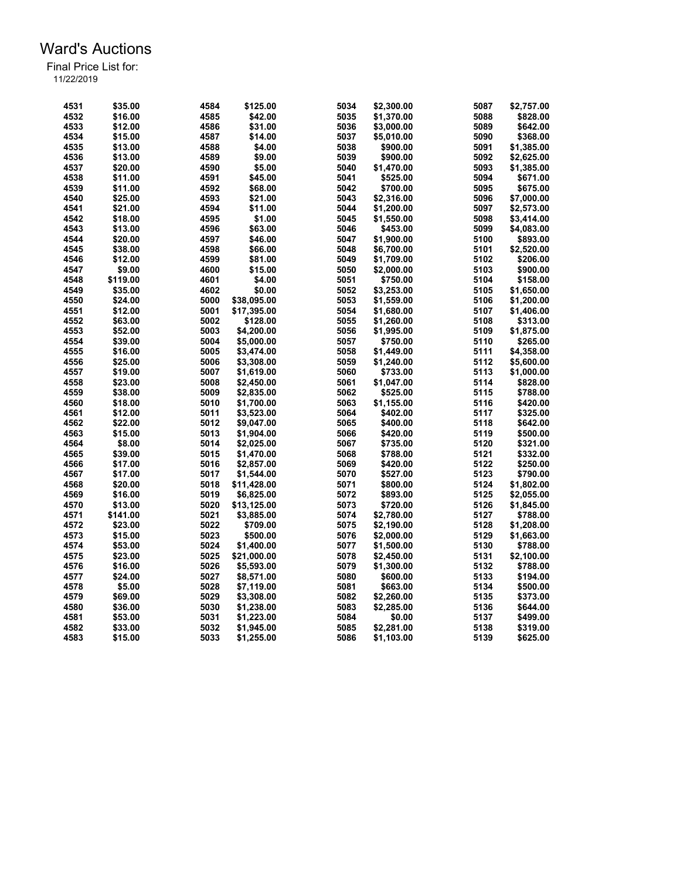| 4531 | \$35.00  | 4584 | \$125.00    | 5034 | \$2,300.00 | 5087 | \$2,757.00 |
|------|----------|------|-------------|------|------------|------|------------|
| 4532 | \$16.00  | 4585 | \$42.00     | 5035 | \$1,370.00 | 5088 | \$828.00   |
| 4533 | \$12.00  | 4586 | \$31.00     | 5036 | \$3,000.00 | 5089 | \$642.00   |
| 4534 | \$15.00  | 4587 | \$14.00     | 5037 | \$5,010.00 | 5090 | \$368.00   |
| 4535 | \$13.00  | 4588 | \$4.00      | 5038 | \$900.00   | 5091 | \$1,385.00 |
| 4536 | \$13.00  | 4589 | \$9.00      | 5039 | \$900.00   | 5092 | \$2,625.00 |
| 4537 | \$20.00  | 4590 | \$5.00      | 5040 | \$1,470.00 | 5093 | \$1,385.00 |
| 4538 | \$11.00  | 4591 | \$45.00     | 5041 | \$525.00   | 5094 | \$671.00   |
| 4539 | \$11.00  | 4592 | \$68.00     | 5042 | \$700.00   | 5095 | \$675.00   |
| 4540 | \$25.00  | 4593 | \$21.00     | 5043 | \$2,316.00 | 5096 | \$7,000.00 |
| 4541 | \$21.00  | 4594 | \$11.00     | 5044 | \$1,200.00 | 5097 | \$2,573.00 |
| 4542 | \$18.00  | 4595 | \$1.00      | 5045 | \$1,550.00 | 5098 | \$3,414.00 |
| 4543 | \$13.00  | 4596 | \$63.00     | 5046 | \$453.00   | 5099 | \$4,083.00 |
| 4544 | \$20.00  | 4597 | \$46.00     | 5047 | \$1,900.00 | 5100 | \$893.00   |
| 4545 | \$38.00  | 4598 | \$66.00     | 5048 | \$6,700.00 | 5101 | \$2,520.00 |
| 4546 | \$12.00  | 4599 | \$81.00     | 5049 | \$1,709.00 | 5102 | \$206.00   |
| 4547 | \$9.00   | 4600 | \$15.00     | 5050 | \$2,000.00 | 5103 | \$900.00   |
| 4548 | \$119.00 | 4601 | \$4.00      | 5051 | \$750.00   | 5104 | \$158.00   |
| 4549 | \$35.00  | 4602 | \$0.00      | 5052 | \$3,253.00 | 5105 | \$1,650.00 |
| 4550 | \$24.00  | 5000 | \$38,095.00 | 5053 | \$1,559.00 | 5106 | \$1,200.00 |
| 4551 | \$12.00  | 5001 | \$17,395.00 | 5054 | \$1,680.00 | 5107 | \$1,406.00 |
| 4552 | \$63.00  | 5002 | \$128.00    | 5055 | \$1,260.00 | 5108 | \$313.00   |
| 4553 | \$52.00  | 5003 | \$4.200.00  | 5056 | \$1,995.00 | 5109 | \$1,875.00 |
| 4554 | \$39.00  | 5004 | \$5,000.00  | 5057 | \$750.00   | 5110 | \$265.00   |
| 4555 | \$16.00  | 5005 | \$3,474.00  | 5058 | \$1,449.00 | 5111 | \$4,358.00 |
| 4556 | \$25.00  | 5006 | \$3,308.00  | 5059 | \$1,240.00 | 5112 | \$5,600.00 |
| 4557 | \$19.00  | 5007 | \$1,619.00  | 5060 | \$733.00   | 5113 | \$1,000.00 |
| 4558 | \$23.00  | 5008 | \$2,450.00  | 5061 | \$1,047.00 | 5114 | \$828.00   |
| 4559 | \$38.00  | 5009 | \$2,835.00  | 5062 | \$525.00   | 5115 | \$788.00   |
| 4560 | \$18.00  | 5010 | \$1,700.00  | 5063 | \$1,155.00 | 5116 | \$420.00   |
| 4561 | \$12.00  | 5011 | \$3,523.00  | 5064 | \$402.00   | 5117 | \$325.00   |
| 4562 | \$22.00  | 5012 | \$9,047.00  | 5065 | \$400.00   | 5118 | \$642.00   |
| 4563 | \$15.00  | 5013 | \$1,904.00  | 5066 | \$420.00   | 5119 | \$500.00   |
| 4564 | \$8.00   | 5014 | \$2,025.00  | 5067 | \$735.00   | 5120 | \$321.00   |
| 4565 | \$39.00  | 5015 | \$1,470.00  | 5068 | \$788.00   | 5121 | \$332.00   |
| 4566 | \$17.00  | 5016 | \$2,857.00  | 5069 | \$420.00   | 5122 | \$250.00   |
| 4567 | \$17.00  | 5017 | \$1,544.00  | 5070 | \$527.00   | 5123 | \$790.00   |
| 4568 | \$20.00  | 5018 | \$11,428.00 | 5071 | \$800.00   | 5124 | \$1,802.00 |
| 4569 | \$16.00  | 5019 | \$6,825.00  | 5072 | \$893.00   | 5125 | \$2,055.00 |
| 4570 | \$13.00  | 5020 | \$13,125.00 | 5073 | \$720.00   | 5126 | \$1,845.00 |
| 4571 | \$141.00 | 5021 | \$3,885.00  | 5074 | \$2,780.00 | 5127 | \$788.00   |
| 4572 | \$23.00  | 5022 | \$709.00    | 5075 | \$2,190.00 | 5128 | \$1,208.00 |
| 4573 | \$15.00  | 5023 | \$500.00    | 5076 | \$2,000.00 | 5129 | \$1,663.00 |
| 4574 | \$53.00  | 5024 | \$1.400.00  | 5077 | \$1,500.00 | 5130 | \$788.00   |
| 4575 | \$23.00  | 5025 | \$21,000.00 | 5078 | \$2,450.00 | 5131 | \$2,100.00 |
| 4576 | \$16.00  | 5026 | \$5,593.00  | 5079 | \$1,300.00 | 5132 | \$788.00   |
| 4577 | \$24.00  | 5027 | \$8,571.00  | 5080 | \$600.00   | 5133 | \$194.00   |
| 4578 | \$5.00   | 5028 | \$7,119.00  | 5081 | \$663.00   | 5134 | \$500.00   |
| 4579 | \$69.00  | 5029 | \$3,308.00  | 5082 | \$2,260.00 | 5135 | \$373.00   |
| 4580 | \$36.00  | 5030 | \$1,238.00  | 5083 | \$2,285.00 | 5136 | \$644.00   |
| 4581 | \$53.00  | 5031 | \$1,223.00  | 5084 | \$0.00     | 5137 | \$499.00   |
| 4582 | \$33.00  | 5032 | \$1,945.00  | 5085 | \$2,281.00 | 5138 | \$319.00   |
| 4583 | \$15.00  | 5033 | \$1,255.00  | 5086 | \$1,103.00 | 5139 | \$625.00   |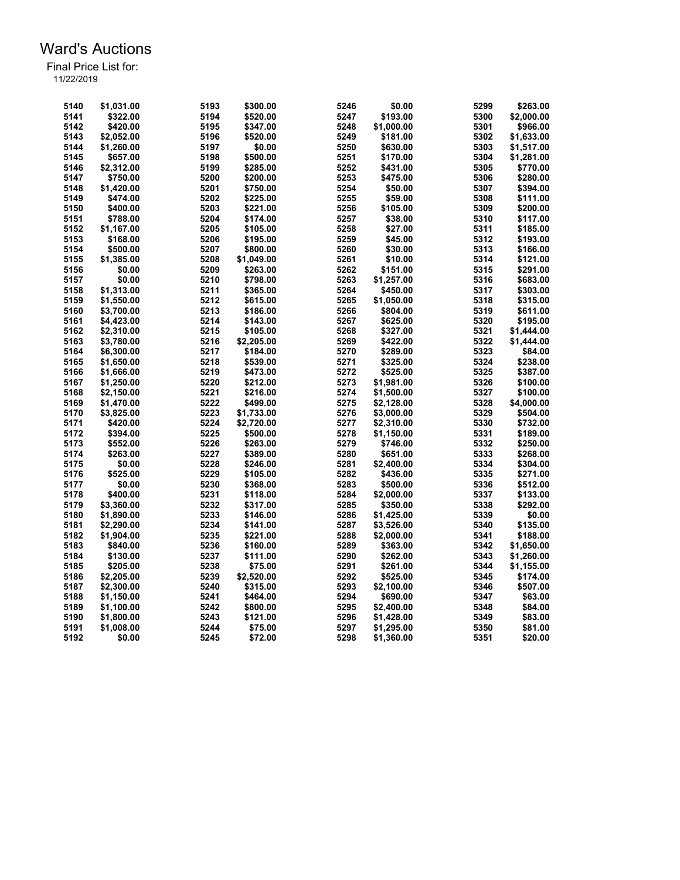| 5141<br>\$322.00<br>5194<br>5247<br>\$193.00<br>5300<br>\$2,000.00<br>\$520.00<br>5195<br>\$1,000.00<br>5301<br>5142<br>\$420.00<br>\$347.00<br>5248<br>\$966.00<br>5143<br>5196<br>5249<br>\$181.00<br>5302<br>\$1,633.00<br>\$2,052.00<br>\$520.00<br>5144<br>\$1,260.00<br>5197<br>\$0.00<br>5250<br>\$630.00<br>5303<br>\$1,517.00<br>5198<br>5145<br>\$657.00<br>\$500.00<br>5251<br>\$170.00<br>5304<br>\$1,281.00<br>5199<br>5252<br>5305<br>5146<br>\$2,312.00<br>\$285.00<br>\$431.00<br>\$770.00<br>5253<br>5147<br>\$750.00<br>5200<br>\$475.00<br>5306<br>\$280.00<br>\$200.00<br>5148<br>\$1,420.00<br>5201<br>\$750.00<br>5254<br>\$50.00<br>5307<br>\$394.00<br>\$111.00<br>5149<br>\$474.00<br>5202<br>\$225.00<br>5255<br>\$59.00<br>5308<br>5150<br>\$400.00<br>5203<br>\$221.00<br>5256<br>\$105.00<br>5309<br>\$200.00<br>5151<br>\$788.00<br>5204<br>\$174.00<br>5257<br>\$38.00<br>5310<br>\$117.00<br>5205<br>5258<br>5311<br>5152<br>\$1,167.00<br>\$105.00<br>\$27.00<br>\$185.00<br>5206<br>5259<br>5312<br>5153<br>\$168.00<br>\$195.00<br>\$45.00<br>\$193.00<br>5154<br>\$500.00<br>5207<br>\$800.00<br>5260<br>\$30.00<br>5313<br>\$166.00<br>5208<br>5155<br>\$1,385.00<br>\$1,049.00<br>5261<br>\$10.00<br>5314<br>\$121.00<br>5156<br>\$0.00<br>5209<br>\$263.00<br>5262<br>\$151.00<br>5315<br>\$291.00<br>5157<br>\$0.00<br>5210<br>5263<br>\$1,257.00<br>5316<br>\$683.00<br>\$798.00<br>5158<br>\$1,313.00<br>5211<br>5264<br>\$450.00<br>5317<br>\$365.00<br>5159<br>\$1,550.00<br>5212<br>\$615.00<br>5265<br>\$1,050.00<br>5318<br>5213<br>5266<br>5319<br>5160<br>\$3,700.00<br>\$186.00<br>\$804.00<br>5161<br>\$4,423.00<br>5214<br>\$143.00<br>5267<br>\$625.00<br>5320<br>5162<br>\$2,310.00<br>5215<br>\$105.00<br>5268<br>\$327.00<br>5321<br>5163<br>5216<br>5269<br>5322<br>\$3,780.00<br>\$2,205.00<br>\$422.00<br>5217<br>5270<br>5323<br>5164<br>\$6,300.00<br>\$184.00<br>\$289.00<br>5218<br>5324<br>5165<br>\$539.00<br>5271<br>\$325.00<br>\$238.00<br>\$1,650.00<br>5219<br>5272<br>\$525.00<br>5166<br>\$1,666.00<br>\$473.00<br>5325<br>\$387.00<br>5167<br>\$1,250.00<br>5220<br>\$212.00<br>5273<br>\$1,981.00<br>5326<br>\$100.00<br>\$2,150.00<br>5221<br>\$216.00<br>5274<br>\$1,500.00<br>5327<br>5168<br>\$100.00<br>5169<br>\$1,470.00<br>5222<br>\$499.00<br>5275<br>\$2,128.00<br>5328<br>\$4,000.00<br>5223<br>5276<br>\$3,000.00<br>5329<br>5170<br>\$3,825.00<br>\$1,733.00<br>\$504.00<br>5171<br>5224<br>5277<br>5330<br>\$732.00<br>\$420.00<br>\$2,720.00<br>\$2,310.00<br>5172<br>5225<br>\$394.00<br>\$500.00<br>5278<br>\$1,150.00<br>5331<br>\$189.00<br>5173<br>5226<br>5279<br>5332<br>\$552.00<br>\$263.00<br>\$746.00<br>\$250.00<br>5227<br>5333<br>5174<br>\$263.00<br>\$389.00<br>5280<br>\$651.00<br>\$268.00<br>5334<br>5175<br>\$0.00<br>5228<br>\$246.00<br>5281<br>\$2,400.00<br>\$304.00<br>5176<br>5229<br>5282<br>5335<br>\$525.00<br>\$105.00<br>\$436.00<br>\$271.00<br>5177<br>\$0.00<br>5230<br>5283<br>5336<br>\$512.00<br>\$368.00<br>\$500.00<br>5178<br>\$400.00<br>5231<br>\$118.00<br>5284<br>\$2,000.00<br>5337<br>\$133.00<br>5179<br>\$3,360.00<br>5232<br>\$317.00<br>5285<br>\$350.00<br>5338<br>\$292.00<br>5233<br>5286<br>5339<br>5180<br>\$1,890.00<br>\$146.00<br>\$1,425.00<br>\$0.00<br>5181<br>5234<br>\$141.00<br>5287<br>\$3,526.00<br>5340<br>\$135.00<br>\$2,290.00<br>5182<br>5235<br>5288<br>\$1,904.00<br>\$221.00<br>\$2,000.00<br>5341<br>\$188.00<br>5183<br>5236<br>5289<br>\$840.00<br>\$160.00<br>\$363.00<br>5342<br>\$1,650.00<br>5184<br>\$130.00<br>5237<br>5290<br>5343<br>\$111.00<br>\$262.00 | 5140 | \$1,031.00 | 5193 | \$300.00 | 5246 | \$0.00   | 5299 | \$263.00   |
|-----------------------------------------------------------------------------------------------------------------------------------------------------------------------------------------------------------------------------------------------------------------------------------------------------------------------------------------------------------------------------------------------------------------------------------------------------------------------------------------------------------------------------------------------------------------------------------------------------------------------------------------------------------------------------------------------------------------------------------------------------------------------------------------------------------------------------------------------------------------------------------------------------------------------------------------------------------------------------------------------------------------------------------------------------------------------------------------------------------------------------------------------------------------------------------------------------------------------------------------------------------------------------------------------------------------------------------------------------------------------------------------------------------------------------------------------------------------------------------------------------------------------------------------------------------------------------------------------------------------------------------------------------------------------------------------------------------------------------------------------------------------------------------------------------------------------------------------------------------------------------------------------------------------------------------------------------------------------------------------------------------------------------------------------------------------------------------------------------------------------------------------------------------------------------------------------------------------------------------------------------------------------------------------------------------------------------------------------------------------------------------------------------------------------------------------------------------------------------------------------------------------------------------------------------------------------------------------------------------------------------------------------------------------------------------------------------------------------------------------------------------------------------------------------------------------------------------------------------------------------------------------------------------------------------------------------------------------------------------------------------------------------------------------------------------------------------------------------------------------------------------------------------------------------------------------------------------------------------------------------------------------------------------------------------------------------------------------------------------------------------------------------------------------------------------------------------------------------------------------------------------------------------------------------------------------------------------------------------------------------------------------|------|------------|------|----------|------|----------|------|------------|
|                                                                                                                                                                                                                                                                                                                                                                                                                                                                                                                                                                                                                                                                                                                                                                                                                                                                                                                                                                                                                                                                                                                                                                                                                                                                                                                                                                                                                                                                                                                                                                                                                                                                                                                                                                                                                                                                                                                                                                                                                                                                                                                                                                                                                                                                                                                                                                                                                                                                                                                                                                                                                                                                                                                                                                                                                                                                                                                                                                                                                                                                                                                                                                                                                                                                                                                                                                                                                                                                                                                                                                                                                                         |      |            |      |          |      |          |      |            |
|                                                                                                                                                                                                                                                                                                                                                                                                                                                                                                                                                                                                                                                                                                                                                                                                                                                                                                                                                                                                                                                                                                                                                                                                                                                                                                                                                                                                                                                                                                                                                                                                                                                                                                                                                                                                                                                                                                                                                                                                                                                                                                                                                                                                                                                                                                                                                                                                                                                                                                                                                                                                                                                                                                                                                                                                                                                                                                                                                                                                                                                                                                                                                                                                                                                                                                                                                                                                                                                                                                                                                                                                                                         |      |            |      |          |      |          |      |            |
|                                                                                                                                                                                                                                                                                                                                                                                                                                                                                                                                                                                                                                                                                                                                                                                                                                                                                                                                                                                                                                                                                                                                                                                                                                                                                                                                                                                                                                                                                                                                                                                                                                                                                                                                                                                                                                                                                                                                                                                                                                                                                                                                                                                                                                                                                                                                                                                                                                                                                                                                                                                                                                                                                                                                                                                                                                                                                                                                                                                                                                                                                                                                                                                                                                                                                                                                                                                                                                                                                                                                                                                                                                         |      |            |      |          |      |          |      |            |
|                                                                                                                                                                                                                                                                                                                                                                                                                                                                                                                                                                                                                                                                                                                                                                                                                                                                                                                                                                                                                                                                                                                                                                                                                                                                                                                                                                                                                                                                                                                                                                                                                                                                                                                                                                                                                                                                                                                                                                                                                                                                                                                                                                                                                                                                                                                                                                                                                                                                                                                                                                                                                                                                                                                                                                                                                                                                                                                                                                                                                                                                                                                                                                                                                                                                                                                                                                                                                                                                                                                                                                                                                                         |      |            |      |          |      |          |      |            |
|                                                                                                                                                                                                                                                                                                                                                                                                                                                                                                                                                                                                                                                                                                                                                                                                                                                                                                                                                                                                                                                                                                                                                                                                                                                                                                                                                                                                                                                                                                                                                                                                                                                                                                                                                                                                                                                                                                                                                                                                                                                                                                                                                                                                                                                                                                                                                                                                                                                                                                                                                                                                                                                                                                                                                                                                                                                                                                                                                                                                                                                                                                                                                                                                                                                                                                                                                                                                                                                                                                                                                                                                                                         |      |            |      |          |      |          |      |            |
|                                                                                                                                                                                                                                                                                                                                                                                                                                                                                                                                                                                                                                                                                                                                                                                                                                                                                                                                                                                                                                                                                                                                                                                                                                                                                                                                                                                                                                                                                                                                                                                                                                                                                                                                                                                                                                                                                                                                                                                                                                                                                                                                                                                                                                                                                                                                                                                                                                                                                                                                                                                                                                                                                                                                                                                                                                                                                                                                                                                                                                                                                                                                                                                                                                                                                                                                                                                                                                                                                                                                                                                                                                         |      |            |      |          |      |          |      |            |
|                                                                                                                                                                                                                                                                                                                                                                                                                                                                                                                                                                                                                                                                                                                                                                                                                                                                                                                                                                                                                                                                                                                                                                                                                                                                                                                                                                                                                                                                                                                                                                                                                                                                                                                                                                                                                                                                                                                                                                                                                                                                                                                                                                                                                                                                                                                                                                                                                                                                                                                                                                                                                                                                                                                                                                                                                                                                                                                                                                                                                                                                                                                                                                                                                                                                                                                                                                                                                                                                                                                                                                                                                                         |      |            |      |          |      |          |      |            |
|                                                                                                                                                                                                                                                                                                                                                                                                                                                                                                                                                                                                                                                                                                                                                                                                                                                                                                                                                                                                                                                                                                                                                                                                                                                                                                                                                                                                                                                                                                                                                                                                                                                                                                                                                                                                                                                                                                                                                                                                                                                                                                                                                                                                                                                                                                                                                                                                                                                                                                                                                                                                                                                                                                                                                                                                                                                                                                                                                                                                                                                                                                                                                                                                                                                                                                                                                                                                                                                                                                                                                                                                                                         |      |            |      |          |      |          |      |            |
|                                                                                                                                                                                                                                                                                                                                                                                                                                                                                                                                                                                                                                                                                                                                                                                                                                                                                                                                                                                                                                                                                                                                                                                                                                                                                                                                                                                                                                                                                                                                                                                                                                                                                                                                                                                                                                                                                                                                                                                                                                                                                                                                                                                                                                                                                                                                                                                                                                                                                                                                                                                                                                                                                                                                                                                                                                                                                                                                                                                                                                                                                                                                                                                                                                                                                                                                                                                                                                                                                                                                                                                                                                         |      |            |      |          |      |          |      |            |
|                                                                                                                                                                                                                                                                                                                                                                                                                                                                                                                                                                                                                                                                                                                                                                                                                                                                                                                                                                                                                                                                                                                                                                                                                                                                                                                                                                                                                                                                                                                                                                                                                                                                                                                                                                                                                                                                                                                                                                                                                                                                                                                                                                                                                                                                                                                                                                                                                                                                                                                                                                                                                                                                                                                                                                                                                                                                                                                                                                                                                                                                                                                                                                                                                                                                                                                                                                                                                                                                                                                                                                                                                                         |      |            |      |          |      |          |      |            |
|                                                                                                                                                                                                                                                                                                                                                                                                                                                                                                                                                                                                                                                                                                                                                                                                                                                                                                                                                                                                                                                                                                                                                                                                                                                                                                                                                                                                                                                                                                                                                                                                                                                                                                                                                                                                                                                                                                                                                                                                                                                                                                                                                                                                                                                                                                                                                                                                                                                                                                                                                                                                                                                                                                                                                                                                                                                                                                                                                                                                                                                                                                                                                                                                                                                                                                                                                                                                                                                                                                                                                                                                                                         |      |            |      |          |      |          |      |            |
|                                                                                                                                                                                                                                                                                                                                                                                                                                                                                                                                                                                                                                                                                                                                                                                                                                                                                                                                                                                                                                                                                                                                                                                                                                                                                                                                                                                                                                                                                                                                                                                                                                                                                                                                                                                                                                                                                                                                                                                                                                                                                                                                                                                                                                                                                                                                                                                                                                                                                                                                                                                                                                                                                                                                                                                                                                                                                                                                                                                                                                                                                                                                                                                                                                                                                                                                                                                                                                                                                                                                                                                                                                         |      |            |      |          |      |          |      |            |
|                                                                                                                                                                                                                                                                                                                                                                                                                                                                                                                                                                                                                                                                                                                                                                                                                                                                                                                                                                                                                                                                                                                                                                                                                                                                                                                                                                                                                                                                                                                                                                                                                                                                                                                                                                                                                                                                                                                                                                                                                                                                                                                                                                                                                                                                                                                                                                                                                                                                                                                                                                                                                                                                                                                                                                                                                                                                                                                                                                                                                                                                                                                                                                                                                                                                                                                                                                                                                                                                                                                                                                                                                                         |      |            |      |          |      |          |      |            |
|                                                                                                                                                                                                                                                                                                                                                                                                                                                                                                                                                                                                                                                                                                                                                                                                                                                                                                                                                                                                                                                                                                                                                                                                                                                                                                                                                                                                                                                                                                                                                                                                                                                                                                                                                                                                                                                                                                                                                                                                                                                                                                                                                                                                                                                                                                                                                                                                                                                                                                                                                                                                                                                                                                                                                                                                                                                                                                                                                                                                                                                                                                                                                                                                                                                                                                                                                                                                                                                                                                                                                                                                                                         |      |            |      |          |      |          |      |            |
|                                                                                                                                                                                                                                                                                                                                                                                                                                                                                                                                                                                                                                                                                                                                                                                                                                                                                                                                                                                                                                                                                                                                                                                                                                                                                                                                                                                                                                                                                                                                                                                                                                                                                                                                                                                                                                                                                                                                                                                                                                                                                                                                                                                                                                                                                                                                                                                                                                                                                                                                                                                                                                                                                                                                                                                                                                                                                                                                                                                                                                                                                                                                                                                                                                                                                                                                                                                                                                                                                                                                                                                                                                         |      |            |      |          |      |          |      |            |
|                                                                                                                                                                                                                                                                                                                                                                                                                                                                                                                                                                                                                                                                                                                                                                                                                                                                                                                                                                                                                                                                                                                                                                                                                                                                                                                                                                                                                                                                                                                                                                                                                                                                                                                                                                                                                                                                                                                                                                                                                                                                                                                                                                                                                                                                                                                                                                                                                                                                                                                                                                                                                                                                                                                                                                                                                                                                                                                                                                                                                                                                                                                                                                                                                                                                                                                                                                                                                                                                                                                                                                                                                                         |      |            |      |          |      |          |      |            |
|                                                                                                                                                                                                                                                                                                                                                                                                                                                                                                                                                                                                                                                                                                                                                                                                                                                                                                                                                                                                                                                                                                                                                                                                                                                                                                                                                                                                                                                                                                                                                                                                                                                                                                                                                                                                                                                                                                                                                                                                                                                                                                                                                                                                                                                                                                                                                                                                                                                                                                                                                                                                                                                                                                                                                                                                                                                                                                                                                                                                                                                                                                                                                                                                                                                                                                                                                                                                                                                                                                                                                                                                                                         |      |            |      |          |      |          |      |            |
|                                                                                                                                                                                                                                                                                                                                                                                                                                                                                                                                                                                                                                                                                                                                                                                                                                                                                                                                                                                                                                                                                                                                                                                                                                                                                                                                                                                                                                                                                                                                                                                                                                                                                                                                                                                                                                                                                                                                                                                                                                                                                                                                                                                                                                                                                                                                                                                                                                                                                                                                                                                                                                                                                                                                                                                                                                                                                                                                                                                                                                                                                                                                                                                                                                                                                                                                                                                                                                                                                                                                                                                                                                         |      |            |      |          |      |          |      |            |
|                                                                                                                                                                                                                                                                                                                                                                                                                                                                                                                                                                                                                                                                                                                                                                                                                                                                                                                                                                                                                                                                                                                                                                                                                                                                                                                                                                                                                                                                                                                                                                                                                                                                                                                                                                                                                                                                                                                                                                                                                                                                                                                                                                                                                                                                                                                                                                                                                                                                                                                                                                                                                                                                                                                                                                                                                                                                                                                                                                                                                                                                                                                                                                                                                                                                                                                                                                                                                                                                                                                                                                                                                                         |      |            |      |          |      |          |      | \$303.00   |
|                                                                                                                                                                                                                                                                                                                                                                                                                                                                                                                                                                                                                                                                                                                                                                                                                                                                                                                                                                                                                                                                                                                                                                                                                                                                                                                                                                                                                                                                                                                                                                                                                                                                                                                                                                                                                                                                                                                                                                                                                                                                                                                                                                                                                                                                                                                                                                                                                                                                                                                                                                                                                                                                                                                                                                                                                                                                                                                                                                                                                                                                                                                                                                                                                                                                                                                                                                                                                                                                                                                                                                                                                                         |      |            |      |          |      |          |      | \$315.00   |
|                                                                                                                                                                                                                                                                                                                                                                                                                                                                                                                                                                                                                                                                                                                                                                                                                                                                                                                                                                                                                                                                                                                                                                                                                                                                                                                                                                                                                                                                                                                                                                                                                                                                                                                                                                                                                                                                                                                                                                                                                                                                                                                                                                                                                                                                                                                                                                                                                                                                                                                                                                                                                                                                                                                                                                                                                                                                                                                                                                                                                                                                                                                                                                                                                                                                                                                                                                                                                                                                                                                                                                                                                                         |      |            |      |          |      |          |      | \$611.00   |
|                                                                                                                                                                                                                                                                                                                                                                                                                                                                                                                                                                                                                                                                                                                                                                                                                                                                                                                                                                                                                                                                                                                                                                                                                                                                                                                                                                                                                                                                                                                                                                                                                                                                                                                                                                                                                                                                                                                                                                                                                                                                                                                                                                                                                                                                                                                                                                                                                                                                                                                                                                                                                                                                                                                                                                                                                                                                                                                                                                                                                                                                                                                                                                                                                                                                                                                                                                                                                                                                                                                                                                                                                                         |      |            |      |          |      |          |      | \$195.00   |
|                                                                                                                                                                                                                                                                                                                                                                                                                                                                                                                                                                                                                                                                                                                                                                                                                                                                                                                                                                                                                                                                                                                                                                                                                                                                                                                                                                                                                                                                                                                                                                                                                                                                                                                                                                                                                                                                                                                                                                                                                                                                                                                                                                                                                                                                                                                                                                                                                                                                                                                                                                                                                                                                                                                                                                                                                                                                                                                                                                                                                                                                                                                                                                                                                                                                                                                                                                                                                                                                                                                                                                                                                                         |      |            |      |          |      |          |      | \$1,444.00 |
|                                                                                                                                                                                                                                                                                                                                                                                                                                                                                                                                                                                                                                                                                                                                                                                                                                                                                                                                                                                                                                                                                                                                                                                                                                                                                                                                                                                                                                                                                                                                                                                                                                                                                                                                                                                                                                                                                                                                                                                                                                                                                                                                                                                                                                                                                                                                                                                                                                                                                                                                                                                                                                                                                                                                                                                                                                                                                                                                                                                                                                                                                                                                                                                                                                                                                                                                                                                                                                                                                                                                                                                                                                         |      |            |      |          |      |          |      | \$1,444.00 |
|                                                                                                                                                                                                                                                                                                                                                                                                                                                                                                                                                                                                                                                                                                                                                                                                                                                                                                                                                                                                                                                                                                                                                                                                                                                                                                                                                                                                                                                                                                                                                                                                                                                                                                                                                                                                                                                                                                                                                                                                                                                                                                                                                                                                                                                                                                                                                                                                                                                                                                                                                                                                                                                                                                                                                                                                                                                                                                                                                                                                                                                                                                                                                                                                                                                                                                                                                                                                                                                                                                                                                                                                                                         |      |            |      |          |      |          |      | \$84.00    |
|                                                                                                                                                                                                                                                                                                                                                                                                                                                                                                                                                                                                                                                                                                                                                                                                                                                                                                                                                                                                                                                                                                                                                                                                                                                                                                                                                                                                                                                                                                                                                                                                                                                                                                                                                                                                                                                                                                                                                                                                                                                                                                                                                                                                                                                                                                                                                                                                                                                                                                                                                                                                                                                                                                                                                                                                                                                                                                                                                                                                                                                                                                                                                                                                                                                                                                                                                                                                                                                                                                                                                                                                                                         |      |            |      |          |      |          |      |            |
|                                                                                                                                                                                                                                                                                                                                                                                                                                                                                                                                                                                                                                                                                                                                                                                                                                                                                                                                                                                                                                                                                                                                                                                                                                                                                                                                                                                                                                                                                                                                                                                                                                                                                                                                                                                                                                                                                                                                                                                                                                                                                                                                                                                                                                                                                                                                                                                                                                                                                                                                                                                                                                                                                                                                                                                                                                                                                                                                                                                                                                                                                                                                                                                                                                                                                                                                                                                                                                                                                                                                                                                                                                         |      |            |      |          |      |          |      |            |
|                                                                                                                                                                                                                                                                                                                                                                                                                                                                                                                                                                                                                                                                                                                                                                                                                                                                                                                                                                                                                                                                                                                                                                                                                                                                                                                                                                                                                                                                                                                                                                                                                                                                                                                                                                                                                                                                                                                                                                                                                                                                                                                                                                                                                                                                                                                                                                                                                                                                                                                                                                                                                                                                                                                                                                                                                                                                                                                                                                                                                                                                                                                                                                                                                                                                                                                                                                                                                                                                                                                                                                                                                                         |      |            |      |          |      |          |      |            |
|                                                                                                                                                                                                                                                                                                                                                                                                                                                                                                                                                                                                                                                                                                                                                                                                                                                                                                                                                                                                                                                                                                                                                                                                                                                                                                                                                                                                                                                                                                                                                                                                                                                                                                                                                                                                                                                                                                                                                                                                                                                                                                                                                                                                                                                                                                                                                                                                                                                                                                                                                                                                                                                                                                                                                                                                                                                                                                                                                                                                                                                                                                                                                                                                                                                                                                                                                                                                                                                                                                                                                                                                                                         |      |            |      |          |      |          |      |            |
|                                                                                                                                                                                                                                                                                                                                                                                                                                                                                                                                                                                                                                                                                                                                                                                                                                                                                                                                                                                                                                                                                                                                                                                                                                                                                                                                                                                                                                                                                                                                                                                                                                                                                                                                                                                                                                                                                                                                                                                                                                                                                                                                                                                                                                                                                                                                                                                                                                                                                                                                                                                                                                                                                                                                                                                                                                                                                                                                                                                                                                                                                                                                                                                                                                                                                                                                                                                                                                                                                                                                                                                                                                         |      |            |      |          |      |          |      |            |
|                                                                                                                                                                                                                                                                                                                                                                                                                                                                                                                                                                                                                                                                                                                                                                                                                                                                                                                                                                                                                                                                                                                                                                                                                                                                                                                                                                                                                                                                                                                                                                                                                                                                                                                                                                                                                                                                                                                                                                                                                                                                                                                                                                                                                                                                                                                                                                                                                                                                                                                                                                                                                                                                                                                                                                                                                                                                                                                                                                                                                                                                                                                                                                                                                                                                                                                                                                                                                                                                                                                                                                                                                                         |      |            |      |          |      |          |      |            |
|                                                                                                                                                                                                                                                                                                                                                                                                                                                                                                                                                                                                                                                                                                                                                                                                                                                                                                                                                                                                                                                                                                                                                                                                                                                                                                                                                                                                                                                                                                                                                                                                                                                                                                                                                                                                                                                                                                                                                                                                                                                                                                                                                                                                                                                                                                                                                                                                                                                                                                                                                                                                                                                                                                                                                                                                                                                                                                                                                                                                                                                                                                                                                                                                                                                                                                                                                                                                                                                                                                                                                                                                                                         |      |            |      |          |      |          |      |            |
|                                                                                                                                                                                                                                                                                                                                                                                                                                                                                                                                                                                                                                                                                                                                                                                                                                                                                                                                                                                                                                                                                                                                                                                                                                                                                                                                                                                                                                                                                                                                                                                                                                                                                                                                                                                                                                                                                                                                                                                                                                                                                                                                                                                                                                                                                                                                                                                                                                                                                                                                                                                                                                                                                                                                                                                                                                                                                                                                                                                                                                                                                                                                                                                                                                                                                                                                                                                                                                                                                                                                                                                                                                         |      |            |      |          |      |          |      |            |
|                                                                                                                                                                                                                                                                                                                                                                                                                                                                                                                                                                                                                                                                                                                                                                                                                                                                                                                                                                                                                                                                                                                                                                                                                                                                                                                                                                                                                                                                                                                                                                                                                                                                                                                                                                                                                                                                                                                                                                                                                                                                                                                                                                                                                                                                                                                                                                                                                                                                                                                                                                                                                                                                                                                                                                                                                                                                                                                                                                                                                                                                                                                                                                                                                                                                                                                                                                                                                                                                                                                                                                                                                                         |      |            |      |          |      |          |      |            |
|                                                                                                                                                                                                                                                                                                                                                                                                                                                                                                                                                                                                                                                                                                                                                                                                                                                                                                                                                                                                                                                                                                                                                                                                                                                                                                                                                                                                                                                                                                                                                                                                                                                                                                                                                                                                                                                                                                                                                                                                                                                                                                                                                                                                                                                                                                                                                                                                                                                                                                                                                                                                                                                                                                                                                                                                                                                                                                                                                                                                                                                                                                                                                                                                                                                                                                                                                                                                                                                                                                                                                                                                                                         |      |            |      |          |      |          |      |            |
|                                                                                                                                                                                                                                                                                                                                                                                                                                                                                                                                                                                                                                                                                                                                                                                                                                                                                                                                                                                                                                                                                                                                                                                                                                                                                                                                                                                                                                                                                                                                                                                                                                                                                                                                                                                                                                                                                                                                                                                                                                                                                                                                                                                                                                                                                                                                                                                                                                                                                                                                                                                                                                                                                                                                                                                                                                                                                                                                                                                                                                                                                                                                                                                                                                                                                                                                                                                                                                                                                                                                                                                                                                         |      |            |      |          |      |          |      |            |
|                                                                                                                                                                                                                                                                                                                                                                                                                                                                                                                                                                                                                                                                                                                                                                                                                                                                                                                                                                                                                                                                                                                                                                                                                                                                                                                                                                                                                                                                                                                                                                                                                                                                                                                                                                                                                                                                                                                                                                                                                                                                                                                                                                                                                                                                                                                                                                                                                                                                                                                                                                                                                                                                                                                                                                                                                                                                                                                                                                                                                                                                                                                                                                                                                                                                                                                                                                                                                                                                                                                                                                                                                                         |      |            |      |          |      |          |      |            |
|                                                                                                                                                                                                                                                                                                                                                                                                                                                                                                                                                                                                                                                                                                                                                                                                                                                                                                                                                                                                                                                                                                                                                                                                                                                                                                                                                                                                                                                                                                                                                                                                                                                                                                                                                                                                                                                                                                                                                                                                                                                                                                                                                                                                                                                                                                                                                                                                                                                                                                                                                                                                                                                                                                                                                                                                                                                                                                                                                                                                                                                                                                                                                                                                                                                                                                                                                                                                                                                                                                                                                                                                                                         |      |            |      |          |      |          |      |            |
|                                                                                                                                                                                                                                                                                                                                                                                                                                                                                                                                                                                                                                                                                                                                                                                                                                                                                                                                                                                                                                                                                                                                                                                                                                                                                                                                                                                                                                                                                                                                                                                                                                                                                                                                                                                                                                                                                                                                                                                                                                                                                                                                                                                                                                                                                                                                                                                                                                                                                                                                                                                                                                                                                                                                                                                                                                                                                                                                                                                                                                                                                                                                                                                                                                                                                                                                                                                                                                                                                                                                                                                                                                         |      |            |      |          |      |          |      |            |
|                                                                                                                                                                                                                                                                                                                                                                                                                                                                                                                                                                                                                                                                                                                                                                                                                                                                                                                                                                                                                                                                                                                                                                                                                                                                                                                                                                                                                                                                                                                                                                                                                                                                                                                                                                                                                                                                                                                                                                                                                                                                                                                                                                                                                                                                                                                                                                                                                                                                                                                                                                                                                                                                                                                                                                                                                                                                                                                                                                                                                                                                                                                                                                                                                                                                                                                                                                                                                                                                                                                                                                                                                                         |      |            |      |          |      |          |      |            |
|                                                                                                                                                                                                                                                                                                                                                                                                                                                                                                                                                                                                                                                                                                                                                                                                                                                                                                                                                                                                                                                                                                                                                                                                                                                                                                                                                                                                                                                                                                                                                                                                                                                                                                                                                                                                                                                                                                                                                                                                                                                                                                                                                                                                                                                                                                                                                                                                                                                                                                                                                                                                                                                                                                                                                                                                                                                                                                                                                                                                                                                                                                                                                                                                                                                                                                                                                                                                                                                                                                                                                                                                                                         |      |            |      |          |      |          |      |            |
|                                                                                                                                                                                                                                                                                                                                                                                                                                                                                                                                                                                                                                                                                                                                                                                                                                                                                                                                                                                                                                                                                                                                                                                                                                                                                                                                                                                                                                                                                                                                                                                                                                                                                                                                                                                                                                                                                                                                                                                                                                                                                                                                                                                                                                                                                                                                                                                                                                                                                                                                                                                                                                                                                                                                                                                                                                                                                                                                                                                                                                                                                                                                                                                                                                                                                                                                                                                                                                                                                                                                                                                                                                         |      |            |      |          |      |          |      |            |
|                                                                                                                                                                                                                                                                                                                                                                                                                                                                                                                                                                                                                                                                                                                                                                                                                                                                                                                                                                                                                                                                                                                                                                                                                                                                                                                                                                                                                                                                                                                                                                                                                                                                                                                                                                                                                                                                                                                                                                                                                                                                                                                                                                                                                                                                                                                                                                                                                                                                                                                                                                                                                                                                                                                                                                                                                                                                                                                                                                                                                                                                                                                                                                                                                                                                                                                                                                                                                                                                                                                                                                                                                                         |      |            |      |          |      |          |      |            |
|                                                                                                                                                                                                                                                                                                                                                                                                                                                                                                                                                                                                                                                                                                                                                                                                                                                                                                                                                                                                                                                                                                                                                                                                                                                                                                                                                                                                                                                                                                                                                                                                                                                                                                                                                                                                                                                                                                                                                                                                                                                                                                                                                                                                                                                                                                                                                                                                                                                                                                                                                                                                                                                                                                                                                                                                                                                                                                                                                                                                                                                                                                                                                                                                                                                                                                                                                                                                                                                                                                                                                                                                                                         |      |            |      |          |      |          |      |            |
|                                                                                                                                                                                                                                                                                                                                                                                                                                                                                                                                                                                                                                                                                                                                                                                                                                                                                                                                                                                                                                                                                                                                                                                                                                                                                                                                                                                                                                                                                                                                                                                                                                                                                                                                                                                                                                                                                                                                                                                                                                                                                                                                                                                                                                                                                                                                                                                                                                                                                                                                                                                                                                                                                                                                                                                                                                                                                                                                                                                                                                                                                                                                                                                                                                                                                                                                                                                                                                                                                                                                                                                                                                         |      |            |      |          |      |          |      |            |
|                                                                                                                                                                                                                                                                                                                                                                                                                                                                                                                                                                                                                                                                                                                                                                                                                                                                                                                                                                                                                                                                                                                                                                                                                                                                                                                                                                                                                                                                                                                                                                                                                                                                                                                                                                                                                                                                                                                                                                                                                                                                                                                                                                                                                                                                                                                                                                                                                                                                                                                                                                                                                                                                                                                                                                                                                                                                                                                                                                                                                                                                                                                                                                                                                                                                                                                                                                                                                                                                                                                                                                                                                                         |      |            |      |          |      |          |      | \$1,260.00 |
|                                                                                                                                                                                                                                                                                                                                                                                                                                                                                                                                                                                                                                                                                                                                                                                                                                                                                                                                                                                                                                                                                                                                                                                                                                                                                                                                                                                                                                                                                                                                                                                                                                                                                                                                                                                                                                                                                                                                                                                                                                                                                                                                                                                                                                                                                                                                                                                                                                                                                                                                                                                                                                                                                                                                                                                                                                                                                                                                                                                                                                                                                                                                                                                                                                                                                                                                                                                                                                                                                                                                                                                                                                         | 5185 | \$205.00   | 5238 | \$75.00  | 5291 | \$261.00 | 5344 | \$1,155.00 |
| 5186<br>\$2,205.00<br>5239<br>\$2,520.00<br>5292<br>\$525.00<br>5345                                                                                                                                                                                                                                                                                                                                                                                                                                                                                                                                                                                                                                                                                                                                                                                                                                                                                                                                                                                                                                                                                                                                                                                                                                                                                                                                                                                                                                                                                                                                                                                                                                                                                                                                                                                                                                                                                                                                                                                                                                                                                                                                                                                                                                                                                                                                                                                                                                                                                                                                                                                                                                                                                                                                                                                                                                                                                                                                                                                                                                                                                                                                                                                                                                                                                                                                                                                                                                                                                                                                                                    |      |            |      |          |      |          |      | \$174.00   |
| 5293<br>5346<br>5187<br>\$2,300.00<br>5240<br>\$315.00<br>\$2,100.00                                                                                                                                                                                                                                                                                                                                                                                                                                                                                                                                                                                                                                                                                                                                                                                                                                                                                                                                                                                                                                                                                                                                                                                                                                                                                                                                                                                                                                                                                                                                                                                                                                                                                                                                                                                                                                                                                                                                                                                                                                                                                                                                                                                                                                                                                                                                                                                                                                                                                                                                                                                                                                                                                                                                                                                                                                                                                                                                                                                                                                                                                                                                                                                                                                                                                                                                                                                                                                                                                                                                                                    |      |            |      |          |      |          |      | \$507.00   |
| 5188<br>\$1,150.00<br>5241<br>\$464.00<br>5294<br>\$690.00<br>5347                                                                                                                                                                                                                                                                                                                                                                                                                                                                                                                                                                                                                                                                                                                                                                                                                                                                                                                                                                                                                                                                                                                                                                                                                                                                                                                                                                                                                                                                                                                                                                                                                                                                                                                                                                                                                                                                                                                                                                                                                                                                                                                                                                                                                                                                                                                                                                                                                                                                                                                                                                                                                                                                                                                                                                                                                                                                                                                                                                                                                                                                                                                                                                                                                                                                                                                                                                                                                                                                                                                                                                      |      |            |      |          |      |          |      | \$63.00    |
| 5189<br>\$1,100.00<br>5242<br>\$800.00<br>5295<br>\$2,400.00<br>5348                                                                                                                                                                                                                                                                                                                                                                                                                                                                                                                                                                                                                                                                                                                                                                                                                                                                                                                                                                                                                                                                                                                                                                                                                                                                                                                                                                                                                                                                                                                                                                                                                                                                                                                                                                                                                                                                                                                                                                                                                                                                                                                                                                                                                                                                                                                                                                                                                                                                                                                                                                                                                                                                                                                                                                                                                                                                                                                                                                                                                                                                                                                                                                                                                                                                                                                                                                                                                                                                                                                                                                    |      |            |      |          |      |          |      | \$84.00    |
| 5190<br>5243<br>5296<br>\$1,428.00<br>5349<br>\$1,800.00<br>\$121.00                                                                                                                                                                                                                                                                                                                                                                                                                                                                                                                                                                                                                                                                                                                                                                                                                                                                                                                                                                                                                                                                                                                                                                                                                                                                                                                                                                                                                                                                                                                                                                                                                                                                                                                                                                                                                                                                                                                                                                                                                                                                                                                                                                                                                                                                                                                                                                                                                                                                                                                                                                                                                                                                                                                                                                                                                                                                                                                                                                                                                                                                                                                                                                                                                                                                                                                                                                                                                                                                                                                                                                    |      |            |      |          |      |          |      | \$83.00    |
| 5191<br>\$1,008.00<br>5244<br>5297<br>\$1,295.00<br>\$75.00<br>5350                                                                                                                                                                                                                                                                                                                                                                                                                                                                                                                                                                                                                                                                                                                                                                                                                                                                                                                                                                                                                                                                                                                                                                                                                                                                                                                                                                                                                                                                                                                                                                                                                                                                                                                                                                                                                                                                                                                                                                                                                                                                                                                                                                                                                                                                                                                                                                                                                                                                                                                                                                                                                                                                                                                                                                                                                                                                                                                                                                                                                                                                                                                                                                                                                                                                                                                                                                                                                                                                                                                                                                     |      |            |      |          |      |          |      | \$81.00    |
| 5245<br>5298<br>\$1,360.00<br>5351<br>5192<br>\$0.00<br>\$72.00                                                                                                                                                                                                                                                                                                                                                                                                                                                                                                                                                                                                                                                                                                                                                                                                                                                                                                                                                                                                                                                                                                                                                                                                                                                                                                                                                                                                                                                                                                                                                                                                                                                                                                                                                                                                                                                                                                                                                                                                                                                                                                                                                                                                                                                                                                                                                                                                                                                                                                                                                                                                                                                                                                                                                                                                                                                                                                                                                                                                                                                                                                                                                                                                                                                                                                                                                                                                                                                                                                                                                                         |      |            |      |          |      |          |      | \$20.00    |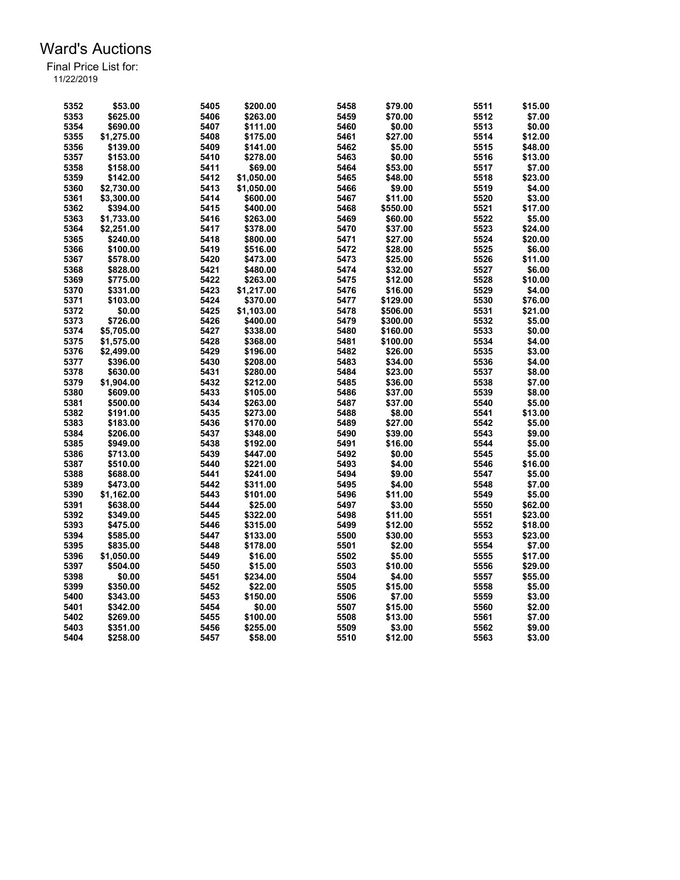| 5352 | \$53.00    | 5405 | \$200.00   | 5458 | \$79.00  | 5511 | \$15.00 |
|------|------------|------|------------|------|----------|------|---------|
| 5353 | \$625.00   | 5406 | \$263.00   | 5459 | \$70.00  | 5512 | \$7.00  |
| 5354 | \$690.00   | 5407 | \$111.00   | 5460 | \$0.00   | 5513 | \$0.00  |
| 5355 | \$1,275.00 | 5408 | \$175.00   | 5461 | \$27.00  | 5514 | \$12.00 |
| 5356 | \$139.00   | 5409 | \$141.00   | 5462 | \$5.00   | 5515 | \$48.00 |
| 5357 | \$153.00   | 5410 | \$278.00   | 5463 | \$0.00   | 5516 | \$13.00 |
| 5358 | \$158.00   | 5411 | \$69.00    | 5464 | \$53.00  | 5517 | \$7.00  |
| 5359 | \$142.00   | 5412 | \$1,050.00 | 5465 | \$48.00  | 5518 | \$23.00 |
| 5360 | \$2,730.00 | 5413 | \$1,050.00 | 5466 | \$9.00   | 5519 | \$4.00  |
| 5361 | \$3,300.00 | 5414 | \$600.00   | 5467 | \$11.00  | 5520 | \$3.00  |
| 5362 | \$394.00   | 5415 | \$400.00   | 5468 | \$550.00 | 5521 | \$17.00 |
| 5363 | \$1,733.00 | 5416 | \$263.00   | 5469 | \$60.00  | 5522 | \$5.00  |
| 5364 | \$2,251.00 | 5417 | \$378.00   | 5470 | \$37.00  | 5523 | \$24.00 |
| 5365 | \$240.00   | 5418 | \$800.00   | 5471 | \$27.00  | 5524 | \$20.00 |
| 5366 | \$100.00   | 5419 | \$516.00   | 5472 | \$28.00  | 5525 | \$6.00  |
| 5367 | \$578.00   | 5420 | \$473.00   | 5473 | \$25.00  | 5526 | \$11.00 |
| 5368 | \$828.00   | 5421 | \$480.00   | 5474 | \$32.00  | 5527 | \$6.00  |
| 5369 | \$775.00   | 5422 | \$263.00   | 5475 | \$12.00  | 5528 | \$10.00 |
| 5370 | \$331.00   | 5423 | \$1,217.00 | 5476 | \$16.00  | 5529 | \$4.00  |
| 5371 | \$103.00   | 5424 | \$370.00   | 5477 | \$129.00 | 5530 | \$76.00 |
| 5372 | \$0.00     | 5425 | \$1,103.00 | 5478 | \$506.00 | 5531 | \$21.00 |
| 5373 | \$726.00   | 5426 | \$400.00   | 5479 | \$300.00 | 5532 | \$5.00  |
| 5374 | \$5.705.00 | 5427 | \$338.00   | 5480 | \$160.00 | 5533 | \$0.00  |
| 5375 | \$1,575.00 | 5428 | \$368.00   | 5481 | \$100.00 | 5534 | \$4.00  |
| 5376 | \$2.499.00 | 5429 | \$196.00   | 5482 | \$26.00  | 5535 | \$3.00  |
| 5377 | \$396.00   | 5430 | \$208.00   | 5483 | \$34.00  | 5536 | \$4.00  |
| 5378 | \$630.00   | 5431 | \$280.00   | 5484 | \$23.00  | 5537 | \$8.00  |
| 5379 | \$1,904.00 | 5432 | \$212.00   | 5485 | \$36.00  | 5538 | \$7.00  |
| 5380 | \$609.00   | 5433 | \$105.00   | 5486 | \$37.00  | 5539 | \$8.00  |
| 5381 | \$500.00   | 5434 | \$263.00   | 5487 | \$37.00  | 5540 | \$5.00  |
| 5382 |            | 5435 | \$273.00   | 5488 | \$8.00   | 5541 | \$13.00 |
| 5383 | \$191.00   | 5436 |            | 5489 | \$27.00  | 5542 | \$5.00  |
|      | \$183.00   |      | \$170.00   |      |          |      |         |
| 5384 | \$206.00   | 5437 | \$348.00   | 5490 | \$39.00  | 5543 | \$9.00  |
| 5385 | \$949.00   | 5438 | \$192.00   | 5491 | \$16.00  | 5544 | \$5.00  |
| 5386 | \$713.00   | 5439 | \$447.00   | 5492 | \$0.00   | 5545 | \$5.00  |
| 5387 | \$510.00   | 5440 | \$221.00   | 5493 | \$4.00   | 5546 | \$16.00 |
| 5388 | \$688.00   | 5441 | \$241.00   | 5494 | \$9.00   | 5547 | \$5.00  |
| 5389 | \$473.00   | 5442 | \$311.00   | 5495 | \$4.00   | 5548 | \$7.00  |
| 5390 | \$1,162.00 | 5443 | \$101.00   | 5496 | \$11.00  | 5549 | \$5.00  |
| 5391 | \$638.00   | 5444 | \$25.00    | 5497 | \$3.00   | 5550 | \$62.00 |
| 5392 | \$349.00   | 5445 | \$322.00   | 5498 | \$11.00  | 5551 | \$23.00 |
| 5393 | \$475.00   | 5446 | \$315.00   | 5499 | \$12.00  | 5552 | \$18.00 |
| 5394 | \$585.00   | 5447 | \$133.00   | 5500 | \$30.00  | 5553 | \$23.00 |
| 5395 | \$835.00   | 5448 | \$178.00   | 5501 | \$2.00   | 5554 | \$7.00  |
| 5396 | \$1,050.00 | 5449 | \$16.00    | 5502 | \$5.00   | 5555 | \$17.00 |
| 5397 | \$504.00   | 5450 | \$15.00    | 5503 | \$10.00  | 5556 | \$29.00 |
| 5398 | \$0.00     | 5451 | \$234.00   | 5504 | \$4.00   | 5557 | \$55.00 |
| 5399 | \$350.00   | 5452 | \$22.00    | 5505 | \$15.00  | 5558 | \$5.00  |
| 5400 | \$343.00   | 5453 | \$150.00   | 5506 | \$7.00   | 5559 | \$3.00  |
| 5401 | \$342.00   | 5454 | \$0.00     | 5507 | \$15.00  | 5560 | \$2.00  |
| 5402 | \$269.00   | 5455 | \$100.00   | 5508 | \$13.00  | 5561 | \$7.00  |
| 5403 | \$351.00   | 5456 | \$255.00   | 5509 | \$3.00   | 5562 | \$9.00  |
| 5404 | \$258.00   | 5457 | \$58.00    | 5510 | \$12.00  | 5563 | \$3.00  |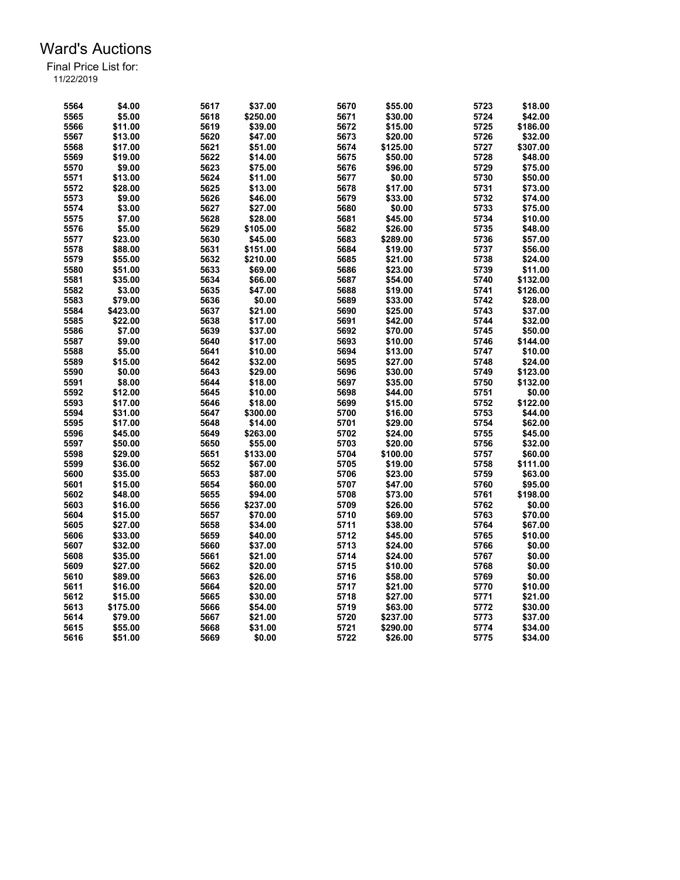| 5564 | \$4.00   | 5617 | \$37.00  | 5670 | \$55.00  | 5723 | \$18.00  |
|------|----------|------|----------|------|----------|------|----------|
| 5565 | \$5.00   | 5618 | \$250.00 | 5671 | \$30.00  | 5724 | \$42.00  |
| 5566 | \$11.00  | 5619 | \$39.00  | 5672 | \$15.00  | 5725 | \$186.00 |
| 5567 | \$13.00  | 5620 | \$47.00  | 5673 | \$20.00  | 5726 | \$32.00  |
| 5568 | \$17.00  | 5621 | \$51.00  | 5674 | \$125.00 | 5727 | \$307.00 |
|      |          |      |          |      |          |      |          |
| 5569 | \$19.00  | 5622 | \$14.00  | 5675 | \$50.00  | 5728 | \$48.00  |
| 5570 | \$9.00   | 5623 | \$75.00  | 5676 | \$96.00  | 5729 | \$75.00  |
| 5571 | \$13.00  | 5624 | \$11.00  | 5677 | \$0.00   | 5730 | \$50.00  |
| 5572 | \$28.00  | 5625 | \$13.00  | 5678 | \$17.00  | 5731 | \$73.00  |
| 5573 | \$9.00   | 5626 | \$46.00  | 5679 | \$33.00  | 5732 | \$74.00  |
| 5574 | \$3.00   | 5627 | \$27.00  | 5680 | \$0.00   | 5733 | \$75.00  |
| 5575 | \$7.00   | 5628 | \$28.00  | 5681 | \$45.00  | 5734 | \$10.00  |
| 5576 | \$5.00   | 5629 | \$105.00 | 5682 | \$26.00  | 5735 | \$48.00  |
| 5577 | \$23.00  | 5630 | \$45.00  | 5683 | \$289.00 | 5736 | \$57.00  |
| 5578 | \$88.00  | 5631 | \$151.00 | 5684 | \$19.00  | 5737 | \$56.00  |
| 5579 | \$55.00  | 5632 | \$210.00 | 5685 | \$21.00  | 5738 | \$24.00  |
| 5580 | \$51.00  | 5633 | \$69.00  | 5686 | \$23.00  | 5739 | \$11.00  |
| 5581 | \$35.00  | 5634 | \$66.00  | 5687 | \$54.00  | 5740 | \$132.00 |
| 5582 | \$3.00   | 5635 | \$47.00  | 5688 | \$19.00  | 5741 | \$126.00 |
| 5583 | \$79.00  | 5636 | \$0.00   | 5689 | \$33.00  | 5742 | \$28.00  |
| 5584 | \$423.00 | 5637 | \$21.00  | 5690 | \$25.00  | 5743 | \$37.00  |
| 5585 | \$22.00  | 5638 | \$17.00  | 5691 | \$42.00  | 5744 | \$32.00  |
| 5586 | \$7.00   | 5639 | \$37.00  | 5692 | \$70.00  | 5745 | \$50.00  |
| 5587 | \$9.00   | 5640 | \$17.00  | 5693 | \$10.00  | 5746 | \$144.00 |
| 5588 | \$5.00   | 5641 | \$10.00  | 5694 | \$13.00  | 5747 | \$10.00  |
| 5589 | \$15.00  | 5642 | \$32.00  | 5695 | \$27.00  | 5748 | \$24.00  |
| 5590 | \$0.00   | 5643 | \$29.00  | 5696 | \$30.00  | 5749 | \$123.00 |
| 5591 | \$8.00   | 5644 | \$18.00  | 5697 | \$35.00  | 5750 | \$132.00 |
| 5592 | \$12.00  | 5645 | \$10.00  | 5698 | \$44.00  | 5751 | \$0.00   |
| 5593 |          | 5646 | \$18.00  | 5699 |          |      | \$122.00 |
|      | \$17.00  |      |          |      | \$15.00  | 5752 |          |
| 5594 | \$31.00  | 5647 | \$300.00 | 5700 | \$16.00  | 5753 | \$44.00  |
| 5595 | \$17.00  | 5648 | \$14.00  | 5701 | \$29.00  | 5754 | \$62.00  |
| 5596 | \$45.00  | 5649 | \$263.00 | 5702 | \$24.00  | 5755 | \$45.00  |
| 5597 | \$50.00  | 5650 | \$55.00  | 5703 | \$20.00  | 5756 | \$32.00  |
| 5598 | \$29.00  | 5651 | \$133.00 | 5704 | \$100.00 | 5757 | \$60.00  |
| 5599 | \$36.00  | 5652 | \$67.00  | 5705 | \$19.00  | 5758 | \$111.00 |
| 5600 | \$35.00  | 5653 | \$87.00  | 5706 | \$23.00  | 5759 | \$63.00  |
| 5601 | \$15.00  | 5654 | \$60.00  | 5707 | \$47.00  | 5760 | \$95.00  |
| 5602 | \$48.00  | 5655 | \$94.00  | 5708 | \$73.00  | 5761 | \$198.00 |
| 5603 | \$16.00  | 5656 | \$237.00 | 5709 | \$26.00  | 5762 | \$0.00   |
| 5604 | \$15.00  | 5657 | \$70.00  | 5710 | \$69.00  | 5763 | \$70.00  |
| 5605 | \$27.00  | 5658 | \$34.00  | 5711 | \$38.00  | 5764 | \$67.00  |
| 5606 | \$33.00  | 5659 | \$40.00  | 5712 | \$45.00  | 5765 | \$10.00  |
| 5607 | \$32.00  | 5660 | \$37.00  | 5713 | \$24.00  | 5766 | \$0.00   |
| 5608 | \$35.00  | 5661 | \$21.00  | 5714 | \$24.00  | 5767 | \$0.00   |
| 5609 | \$27.00  | 5662 | \$20.00  | 5715 | \$10.00  | 5768 | \$0.00   |
| 5610 | \$89.00  | 5663 | \$26.00  | 5716 | \$58.00  | 5769 | \$0.00   |
| 5611 | \$16.00  | 5664 | \$20.00  | 5717 | \$21.00  | 5770 | \$10.00  |
| 5612 | \$15.00  | 5665 | \$30.00  | 5718 | \$27.00  | 5771 | \$21.00  |
| 5613 | \$175.00 | 5666 | \$54.00  | 5719 | \$63.00  | 5772 | \$30.00  |
| 5614 | \$79.00  | 5667 | \$21.00  | 5720 | \$237.00 | 5773 | \$37.00  |
| 5615 | \$55.00  | 5668 | \$31.00  | 5721 | \$290.00 | 5774 | \$34.00  |
| 5616 | \$51.00  | 5669 | \$0.00   | 5722 | \$26.00  | 5775 | \$34.00  |
|      |          |      |          |      |          |      |          |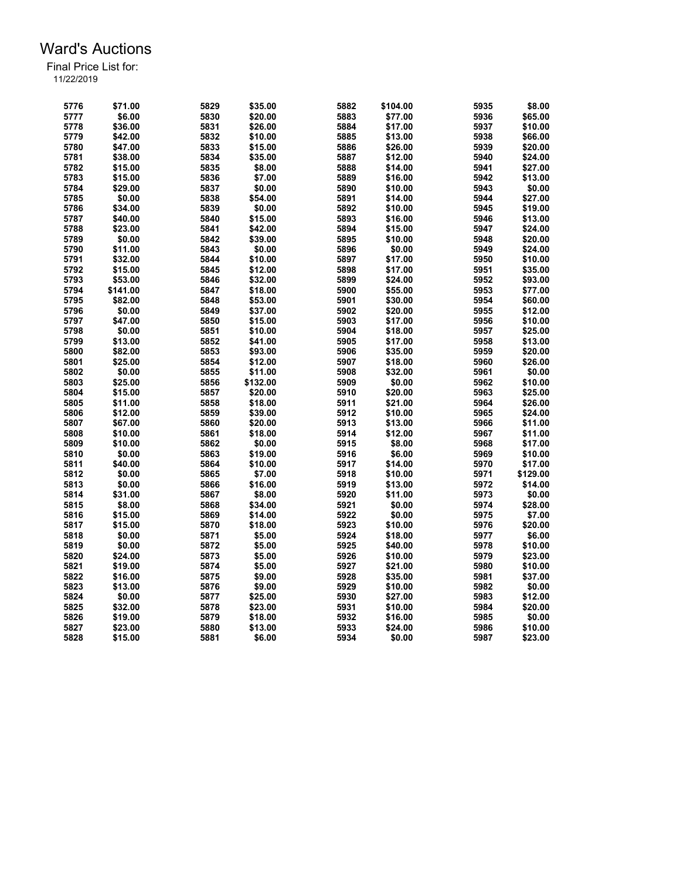| 5776 | \$71.00  | 5829 | \$35.00  | 5882 | \$104.00 | 5935 | \$8.00   |
|------|----------|------|----------|------|----------|------|----------|
| 5777 | \$6.00   | 5830 | \$20.00  | 5883 | \$77.00  | 5936 | \$65.00  |
| 5778 | \$36.00  | 5831 | \$26.00  | 5884 | \$17.00  | 5937 | \$10.00  |
| 5779 | \$42.00  | 5832 | \$10.00  | 5885 | \$13.00  | 5938 | \$66.00  |
| 5780 | \$47.00  | 5833 | \$15.00  | 5886 | \$26.00  | 5939 | \$20.00  |
| 5781 | \$38.00  | 5834 | \$35.00  | 5887 | \$12.00  | 5940 | \$24.00  |
| 5782 | \$15.00  | 5835 | \$8.00   | 5888 | \$14.00  | 5941 | \$27.00  |
| 5783 | \$15.00  | 5836 | \$7.00   | 5889 | \$16.00  | 5942 | \$13.00  |
| 5784 | \$29.00  | 5837 | \$0.00   | 5890 | \$10.00  | 5943 | \$0.00   |
| 5785 | \$0.00   | 5838 | \$54.00  | 5891 | \$14.00  | 5944 | \$27.00  |
| 5786 | \$34.00  | 5839 | \$0.00   | 5892 | \$10.00  | 5945 | \$19.00  |
| 5787 | \$40.00  | 5840 | \$15.00  | 5893 | \$16.00  | 5946 | \$13.00  |
| 5788 | \$23.00  | 5841 | \$42.00  | 5894 | \$15.00  | 5947 | \$24.00  |
| 5789 | \$0.00   | 5842 | \$39.00  | 5895 | \$10.00  | 5948 | \$20.00  |
| 5790 | \$11.00  | 5843 | \$0.00   | 5896 | \$0.00   | 5949 | \$24.00  |
| 5791 | \$32.00  | 5844 | \$10.00  | 5897 | \$17.00  | 5950 | \$10.00  |
| 5792 | \$15.00  | 5845 | \$12.00  | 5898 | \$17.00  | 5951 | \$35.00  |
| 5793 | \$53.00  | 5846 | \$32.00  | 5899 | \$24.00  | 5952 | \$93.00  |
|      |          |      |          |      |          |      |          |
| 5794 | \$141.00 | 5847 | \$18.00  | 5900 | \$55.00  | 5953 | \$77.00  |
| 5795 | \$82.00  | 5848 | \$53.00  | 5901 | \$30.00  | 5954 | \$60.00  |
| 5796 | \$0.00   | 5849 | \$37.00  | 5902 | \$20.00  | 5955 | \$12.00  |
| 5797 | \$47.00  | 5850 | \$15.00  | 5903 | \$17.00  | 5956 | \$10.00  |
| 5798 | \$0.00   | 5851 | \$10.00  | 5904 | \$18.00  | 5957 | \$25.00  |
| 5799 | \$13.00  | 5852 | \$41.00  | 5905 | \$17.00  | 5958 | \$13.00  |
| 5800 | \$82.00  | 5853 | \$93.00  | 5906 | \$35.00  | 5959 | \$20.00  |
| 5801 | \$25.00  | 5854 | \$12.00  | 5907 | \$18.00  | 5960 | \$26.00  |
| 5802 | \$0.00   | 5855 | \$11.00  | 5908 | \$32.00  | 5961 | \$0.00   |
| 5803 | \$25.00  | 5856 | \$132.00 | 5909 | \$0.00   | 5962 | \$10.00  |
| 5804 | \$15.00  | 5857 | \$20.00  | 5910 | \$20.00  | 5963 | \$25.00  |
| 5805 | \$11.00  | 5858 | \$18.00  | 5911 | \$21.00  | 5964 | \$26.00  |
| 5806 | \$12.00  | 5859 | \$39.00  | 5912 | \$10.00  | 5965 | \$24.00  |
| 5807 | \$67.00  | 5860 | \$20.00  | 5913 | \$13.00  | 5966 | \$11.00  |
| 5808 | \$10.00  | 5861 | \$18.00  | 5914 | \$12.00  | 5967 | \$11.00  |
| 5809 | \$10.00  | 5862 | \$0.00   | 5915 | \$8.00   | 5968 | \$17.00  |
| 5810 | \$0.00   | 5863 | \$19.00  | 5916 | \$6.00   | 5969 | \$10.00  |
| 5811 | \$40.00  | 5864 | \$10.00  | 5917 | \$14.00  | 5970 | \$17.00  |
| 5812 | \$0.00   | 5865 | \$7.00   | 5918 | \$10.00  | 5971 | \$129.00 |
| 5813 | \$0.00   | 5866 | \$16.00  | 5919 | \$13.00  | 5972 | \$14.00  |
| 5814 | \$31.00  | 5867 | \$8.00   | 5920 | \$11.00  | 5973 | \$0.00   |
| 5815 | \$8.00   | 5868 | \$34.00  | 5921 | \$0.00   | 5974 | \$28.00  |
| 5816 | \$15.00  | 5869 | \$14.00  | 5922 | \$0.00   | 5975 | \$7.00   |
| 5817 | \$15.00  | 5870 | \$18.00  | 5923 | \$10.00  | 5976 | \$20.00  |
| 5818 | \$0.00   | 5871 | \$5.00   | 5924 | \$18.00  | 5977 | \$6.00   |
| 5819 | \$0.00   | 5872 | \$5.00   | 5925 | \$40.00  | 5978 | \$10.00  |
| 5820 | \$24.00  | 5873 | \$5.00   | 5926 | \$10.00  | 5979 | \$23.00  |
| 5821 | \$19.00  | 5874 | \$5.00   | 5927 | \$21.00  | 5980 | \$10.00  |
| 5822 | \$16.00  | 5875 | \$9.00   | 5928 | \$35.00  | 5981 | \$37.00  |
| 5823 | \$13.00  | 5876 | \$9.00   | 5929 | \$10.00  | 5982 | \$0.00   |
| 5824 | \$0.00   | 5877 | \$25.00  | 5930 | \$27.00  | 5983 | \$12.00  |
| 5825 | \$32.00  | 5878 | \$23.00  | 5931 | \$10.00  | 5984 | \$20.00  |
| 5826 | \$19.00  | 5879 | \$18.00  | 5932 | \$16.00  | 5985 | \$0.00   |
| 5827 | \$23.00  | 5880 | \$13.00  | 5933 | \$24.00  | 5986 | \$10.00  |
| 5828 | \$15.00  | 5881 | \$6.00   | 5934 | \$0.00   | 5987 | \$23.00  |
|      |          |      |          |      |          |      |          |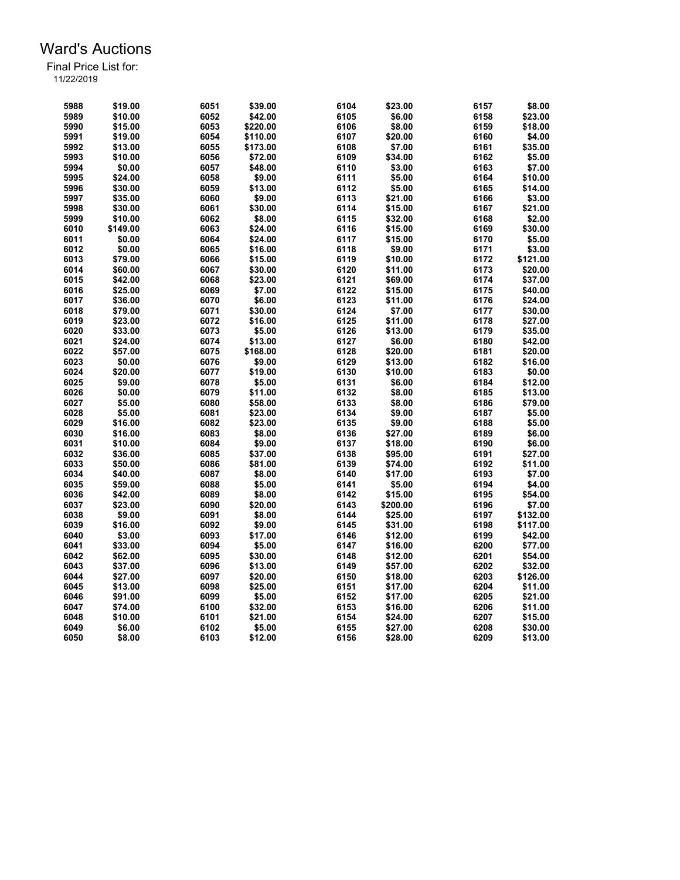| 5988 | \$19.00  | 6051 | \$39.00  | 6104 | \$23.00  | 6157 | \$8.00   |
|------|----------|------|----------|------|----------|------|----------|
| 5989 | \$10.00  | 6052 | \$42.00  | 6105 | \$6.00   | 6158 | \$23.00  |
| 5990 | \$15.00  | 6053 | \$220.00 | 6106 | \$8.00   | 6159 | \$18.00  |
| 5991 | \$19.00  | 6054 | \$110.00 | 6107 | \$20.00  | 6160 | \$4.00   |
| 5992 | \$13.00  | 6055 | \$173.00 | 6108 | \$7.00   | 6161 | \$35.00  |
| 5993 | \$10.00  | 6056 | \$72.00  | 6109 | \$34.00  | 6162 | \$5.00   |
| 5994 | \$0.00   | 6057 | \$48.00  | 6110 | \$3.00   | 6163 | \$7.00   |
| 5995 | \$24.00  | 6058 | \$9.00   | 6111 | \$5.00   | 6164 | \$10.00  |
| 5996 | \$30.00  | 6059 | \$13.00  | 6112 | \$5.00   | 6165 | \$14.00  |
| 5997 | \$35.00  | 6060 | \$9.00   | 6113 | \$21.00  | 6166 | \$3.00   |
| 5998 | \$30.00  | 6061 | \$30.00  | 6114 | \$15.00  | 6167 | \$21.00  |
| 5999 | \$10.00  | 6062 | \$8.00   | 6115 | \$32.00  | 6168 | \$2.00   |
| 6010 | \$149.00 | 6063 | \$24.00  | 6116 | \$15.00  | 6169 | \$30.00  |
| 6011 | \$0.00   | 6064 | \$24.00  | 6117 | \$15.00  | 6170 | \$5.00   |
| 6012 | \$0.00   | 6065 | \$16.00  | 6118 | \$9.00   | 6171 | \$3.00   |
| 6013 | \$79.00  | 6066 | \$15.00  | 6119 | \$10.00  | 6172 | \$121.00 |
| 6014 | \$60.00  | 6067 | \$30.00  | 6120 | \$11.00  | 6173 | \$20.00  |
| 6015 | \$42.00  | 6068 | \$23.00  | 6121 | \$69.00  | 6174 | \$37.00  |
| 6016 | \$25.00  | 6069 | \$7.00   | 6122 | \$15.00  | 6175 | \$40.00  |
| 6017 | \$36.00  | 6070 | \$6.00   | 6123 | \$11.00  | 6176 | \$24.00  |
|      |          | 6071 | \$30.00  |      | \$7.00   |      | \$30.00  |
| 6018 | \$79.00  |      |          | 6124 |          | 6177 |          |
| 6019 | \$23.00  | 6072 | \$16.00  | 6125 | \$11.00  | 6178 | \$27.00  |
| 6020 | \$33.00  | 6073 | \$5.00   | 6126 | \$13.00  | 6179 | \$35.00  |
| 6021 | \$24.00  | 6074 | \$13.00  | 6127 | \$6.00   | 6180 | \$42.00  |
| 6022 | \$57.00  | 6075 | \$168.00 | 6128 | \$20.00  | 6181 | \$20.00  |
| 6023 | \$0.00   | 6076 | \$9.00   | 6129 | \$13.00  | 6182 | \$16.00  |
| 6024 | \$20.00  | 6077 | \$19.00  | 6130 | \$10.00  | 6183 | \$0.00   |
| 6025 | \$9.00   | 6078 | \$5.00   | 6131 | \$6.00   | 6184 | \$12.00  |
| 6026 | \$0.00   | 6079 | \$11.00  | 6132 | \$8.00   | 6185 | \$13.00  |
| 6027 | \$5.00   | 6080 | \$58.00  | 6133 | \$8.00   | 6186 | \$79.00  |
| 6028 | \$5.00   | 6081 | \$23.00  | 6134 | \$9.00   | 6187 | \$5.00   |
| 6029 | \$16.00  | 6082 | \$23.00  | 6135 | \$9.00   | 6188 | \$5.00   |
| 6030 | \$16.00  | 6083 | \$8.00   | 6136 | \$27.00  | 6189 | \$6.00   |
| 6031 | \$10.00  | 6084 | \$9.00   | 6137 | \$18.00  | 6190 | \$6.00   |
| 6032 | \$36.00  | 6085 | \$37.00  | 6138 | \$95.00  | 6191 | \$27.00  |
| 6033 | \$50.00  | 6086 | \$81.00  | 6139 | \$74.00  | 6192 | \$11.00  |
| 6034 | \$40.00  | 6087 | \$8.00   | 6140 | \$17.00  | 6193 | \$7.00   |
| 6035 | \$59.00  | 6088 | \$5.00   | 6141 | \$5.00   | 6194 | \$4.00   |
| 6036 | \$42.00  | 6089 | \$8.00   | 6142 | \$15.00  | 6195 | \$54.00  |
| 6037 | \$23.00  | 6090 | \$20.00  | 6143 | \$200.00 | 6196 | \$7.00   |
| 6038 | \$9.00   | 6091 | \$8.00   | 6144 | \$25.00  | 6197 | \$132.00 |
| 6039 | \$16.00  | 6092 | \$9.00   | 6145 | \$31.00  | 6198 | \$117.00 |
| 6040 | \$3.00   | 6093 | \$17.00  | 6146 | \$12.00  | 6199 | \$42.00  |
| 6041 | \$33.00  | 6094 | \$5.00   | 6147 | \$16.00  | 6200 | \$77.00  |
| 6042 | \$62.00  | 6095 | \$30.00  | 6148 | \$12.00  | 6201 | \$54.00  |
|      |          |      |          |      |          |      |          |
| 6043 | \$37.00  | 6096 | \$13.00  | 6149 | \$57.00  | 6202 | \$32.00  |
| 6044 | \$27.00  | 6097 | \$20.00  | 6150 | \$18.00  | 6203 | \$126.00 |
| 6045 | \$13.00  | 6098 | \$25.00  | 6151 | \$17.00  | 6204 | \$11.00  |
| 6046 | \$91.00  | 6099 | \$5.00   | 6152 | \$17.00  | 6205 | \$21.00  |
| 6047 | \$74.00  | 6100 | \$32.00  | 6153 | \$16.00  | 6206 | \$11.00  |
| 6048 | \$10.00  | 6101 | \$21.00  | 6154 | \$24.00  | 6207 | \$15.00  |
| 6049 | \$6.00   | 6102 | \$5.00   | 6155 | \$27.00  | 6208 | \$30.00  |
| 6050 | \$8.00   | 6103 | \$12.00  | 6156 | \$28.00  | 6209 | \$13.00  |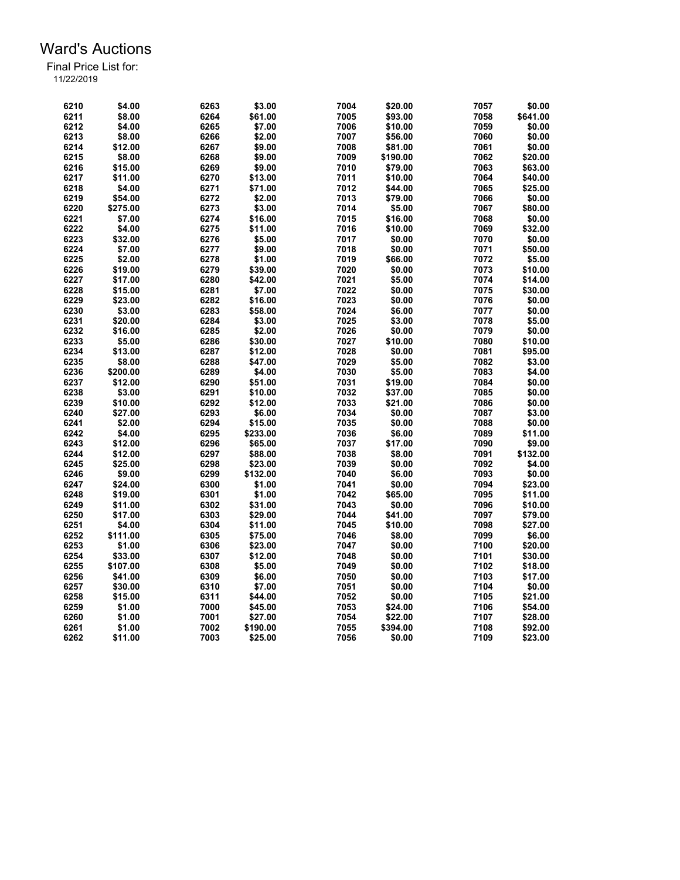| \$3.00<br>6210<br>\$4.00<br>6263<br>7004<br>\$20.00<br>7057<br>6211<br>\$8.00<br>6264<br>\$61.00<br>7005<br>\$93.00<br>7058<br>6212<br>\$4.00<br>\$7.00<br>7006<br>7059<br>6265<br>\$10.00<br>7060<br>6266<br>7007<br>6213<br>\$8.00<br>\$2.00<br>\$56.00<br>6214<br>6267<br>\$9.00<br>7008<br>7061<br>\$12.00<br>\$81.00<br>6215<br>\$8.00<br>6268<br>\$9.00<br>7009<br>7062<br>\$190.00<br>6216<br>\$15.00<br>6269<br>\$9.00<br>7010<br>\$79.00<br>7063<br>7011<br>6217<br>\$11.00<br>6270<br>\$13.00<br>\$10.00<br>7064<br>7012<br>7065<br>6218<br>\$4.00<br>6271<br>\$71.00<br>\$44.00<br>7013<br>7066<br>6219<br>\$54.00<br>6272<br>\$2.00<br>\$79.00<br>7014<br>\$5.00<br>7067<br>6220<br>\$275.00<br>6273<br>\$3.00<br>6221<br>7015<br>7068<br>\$7.00<br>6274<br>\$16.00<br>\$16.00<br>6222<br>\$4.00<br>7016<br>7069<br>6275<br>\$11.00<br>\$10.00<br>7017<br>6223<br>\$5.00<br>7070<br>\$32.00<br>6276<br>\$0.00<br>7071<br>6224<br>\$7.00<br>6277<br>\$9.00<br>7018<br>\$0.00<br>7019<br>7072<br>6225<br>\$2.00<br>6278<br>\$1.00<br>\$66.00<br>7073<br>6226<br>\$19.00<br>6279<br>\$39.00<br>7020<br>\$0.00<br>6227<br>\$17.00<br>6280<br>\$42.00<br>7021<br>\$5.00<br>7074<br>6228<br>\$15.00<br>6281<br>\$7.00<br>7022<br>\$0.00<br>7075<br>6229<br>6282<br>\$16.00<br>7023<br>\$0.00<br>7076<br>\$23.00<br>7077<br>6230<br>\$3.00<br>6283<br>\$58.00<br>7024<br>\$6.00<br>7078<br>6231<br>\$3.00<br>7025<br>\$3.00<br>\$20.00<br>6284<br>6232<br>\$16.00<br>6285<br>\$2.00<br>7026<br>\$0.00<br>7079<br>6233<br>7027<br>7080<br>\$5.00<br>6286<br>\$30.00<br>\$10.00<br>6234<br>7028<br>7081<br>\$13.00<br>6287<br>\$12.00<br>\$0.00<br>6235<br>6288<br>7029<br>7082<br>\$8.00<br>\$47.00<br>\$5.00<br>6236<br>7030<br>\$5.00<br>7083<br>\$200.00<br>6289<br>\$4.00<br>6237<br>\$12.00<br>6290<br>7031<br>\$19.00<br>7084<br>\$51.00<br>6238<br>6291<br>7032<br>7085<br>\$3.00<br>\$10.00<br>\$37.00<br>6239<br>6292<br>\$12.00<br>7033<br>\$21.00<br>7086<br>\$10.00<br>7034<br>7087<br>6240<br>\$27.00<br>6293<br>\$6.00<br>\$0.00<br>7088<br>7035<br>\$0.00<br>6241<br>\$2.00<br>6294<br>\$15.00<br>6295<br>7036<br>\$6.00<br>7089<br>6242<br>\$4.00<br>\$233.00<br>7090<br>6243<br>\$12.00<br>6296<br>\$65.00<br>7037<br>\$17.00<br>7038<br>7091<br>6244<br>\$12.00<br>6297<br>\$88.00<br>\$8.00<br>7039<br>7092<br>6245<br>\$25.00<br>6298<br>\$23.00<br>\$0.00<br>7093<br>6246<br>\$9.00<br>6299<br>\$132.00<br>7040<br>\$6.00<br>7094<br>6247<br>\$24.00<br>6300<br>\$1.00<br>7041<br>\$0.00<br>\$65.00<br>7095<br>6248<br>\$19.00<br>6301<br>\$1.00<br>7042<br>7096<br>6249<br>\$11.00<br>6302<br>\$31.00<br>7043<br>\$0.00<br>6303<br>7044<br>\$41.00<br>7097<br>6250<br>\$17.00<br>\$29.00<br>\$10.00<br>7098<br>6251<br>\$4.00<br>6304<br>\$11.00<br>7045<br>6252<br>\$111.00<br>6305<br>7046<br>7099<br>\$75.00<br>\$8.00<br>6253<br>6306<br>\$23.00<br>\$0.00<br>7100<br>\$1.00<br>7047<br>6254<br>6307<br>\$12.00<br>7048<br>\$0.00<br>7101<br>\$33.00<br>6308<br>7049<br>\$0.00<br>7102<br>6255<br>\$107.00<br>\$5.00<br>6256<br>\$41.00<br>6309<br>\$6.00<br>7050<br>\$0.00<br>7103<br>7051<br>7104<br>6257<br>\$30.00<br>6310<br>\$7.00<br>\$0.00<br>7052<br>\$0.00<br>7105<br>6258<br>\$15.00<br>6311<br>\$44.00<br>7053<br>7106<br>6259<br>\$1.00<br>7000<br>\$45.00<br>\$24.00<br>7107<br>6260<br>\$1.00<br>7001<br>\$27.00<br>7054<br>\$22.00 | \$0.00<br>\$641.00<br>\$0.00<br>\$0.00<br>\$0.00<br>\$20.00<br>\$63.00 |      |         |      |
|----------------------------------------------------------------------------------------------------------------------------------------------------------------------------------------------------------------------------------------------------------------------------------------------------------------------------------------------------------------------------------------------------------------------------------------------------------------------------------------------------------------------------------------------------------------------------------------------------------------------------------------------------------------------------------------------------------------------------------------------------------------------------------------------------------------------------------------------------------------------------------------------------------------------------------------------------------------------------------------------------------------------------------------------------------------------------------------------------------------------------------------------------------------------------------------------------------------------------------------------------------------------------------------------------------------------------------------------------------------------------------------------------------------------------------------------------------------------------------------------------------------------------------------------------------------------------------------------------------------------------------------------------------------------------------------------------------------------------------------------------------------------------------------------------------------------------------------------------------------------------------------------------------------------------------------------------------------------------------------------------------------------------------------------------------------------------------------------------------------------------------------------------------------------------------------------------------------------------------------------------------------------------------------------------------------------------------------------------------------------------------------------------------------------------------------------------------------------------------------------------------------------------------------------------------------------------------------------------------------------------------------------------------------------------------------------------------------------------------------------------------------------------------------------------------------------------------------------------------------------------------------------------------------------------------------------------------------------------------------------------------------------------------------------------------------------------------------------------------------------------------------------------------------------------------------------------------------------------------------------------------------------------------------------------------------------------------------------------------------------------------|------------------------------------------------------------------------|------|---------|------|
|                                                                                                                                                                                                                                                                                                                                                                                                                                                                                                                                                                                                                                                                                                                                                                                                                                                                                                                                                                                                                                                                                                                                                                                                                                                                                                                                                                                                                                                                                                                                                                                                                                                                                                                                                                                                                                                                                                                                                                                                                                                                                                                                                                                                                                                                                                                                                                                                                                                                                                                                                                                                                                                                                                                                                                                                                                                                                                                                                                                                                                                                                                                                                                                                                                                                                                                                                                                  |                                                                        |      |         |      |
|                                                                                                                                                                                                                                                                                                                                                                                                                                                                                                                                                                                                                                                                                                                                                                                                                                                                                                                                                                                                                                                                                                                                                                                                                                                                                                                                                                                                                                                                                                                                                                                                                                                                                                                                                                                                                                                                                                                                                                                                                                                                                                                                                                                                                                                                                                                                                                                                                                                                                                                                                                                                                                                                                                                                                                                                                                                                                                                                                                                                                                                                                                                                                                                                                                                                                                                                                                                  |                                                                        |      |         |      |
|                                                                                                                                                                                                                                                                                                                                                                                                                                                                                                                                                                                                                                                                                                                                                                                                                                                                                                                                                                                                                                                                                                                                                                                                                                                                                                                                                                                                                                                                                                                                                                                                                                                                                                                                                                                                                                                                                                                                                                                                                                                                                                                                                                                                                                                                                                                                                                                                                                                                                                                                                                                                                                                                                                                                                                                                                                                                                                                                                                                                                                                                                                                                                                                                                                                                                                                                                                                  |                                                                        |      |         |      |
|                                                                                                                                                                                                                                                                                                                                                                                                                                                                                                                                                                                                                                                                                                                                                                                                                                                                                                                                                                                                                                                                                                                                                                                                                                                                                                                                                                                                                                                                                                                                                                                                                                                                                                                                                                                                                                                                                                                                                                                                                                                                                                                                                                                                                                                                                                                                                                                                                                                                                                                                                                                                                                                                                                                                                                                                                                                                                                                                                                                                                                                                                                                                                                                                                                                                                                                                                                                  |                                                                        |      |         |      |
|                                                                                                                                                                                                                                                                                                                                                                                                                                                                                                                                                                                                                                                                                                                                                                                                                                                                                                                                                                                                                                                                                                                                                                                                                                                                                                                                                                                                                                                                                                                                                                                                                                                                                                                                                                                                                                                                                                                                                                                                                                                                                                                                                                                                                                                                                                                                                                                                                                                                                                                                                                                                                                                                                                                                                                                                                                                                                                                                                                                                                                                                                                                                                                                                                                                                                                                                                                                  |                                                                        |      |         |      |
|                                                                                                                                                                                                                                                                                                                                                                                                                                                                                                                                                                                                                                                                                                                                                                                                                                                                                                                                                                                                                                                                                                                                                                                                                                                                                                                                                                                                                                                                                                                                                                                                                                                                                                                                                                                                                                                                                                                                                                                                                                                                                                                                                                                                                                                                                                                                                                                                                                                                                                                                                                                                                                                                                                                                                                                                                                                                                                                                                                                                                                                                                                                                                                                                                                                                                                                                                                                  |                                                                        |      |         |      |
|                                                                                                                                                                                                                                                                                                                                                                                                                                                                                                                                                                                                                                                                                                                                                                                                                                                                                                                                                                                                                                                                                                                                                                                                                                                                                                                                                                                                                                                                                                                                                                                                                                                                                                                                                                                                                                                                                                                                                                                                                                                                                                                                                                                                                                                                                                                                                                                                                                                                                                                                                                                                                                                                                                                                                                                                                                                                                                                                                                                                                                                                                                                                                                                                                                                                                                                                                                                  |                                                                        |      |         |      |
|                                                                                                                                                                                                                                                                                                                                                                                                                                                                                                                                                                                                                                                                                                                                                                                                                                                                                                                                                                                                                                                                                                                                                                                                                                                                                                                                                                                                                                                                                                                                                                                                                                                                                                                                                                                                                                                                                                                                                                                                                                                                                                                                                                                                                                                                                                                                                                                                                                                                                                                                                                                                                                                                                                                                                                                                                                                                                                                                                                                                                                                                                                                                                                                                                                                                                                                                                                                  | \$40.00                                                                |      |         |      |
|                                                                                                                                                                                                                                                                                                                                                                                                                                                                                                                                                                                                                                                                                                                                                                                                                                                                                                                                                                                                                                                                                                                                                                                                                                                                                                                                                                                                                                                                                                                                                                                                                                                                                                                                                                                                                                                                                                                                                                                                                                                                                                                                                                                                                                                                                                                                                                                                                                                                                                                                                                                                                                                                                                                                                                                                                                                                                                                                                                                                                                                                                                                                                                                                                                                                                                                                                                                  | \$25.00                                                                |      |         |      |
|                                                                                                                                                                                                                                                                                                                                                                                                                                                                                                                                                                                                                                                                                                                                                                                                                                                                                                                                                                                                                                                                                                                                                                                                                                                                                                                                                                                                                                                                                                                                                                                                                                                                                                                                                                                                                                                                                                                                                                                                                                                                                                                                                                                                                                                                                                                                                                                                                                                                                                                                                                                                                                                                                                                                                                                                                                                                                                                                                                                                                                                                                                                                                                                                                                                                                                                                                                                  | \$0.00                                                                 |      |         |      |
|                                                                                                                                                                                                                                                                                                                                                                                                                                                                                                                                                                                                                                                                                                                                                                                                                                                                                                                                                                                                                                                                                                                                                                                                                                                                                                                                                                                                                                                                                                                                                                                                                                                                                                                                                                                                                                                                                                                                                                                                                                                                                                                                                                                                                                                                                                                                                                                                                                                                                                                                                                                                                                                                                                                                                                                                                                                                                                                                                                                                                                                                                                                                                                                                                                                                                                                                                                                  | \$80.00                                                                |      |         |      |
|                                                                                                                                                                                                                                                                                                                                                                                                                                                                                                                                                                                                                                                                                                                                                                                                                                                                                                                                                                                                                                                                                                                                                                                                                                                                                                                                                                                                                                                                                                                                                                                                                                                                                                                                                                                                                                                                                                                                                                                                                                                                                                                                                                                                                                                                                                                                                                                                                                                                                                                                                                                                                                                                                                                                                                                                                                                                                                                                                                                                                                                                                                                                                                                                                                                                                                                                                                                  | \$0.00                                                                 |      |         |      |
|                                                                                                                                                                                                                                                                                                                                                                                                                                                                                                                                                                                                                                                                                                                                                                                                                                                                                                                                                                                                                                                                                                                                                                                                                                                                                                                                                                                                                                                                                                                                                                                                                                                                                                                                                                                                                                                                                                                                                                                                                                                                                                                                                                                                                                                                                                                                                                                                                                                                                                                                                                                                                                                                                                                                                                                                                                                                                                                                                                                                                                                                                                                                                                                                                                                                                                                                                                                  | \$32.00                                                                |      |         |      |
|                                                                                                                                                                                                                                                                                                                                                                                                                                                                                                                                                                                                                                                                                                                                                                                                                                                                                                                                                                                                                                                                                                                                                                                                                                                                                                                                                                                                                                                                                                                                                                                                                                                                                                                                                                                                                                                                                                                                                                                                                                                                                                                                                                                                                                                                                                                                                                                                                                                                                                                                                                                                                                                                                                                                                                                                                                                                                                                                                                                                                                                                                                                                                                                                                                                                                                                                                                                  | \$0.00                                                                 |      |         |      |
|                                                                                                                                                                                                                                                                                                                                                                                                                                                                                                                                                                                                                                                                                                                                                                                                                                                                                                                                                                                                                                                                                                                                                                                                                                                                                                                                                                                                                                                                                                                                                                                                                                                                                                                                                                                                                                                                                                                                                                                                                                                                                                                                                                                                                                                                                                                                                                                                                                                                                                                                                                                                                                                                                                                                                                                                                                                                                                                                                                                                                                                                                                                                                                                                                                                                                                                                                                                  | \$50.00                                                                |      |         |      |
|                                                                                                                                                                                                                                                                                                                                                                                                                                                                                                                                                                                                                                                                                                                                                                                                                                                                                                                                                                                                                                                                                                                                                                                                                                                                                                                                                                                                                                                                                                                                                                                                                                                                                                                                                                                                                                                                                                                                                                                                                                                                                                                                                                                                                                                                                                                                                                                                                                                                                                                                                                                                                                                                                                                                                                                                                                                                                                                                                                                                                                                                                                                                                                                                                                                                                                                                                                                  | \$5.00                                                                 |      |         |      |
|                                                                                                                                                                                                                                                                                                                                                                                                                                                                                                                                                                                                                                                                                                                                                                                                                                                                                                                                                                                                                                                                                                                                                                                                                                                                                                                                                                                                                                                                                                                                                                                                                                                                                                                                                                                                                                                                                                                                                                                                                                                                                                                                                                                                                                                                                                                                                                                                                                                                                                                                                                                                                                                                                                                                                                                                                                                                                                                                                                                                                                                                                                                                                                                                                                                                                                                                                                                  | \$10.00                                                                |      |         |      |
|                                                                                                                                                                                                                                                                                                                                                                                                                                                                                                                                                                                                                                                                                                                                                                                                                                                                                                                                                                                                                                                                                                                                                                                                                                                                                                                                                                                                                                                                                                                                                                                                                                                                                                                                                                                                                                                                                                                                                                                                                                                                                                                                                                                                                                                                                                                                                                                                                                                                                                                                                                                                                                                                                                                                                                                                                                                                                                                                                                                                                                                                                                                                                                                                                                                                                                                                                                                  | \$14.00                                                                |      |         |      |
|                                                                                                                                                                                                                                                                                                                                                                                                                                                                                                                                                                                                                                                                                                                                                                                                                                                                                                                                                                                                                                                                                                                                                                                                                                                                                                                                                                                                                                                                                                                                                                                                                                                                                                                                                                                                                                                                                                                                                                                                                                                                                                                                                                                                                                                                                                                                                                                                                                                                                                                                                                                                                                                                                                                                                                                                                                                                                                                                                                                                                                                                                                                                                                                                                                                                                                                                                                                  | \$30.00                                                                |      |         |      |
|                                                                                                                                                                                                                                                                                                                                                                                                                                                                                                                                                                                                                                                                                                                                                                                                                                                                                                                                                                                                                                                                                                                                                                                                                                                                                                                                                                                                                                                                                                                                                                                                                                                                                                                                                                                                                                                                                                                                                                                                                                                                                                                                                                                                                                                                                                                                                                                                                                                                                                                                                                                                                                                                                                                                                                                                                                                                                                                                                                                                                                                                                                                                                                                                                                                                                                                                                                                  | \$0.00                                                                 |      |         |      |
|                                                                                                                                                                                                                                                                                                                                                                                                                                                                                                                                                                                                                                                                                                                                                                                                                                                                                                                                                                                                                                                                                                                                                                                                                                                                                                                                                                                                                                                                                                                                                                                                                                                                                                                                                                                                                                                                                                                                                                                                                                                                                                                                                                                                                                                                                                                                                                                                                                                                                                                                                                                                                                                                                                                                                                                                                                                                                                                                                                                                                                                                                                                                                                                                                                                                                                                                                                                  | \$0.00                                                                 |      |         |      |
|                                                                                                                                                                                                                                                                                                                                                                                                                                                                                                                                                                                                                                                                                                                                                                                                                                                                                                                                                                                                                                                                                                                                                                                                                                                                                                                                                                                                                                                                                                                                                                                                                                                                                                                                                                                                                                                                                                                                                                                                                                                                                                                                                                                                                                                                                                                                                                                                                                                                                                                                                                                                                                                                                                                                                                                                                                                                                                                                                                                                                                                                                                                                                                                                                                                                                                                                                                                  | \$5.00                                                                 |      |         |      |
|                                                                                                                                                                                                                                                                                                                                                                                                                                                                                                                                                                                                                                                                                                                                                                                                                                                                                                                                                                                                                                                                                                                                                                                                                                                                                                                                                                                                                                                                                                                                                                                                                                                                                                                                                                                                                                                                                                                                                                                                                                                                                                                                                                                                                                                                                                                                                                                                                                                                                                                                                                                                                                                                                                                                                                                                                                                                                                                                                                                                                                                                                                                                                                                                                                                                                                                                                                                  |                                                                        |      |         |      |
|                                                                                                                                                                                                                                                                                                                                                                                                                                                                                                                                                                                                                                                                                                                                                                                                                                                                                                                                                                                                                                                                                                                                                                                                                                                                                                                                                                                                                                                                                                                                                                                                                                                                                                                                                                                                                                                                                                                                                                                                                                                                                                                                                                                                                                                                                                                                                                                                                                                                                                                                                                                                                                                                                                                                                                                                                                                                                                                                                                                                                                                                                                                                                                                                                                                                                                                                                                                  | \$0.00                                                                 |      |         |      |
|                                                                                                                                                                                                                                                                                                                                                                                                                                                                                                                                                                                                                                                                                                                                                                                                                                                                                                                                                                                                                                                                                                                                                                                                                                                                                                                                                                                                                                                                                                                                                                                                                                                                                                                                                                                                                                                                                                                                                                                                                                                                                                                                                                                                                                                                                                                                                                                                                                                                                                                                                                                                                                                                                                                                                                                                                                                                                                                                                                                                                                                                                                                                                                                                                                                                                                                                                                                  | \$10.00                                                                |      |         |      |
|                                                                                                                                                                                                                                                                                                                                                                                                                                                                                                                                                                                                                                                                                                                                                                                                                                                                                                                                                                                                                                                                                                                                                                                                                                                                                                                                                                                                                                                                                                                                                                                                                                                                                                                                                                                                                                                                                                                                                                                                                                                                                                                                                                                                                                                                                                                                                                                                                                                                                                                                                                                                                                                                                                                                                                                                                                                                                                                                                                                                                                                                                                                                                                                                                                                                                                                                                                                  | \$95.00                                                                |      |         |      |
|                                                                                                                                                                                                                                                                                                                                                                                                                                                                                                                                                                                                                                                                                                                                                                                                                                                                                                                                                                                                                                                                                                                                                                                                                                                                                                                                                                                                                                                                                                                                                                                                                                                                                                                                                                                                                                                                                                                                                                                                                                                                                                                                                                                                                                                                                                                                                                                                                                                                                                                                                                                                                                                                                                                                                                                                                                                                                                                                                                                                                                                                                                                                                                                                                                                                                                                                                                                  | \$3.00                                                                 |      |         |      |
|                                                                                                                                                                                                                                                                                                                                                                                                                                                                                                                                                                                                                                                                                                                                                                                                                                                                                                                                                                                                                                                                                                                                                                                                                                                                                                                                                                                                                                                                                                                                                                                                                                                                                                                                                                                                                                                                                                                                                                                                                                                                                                                                                                                                                                                                                                                                                                                                                                                                                                                                                                                                                                                                                                                                                                                                                                                                                                                                                                                                                                                                                                                                                                                                                                                                                                                                                                                  | \$4.00                                                                 |      |         |      |
|                                                                                                                                                                                                                                                                                                                                                                                                                                                                                                                                                                                                                                                                                                                                                                                                                                                                                                                                                                                                                                                                                                                                                                                                                                                                                                                                                                                                                                                                                                                                                                                                                                                                                                                                                                                                                                                                                                                                                                                                                                                                                                                                                                                                                                                                                                                                                                                                                                                                                                                                                                                                                                                                                                                                                                                                                                                                                                                                                                                                                                                                                                                                                                                                                                                                                                                                                                                  | \$0.00                                                                 |      |         |      |
|                                                                                                                                                                                                                                                                                                                                                                                                                                                                                                                                                                                                                                                                                                                                                                                                                                                                                                                                                                                                                                                                                                                                                                                                                                                                                                                                                                                                                                                                                                                                                                                                                                                                                                                                                                                                                                                                                                                                                                                                                                                                                                                                                                                                                                                                                                                                                                                                                                                                                                                                                                                                                                                                                                                                                                                                                                                                                                                                                                                                                                                                                                                                                                                                                                                                                                                                                                                  | \$0.00                                                                 |      |         |      |
|                                                                                                                                                                                                                                                                                                                                                                                                                                                                                                                                                                                                                                                                                                                                                                                                                                                                                                                                                                                                                                                                                                                                                                                                                                                                                                                                                                                                                                                                                                                                                                                                                                                                                                                                                                                                                                                                                                                                                                                                                                                                                                                                                                                                                                                                                                                                                                                                                                                                                                                                                                                                                                                                                                                                                                                                                                                                                                                                                                                                                                                                                                                                                                                                                                                                                                                                                                                  | \$0.00                                                                 |      |         |      |
|                                                                                                                                                                                                                                                                                                                                                                                                                                                                                                                                                                                                                                                                                                                                                                                                                                                                                                                                                                                                                                                                                                                                                                                                                                                                                                                                                                                                                                                                                                                                                                                                                                                                                                                                                                                                                                                                                                                                                                                                                                                                                                                                                                                                                                                                                                                                                                                                                                                                                                                                                                                                                                                                                                                                                                                                                                                                                                                                                                                                                                                                                                                                                                                                                                                                                                                                                                                  | \$3.00                                                                 |      |         |      |
|                                                                                                                                                                                                                                                                                                                                                                                                                                                                                                                                                                                                                                                                                                                                                                                                                                                                                                                                                                                                                                                                                                                                                                                                                                                                                                                                                                                                                                                                                                                                                                                                                                                                                                                                                                                                                                                                                                                                                                                                                                                                                                                                                                                                                                                                                                                                                                                                                                                                                                                                                                                                                                                                                                                                                                                                                                                                                                                                                                                                                                                                                                                                                                                                                                                                                                                                                                                  | \$0.00                                                                 |      |         |      |
|                                                                                                                                                                                                                                                                                                                                                                                                                                                                                                                                                                                                                                                                                                                                                                                                                                                                                                                                                                                                                                                                                                                                                                                                                                                                                                                                                                                                                                                                                                                                                                                                                                                                                                                                                                                                                                                                                                                                                                                                                                                                                                                                                                                                                                                                                                                                                                                                                                                                                                                                                                                                                                                                                                                                                                                                                                                                                                                                                                                                                                                                                                                                                                                                                                                                                                                                                                                  | \$11.00                                                                |      |         |      |
|                                                                                                                                                                                                                                                                                                                                                                                                                                                                                                                                                                                                                                                                                                                                                                                                                                                                                                                                                                                                                                                                                                                                                                                                                                                                                                                                                                                                                                                                                                                                                                                                                                                                                                                                                                                                                                                                                                                                                                                                                                                                                                                                                                                                                                                                                                                                                                                                                                                                                                                                                                                                                                                                                                                                                                                                                                                                                                                                                                                                                                                                                                                                                                                                                                                                                                                                                                                  | \$9.00                                                                 |      |         |      |
|                                                                                                                                                                                                                                                                                                                                                                                                                                                                                                                                                                                                                                                                                                                                                                                                                                                                                                                                                                                                                                                                                                                                                                                                                                                                                                                                                                                                                                                                                                                                                                                                                                                                                                                                                                                                                                                                                                                                                                                                                                                                                                                                                                                                                                                                                                                                                                                                                                                                                                                                                                                                                                                                                                                                                                                                                                                                                                                                                                                                                                                                                                                                                                                                                                                                                                                                                                                  | \$132.00                                                               |      |         |      |
|                                                                                                                                                                                                                                                                                                                                                                                                                                                                                                                                                                                                                                                                                                                                                                                                                                                                                                                                                                                                                                                                                                                                                                                                                                                                                                                                                                                                                                                                                                                                                                                                                                                                                                                                                                                                                                                                                                                                                                                                                                                                                                                                                                                                                                                                                                                                                                                                                                                                                                                                                                                                                                                                                                                                                                                                                                                                                                                                                                                                                                                                                                                                                                                                                                                                                                                                                                                  | \$4.00                                                                 |      |         |      |
|                                                                                                                                                                                                                                                                                                                                                                                                                                                                                                                                                                                                                                                                                                                                                                                                                                                                                                                                                                                                                                                                                                                                                                                                                                                                                                                                                                                                                                                                                                                                                                                                                                                                                                                                                                                                                                                                                                                                                                                                                                                                                                                                                                                                                                                                                                                                                                                                                                                                                                                                                                                                                                                                                                                                                                                                                                                                                                                                                                                                                                                                                                                                                                                                                                                                                                                                                                                  | \$0.00                                                                 |      |         |      |
|                                                                                                                                                                                                                                                                                                                                                                                                                                                                                                                                                                                                                                                                                                                                                                                                                                                                                                                                                                                                                                                                                                                                                                                                                                                                                                                                                                                                                                                                                                                                                                                                                                                                                                                                                                                                                                                                                                                                                                                                                                                                                                                                                                                                                                                                                                                                                                                                                                                                                                                                                                                                                                                                                                                                                                                                                                                                                                                                                                                                                                                                                                                                                                                                                                                                                                                                                                                  | \$23.00                                                                |      |         |      |
|                                                                                                                                                                                                                                                                                                                                                                                                                                                                                                                                                                                                                                                                                                                                                                                                                                                                                                                                                                                                                                                                                                                                                                                                                                                                                                                                                                                                                                                                                                                                                                                                                                                                                                                                                                                                                                                                                                                                                                                                                                                                                                                                                                                                                                                                                                                                                                                                                                                                                                                                                                                                                                                                                                                                                                                                                                                                                                                                                                                                                                                                                                                                                                                                                                                                                                                                                                                  | \$11.00                                                                |      |         |      |
|                                                                                                                                                                                                                                                                                                                                                                                                                                                                                                                                                                                                                                                                                                                                                                                                                                                                                                                                                                                                                                                                                                                                                                                                                                                                                                                                                                                                                                                                                                                                                                                                                                                                                                                                                                                                                                                                                                                                                                                                                                                                                                                                                                                                                                                                                                                                                                                                                                                                                                                                                                                                                                                                                                                                                                                                                                                                                                                                                                                                                                                                                                                                                                                                                                                                                                                                                                                  | \$10.00                                                                |      |         |      |
|                                                                                                                                                                                                                                                                                                                                                                                                                                                                                                                                                                                                                                                                                                                                                                                                                                                                                                                                                                                                                                                                                                                                                                                                                                                                                                                                                                                                                                                                                                                                                                                                                                                                                                                                                                                                                                                                                                                                                                                                                                                                                                                                                                                                                                                                                                                                                                                                                                                                                                                                                                                                                                                                                                                                                                                                                                                                                                                                                                                                                                                                                                                                                                                                                                                                                                                                                                                  | \$79.00                                                                |      |         |      |
|                                                                                                                                                                                                                                                                                                                                                                                                                                                                                                                                                                                                                                                                                                                                                                                                                                                                                                                                                                                                                                                                                                                                                                                                                                                                                                                                                                                                                                                                                                                                                                                                                                                                                                                                                                                                                                                                                                                                                                                                                                                                                                                                                                                                                                                                                                                                                                                                                                                                                                                                                                                                                                                                                                                                                                                                                                                                                                                                                                                                                                                                                                                                                                                                                                                                                                                                                                                  | \$27.00                                                                |      |         |      |
|                                                                                                                                                                                                                                                                                                                                                                                                                                                                                                                                                                                                                                                                                                                                                                                                                                                                                                                                                                                                                                                                                                                                                                                                                                                                                                                                                                                                                                                                                                                                                                                                                                                                                                                                                                                                                                                                                                                                                                                                                                                                                                                                                                                                                                                                                                                                                                                                                                                                                                                                                                                                                                                                                                                                                                                                                                                                                                                                                                                                                                                                                                                                                                                                                                                                                                                                                                                  | \$6.00                                                                 |      |         |      |
|                                                                                                                                                                                                                                                                                                                                                                                                                                                                                                                                                                                                                                                                                                                                                                                                                                                                                                                                                                                                                                                                                                                                                                                                                                                                                                                                                                                                                                                                                                                                                                                                                                                                                                                                                                                                                                                                                                                                                                                                                                                                                                                                                                                                                                                                                                                                                                                                                                                                                                                                                                                                                                                                                                                                                                                                                                                                                                                                                                                                                                                                                                                                                                                                                                                                                                                                                                                  | \$20.00                                                                |      |         |      |
|                                                                                                                                                                                                                                                                                                                                                                                                                                                                                                                                                                                                                                                                                                                                                                                                                                                                                                                                                                                                                                                                                                                                                                                                                                                                                                                                                                                                                                                                                                                                                                                                                                                                                                                                                                                                                                                                                                                                                                                                                                                                                                                                                                                                                                                                                                                                                                                                                                                                                                                                                                                                                                                                                                                                                                                                                                                                                                                                                                                                                                                                                                                                                                                                                                                                                                                                                                                  | \$30.00                                                                |      |         |      |
|                                                                                                                                                                                                                                                                                                                                                                                                                                                                                                                                                                                                                                                                                                                                                                                                                                                                                                                                                                                                                                                                                                                                                                                                                                                                                                                                                                                                                                                                                                                                                                                                                                                                                                                                                                                                                                                                                                                                                                                                                                                                                                                                                                                                                                                                                                                                                                                                                                                                                                                                                                                                                                                                                                                                                                                                                                                                                                                                                                                                                                                                                                                                                                                                                                                                                                                                                                                  | \$18.00                                                                |      |         |      |
|                                                                                                                                                                                                                                                                                                                                                                                                                                                                                                                                                                                                                                                                                                                                                                                                                                                                                                                                                                                                                                                                                                                                                                                                                                                                                                                                                                                                                                                                                                                                                                                                                                                                                                                                                                                                                                                                                                                                                                                                                                                                                                                                                                                                                                                                                                                                                                                                                                                                                                                                                                                                                                                                                                                                                                                                                                                                                                                                                                                                                                                                                                                                                                                                                                                                                                                                                                                  | \$17.00                                                                |      |         |      |
|                                                                                                                                                                                                                                                                                                                                                                                                                                                                                                                                                                                                                                                                                                                                                                                                                                                                                                                                                                                                                                                                                                                                                                                                                                                                                                                                                                                                                                                                                                                                                                                                                                                                                                                                                                                                                                                                                                                                                                                                                                                                                                                                                                                                                                                                                                                                                                                                                                                                                                                                                                                                                                                                                                                                                                                                                                                                                                                                                                                                                                                                                                                                                                                                                                                                                                                                                                                  | \$0.00                                                                 |      |         |      |
|                                                                                                                                                                                                                                                                                                                                                                                                                                                                                                                                                                                                                                                                                                                                                                                                                                                                                                                                                                                                                                                                                                                                                                                                                                                                                                                                                                                                                                                                                                                                                                                                                                                                                                                                                                                                                                                                                                                                                                                                                                                                                                                                                                                                                                                                                                                                                                                                                                                                                                                                                                                                                                                                                                                                                                                                                                                                                                                                                                                                                                                                                                                                                                                                                                                                                                                                                                                  | \$21.00                                                                |      |         |      |
|                                                                                                                                                                                                                                                                                                                                                                                                                                                                                                                                                                                                                                                                                                                                                                                                                                                                                                                                                                                                                                                                                                                                                                                                                                                                                                                                                                                                                                                                                                                                                                                                                                                                                                                                                                                                                                                                                                                                                                                                                                                                                                                                                                                                                                                                                                                                                                                                                                                                                                                                                                                                                                                                                                                                                                                                                                                                                                                                                                                                                                                                                                                                                                                                                                                                                                                                                                                  | \$54.00                                                                |      |         |      |
|                                                                                                                                                                                                                                                                                                                                                                                                                                                                                                                                                                                                                                                                                                                                                                                                                                                                                                                                                                                                                                                                                                                                                                                                                                                                                                                                                                                                                                                                                                                                                                                                                                                                                                                                                                                                                                                                                                                                                                                                                                                                                                                                                                                                                                                                                                                                                                                                                                                                                                                                                                                                                                                                                                                                                                                                                                                                                                                                                                                                                                                                                                                                                                                                                                                                                                                                                                                  | \$28.00                                                                |      |         |      |
|                                                                                                                                                                                                                                                                                                                                                                                                                                                                                                                                                                                                                                                                                                                                                                                                                                                                                                                                                                                                                                                                                                                                                                                                                                                                                                                                                                                                                                                                                                                                                                                                                                                                                                                                                                                                                                                                                                                                                                                                                                                                                                                                                                                                                                                                                                                                                                                                                                                                                                                                                                                                                                                                                                                                                                                                                                                                                                                                                                                                                                                                                                                                                                                                                                                                                                                                                                                  | \$190.00<br>7055<br>\$394.00<br>7108<br>\$92.00                        | 7002 | \$1.00  | 6261 |
|                                                                                                                                                                                                                                                                                                                                                                                                                                                                                                                                                                                                                                                                                                                                                                                                                                                                                                                                                                                                                                                                                                                                                                                                                                                                                                                                                                                                                                                                                                                                                                                                                                                                                                                                                                                                                                                                                                                                                                                                                                                                                                                                                                                                                                                                                                                                                                                                                                                                                                                                                                                                                                                                                                                                                                                                                                                                                                                                                                                                                                                                                                                                                                                                                                                                                                                                                                                  | 7056<br>7109<br>\$25.00<br>\$0.00<br>\$23.00                           | 7003 | \$11.00 | 6262 |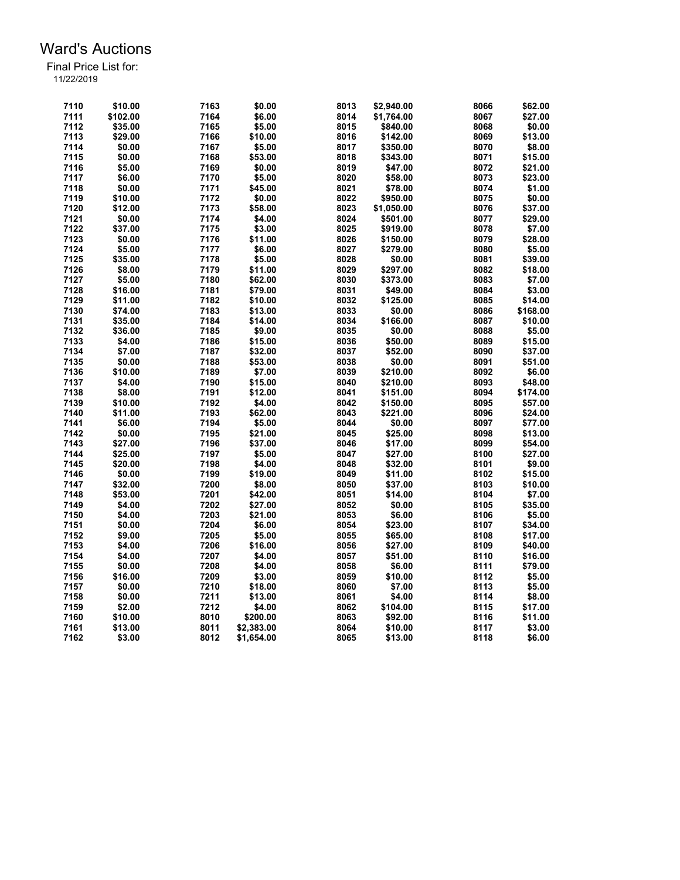| 7110 | \$10.00  | 7163 | \$0.00     | 8013 | \$2,940.00 | 8066 | \$62.00  |
|------|----------|------|------------|------|------------|------|----------|
| 7111 | \$102.00 | 7164 | \$6.00     | 8014 | \$1,764.00 | 8067 | \$27.00  |
| 7112 | \$35.00  | 7165 | \$5.00     | 8015 | \$840.00   | 8068 | \$0.00   |
| 7113 | \$29.00  | 7166 | \$10.00    | 8016 | \$142.00   | 8069 | \$13.00  |
| 7114 | \$0.00   | 7167 | \$5.00     | 8017 | \$350.00   | 8070 | \$8.00   |
| 7115 | \$0.00   | 7168 | \$53.00    | 8018 | \$343.00   | 8071 | \$15.00  |
| 7116 | \$5.00   | 7169 | \$0.00     | 8019 | \$47.00    | 8072 | \$21.00  |
| 7117 | \$6.00   | 7170 | \$5.00     | 8020 | \$58.00    | 8073 | \$23.00  |
| 7118 | \$0.00   | 7171 | \$45.00    | 8021 | \$78.00    | 8074 | \$1.00   |
| 7119 | \$10.00  | 7172 | \$0.00     | 8022 | \$950.00   | 8075 | \$0.00   |
| 7120 | \$12.00  | 7173 | \$58.00    | 8023 | \$1,050.00 | 8076 | \$37.00  |
| 7121 | \$0.00   | 7174 | \$4.00     | 8024 | \$501.00   | 8077 | \$29.00  |
| 7122 | \$37.00  | 7175 | \$3.00     | 8025 | \$919.00   | 8078 | \$7.00   |
| 7123 | \$0.00   | 7176 | \$11.00    | 8026 | \$150.00   | 8079 | \$28.00  |
| 7124 | \$5.00   | 7177 | \$6.00     | 8027 | \$279.00   | 8080 | \$5.00   |
| 7125 | \$35.00  | 7178 | \$5.00     | 8028 | \$0.00     | 8081 | \$39.00  |
| 7126 | \$8.00   | 7179 | \$11.00    | 8029 | \$297.00   | 8082 | \$18.00  |
| 7127 | \$5.00   | 7180 | \$62.00    | 8030 | \$373.00   | 8083 | \$7.00   |
| 7128 | \$16.00  | 7181 | \$79.00    | 8031 | \$49.00    | 8084 | \$3.00   |
| 7129 | \$11.00  | 7182 | \$10.00    | 8032 | \$125.00   | 8085 | \$14.00  |
| 7130 | \$74.00  | 7183 | \$13.00    | 8033 | \$0.00     | 8086 | \$168.00 |
| 7131 | \$35.00  | 7184 | \$14.00    | 8034 | \$166.00   | 8087 | \$10.00  |
|      |          |      |            |      |            |      |          |
| 7132 | \$36.00  | 7185 | \$9.00     | 8035 | \$0.00     | 8088 | \$5.00   |
| 7133 | \$4.00   | 7186 | \$15.00    | 8036 | \$50.00    | 8089 | \$15.00  |
| 7134 | \$7.00   | 7187 | \$32.00    | 8037 | \$52.00    | 8090 | \$37.00  |
| 7135 | \$0.00   | 7188 | \$53.00    | 8038 | \$0.00     | 8091 | \$51.00  |
| 7136 | \$10.00  | 7189 | \$7.00     | 8039 | \$210.00   | 8092 | \$6.00   |
| 7137 | \$4.00   | 7190 | \$15.00    | 8040 | \$210.00   | 8093 | \$48.00  |
| 7138 | \$8.00   | 7191 | \$12.00    | 8041 | \$151.00   | 8094 | \$174.00 |
| 7139 | \$10.00  | 7192 | \$4.00     | 8042 | \$150.00   | 8095 | \$57.00  |
| 7140 | \$11.00  | 7193 | \$62.00    | 8043 | \$221.00   | 8096 | \$24.00  |
| 7141 | \$6.00   | 7194 | \$5.00     | 8044 | \$0.00     | 8097 | \$77.00  |
| 7142 | \$0.00   | 7195 | \$21.00    | 8045 | \$25.00    | 8098 | \$13.00  |
| 7143 | \$27.00  | 7196 | \$37.00    | 8046 | \$17.00    | 8099 | \$54.00  |
| 7144 | \$25.00  | 7197 | \$5.00     | 8047 | \$27.00    | 8100 | \$27.00  |
| 7145 | \$20.00  | 7198 | \$4.00     | 8048 | \$32.00    | 8101 | \$9.00   |
| 7146 | \$0.00   | 7199 | \$19.00    | 8049 | \$11.00    | 8102 | \$15.00  |
| 7147 | \$32.00  | 7200 | \$8.00     | 8050 | \$37.00    | 8103 | \$10.00  |
| 7148 | \$53.00  | 7201 | \$42.00    | 8051 | \$14.00    | 8104 | \$7.00   |
| 7149 | \$4.00   | 7202 | \$27.00    | 8052 | \$0.00     | 8105 | \$35.00  |
| 7150 | \$4.00   | 7203 | \$21.00    | 8053 | \$6.00     | 8106 | \$5.00   |
| 7151 | \$0.00   | 7204 | \$6.00     | 8054 | \$23.00    | 8107 | \$34.00  |
| 7152 | \$9.00   | 7205 | \$5.00     | 8055 | \$65.00    | 8108 | \$17.00  |
| 7153 | \$4.00   | 7206 | \$16.00    | 8056 | \$27.00    | 8109 | \$40.00  |
| 7154 | \$4.00   | 7207 | \$4.00     | 8057 | \$51.00    | 8110 | \$16.00  |
| 7155 | \$0.00   | 7208 | \$4.00     | 8058 | \$6.00     | 8111 | \$79.00  |
| 7156 | \$16.00  | 7209 | \$3.00     | 8059 | \$10.00    | 8112 | \$5.00   |
| 7157 | \$0.00   | 7210 | \$18.00    | 8060 | \$7.00     | 8113 | \$5.00   |
| 7158 | \$0.00   | 7211 | \$13.00    | 8061 | \$4.00     | 8114 | \$8.00   |
| 7159 | \$2.00   | 7212 | \$4.00     | 8062 | \$104.00   | 8115 | \$17.00  |
| 7160 | \$10.00  | 8010 | \$200.00   | 8063 | \$92.00    | 8116 | \$11.00  |
| 7161 | \$13.00  | 8011 | \$2,383.00 | 8064 | \$10.00    | 8117 | \$3.00   |
| 7162 | \$3.00   | 8012 | \$1,654.00 | 8065 | \$13.00    | 8118 | \$6.00   |
|      |          |      |            |      |            |      |          |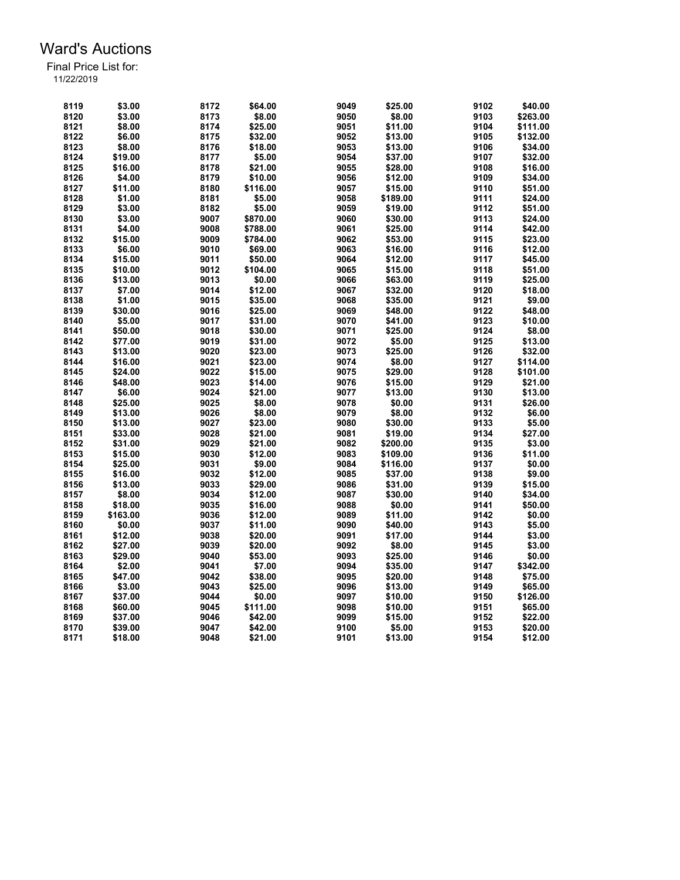| 8119 | \$3.00   | 8172 | \$64.00  | 9049 | \$25.00  | 9102 | \$40.00  |
|------|----------|------|----------|------|----------|------|----------|
| 8120 | \$3.00   | 8173 | \$8.00   | 9050 | \$8.00   | 9103 | \$263.00 |
| 8121 | \$8.00   | 8174 | \$25.00  | 9051 | \$11.00  | 9104 | \$111.00 |
| 8122 | \$6.00   | 8175 | \$32.00  | 9052 | \$13.00  | 9105 | \$132.00 |
| 8123 | \$8.00   | 8176 | \$18.00  | 9053 | \$13.00  | 9106 | \$34.00  |
| 8124 | \$19.00  | 8177 | \$5.00   | 9054 | \$37.00  | 9107 | \$32.00  |
| 8125 | \$16.00  | 8178 | \$21.00  | 9055 | \$28.00  | 9108 | \$16.00  |
| 8126 | \$4.00   | 8179 | \$10.00  | 9056 | \$12.00  | 9109 | \$34.00  |
| 8127 | \$11.00  | 8180 | \$116.00 | 9057 | \$15.00  | 9110 | \$51.00  |
| 8128 | \$1.00   | 8181 | \$5.00   | 9058 | \$189.00 | 9111 | \$24.00  |
| 8129 | \$3.00   | 8182 | \$5.00   | 9059 | \$19.00  | 9112 | \$51.00  |
| 8130 | \$3.00   | 9007 | \$870.00 | 9060 | \$30.00  | 9113 | \$24.00  |
| 8131 | \$4.00   | 9008 | \$788.00 | 9061 | \$25.00  | 9114 | \$42.00  |
| 8132 | \$15.00  | 9009 | \$784.00 | 9062 | \$53.00  | 9115 | \$23.00  |
| 8133 | \$6.00   | 9010 | \$69.00  | 9063 | \$16.00  | 9116 | \$12.00  |
| 8134 | \$15.00  | 9011 | \$50.00  | 9064 | \$12.00  | 9117 | \$45.00  |
| 8135 | \$10.00  | 9012 | \$104.00 | 9065 | \$15.00  | 9118 | \$51.00  |
| 8136 | \$13.00  | 9013 | \$0.00   | 9066 | \$63.00  | 9119 | \$25.00  |
| 8137 | \$7.00   | 9014 | \$12.00  | 9067 | \$32.00  | 9120 | \$18.00  |
| 8138 | \$1.00   | 9015 | \$35.00  | 9068 | \$35.00  | 9121 | \$9.00   |
| 8139 | \$30.00  | 9016 | \$25.00  | 9069 | \$48.00  | 9122 | \$48.00  |
| 8140 | \$5.00   |      | \$31.00  | 9070 | \$41.00  | 9123 | \$10.00  |
|      |          | 9017 |          |      |          |      |          |
| 8141 | \$50.00  | 9018 | \$30.00  | 9071 | \$25.00  | 9124 | \$8.00   |
| 8142 | \$77.00  | 9019 | \$31.00  | 9072 | \$5.00   | 9125 | \$13.00  |
| 8143 | \$13.00  | 9020 | \$23.00  | 9073 | \$25.00  | 9126 | \$32.00  |
| 8144 | \$16.00  | 9021 | \$23.00  | 9074 | \$8.00   | 9127 | \$114.00 |
| 8145 | \$24.00  | 9022 | \$15.00  | 9075 | \$29.00  | 9128 | \$101.00 |
| 8146 | \$48.00  | 9023 | \$14.00  | 9076 | \$15.00  | 9129 | \$21.00  |
| 8147 | \$6.00   | 9024 | \$21.00  | 9077 | \$13.00  | 9130 | \$13.00  |
| 8148 | \$25.00  | 9025 | \$8.00   | 9078 | \$0.00   | 9131 | \$26.00  |
| 8149 | \$13.00  | 9026 | \$8.00   | 9079 | \$8.00   | 9132 | \$6.00   |
| 8150 | \$13.00  | 9027 | \$23.00  | 9080 | \$30.00  | 9133 | \$5.00   |
| 8151 | \$33.00  | 9028 | \$21.00  | 9081 | \$19.00  | 9134 | \$27.00  |
| 8152 | \$31.00  | 9029 | \$21.00  | 9082 | \$200.00 | 9135 | \$3.00   |
| 8153 | \$15.00  | 9030 | \$12.00  | 9083 | \$109.00 | 9136 | \$11.00  |
| 8154 | \$25.00  | 9031 | \$9.00   | 9084 | \$116.00 | 9137 | \$0.00   |
| 8155 | \$16.00  | 9032 | \$12.00  | 9085 | \$37.00  | 9138 | \$9.00   |
| 8156 | \$13.00  | 9033 | \$29.00  | 9086 | \$31.00  | 9139 | \$15.00  |
| 8157 | \$8.00   | 9034 | \$12.00  | 9087 | \$30.00  | 9140 | \$34.00  |
| 8158 | \$18.00  | 9035 | \$16.00  | 9088 | \$0.00   | 9141 | \$50.00  |
| 8159 | \$163.00 | 9036 | \$12.00  | 9089 | \$11.00  | 9142 | \$0.00   |
| 8160 | \$0.00   | 9037 | \$11.00  | 9090 | \$40.00  | 9143 | \$5.00   |
| 8161 | \$12.00  | 9038 | \$20.00  | 9091 | \$17.00  | 9144 | \$3.00   |
| 8162 | \$27.00  | 9039 | \$20.00  | 9092 | \$8.00   | 9145 | \$3.00   |
| 8163 | \$29.00  | 9040 | \$53.00  | 9093 | \$25.00  | 9146 | \$0.00   |
|      |          |      |          |      |          |      |          |
| 8164 | \$2.00   | 9041 | \$7.00   | 9094 | \$35.00  | 9147 | \$342.00 |
| 8165 | \$47.00  | 9042 | \$38.00  | 9095 | \$20.00  | 9148 | \$75.00  |
| 8166 | \$3.00   | 9043 | \$25.00  | 9096 | \$13.00  | 9149 | \$65.00  |
| 8167 | \$37.00  | 9044 | \$0.00   | 9097 | \$10.00  | 9150 | \$126.00 |
| 8168 | \$60.00  | 9045 | \$111.00 | 9098 | \$10.00  | 9151 | \$65.00  |
| 8169 | \$37.00  | 9046 | \$42.00  | 9099 | \$15.00  | 9152 | \$22.00  |
| 8170 | \$39.00  | 9047 | \$42.00  | 9100 | \$5.00   | 9153 | \$20.00  |
| 8171 | \$18.00  | 9048 | \$21.00  | 9101 | \$13.00  | 9154 | \$12.00  |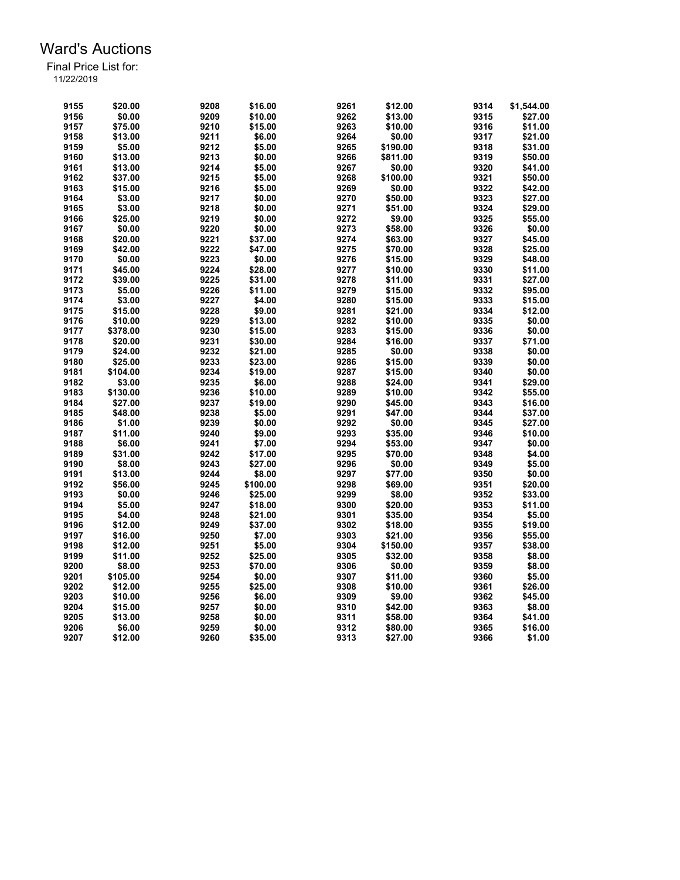| 9155         | \$20.00  | 9208 | \$16.00  | 9261         | \$12.00  | 9314         | \$1,544.00 |
|--------------|----------|------|----------|--------------|----------|--------------|------------|
| 9156         | \$0.00   | 9209 | \$10.00  | 9262         | \$13.00  | 9315         | \$27.00    |
| 9157         | \$75.00  | 9210 | \$15.00  | 9263         | \$10.00  | 9316         | \$11.00    |
| 9158         | \$13.00  | 9211 | \$6.00   | 9264         | \$0.00   | 9317         | \$21.00    |
| 9159         | \$5.00   | 9212 | \$5.00   | 9265         | \$190.00 | 9318         | \$31.00    |
| 9160         | \$13.00  | 9213 | \$0.00   | 9266         | \$811.00 | 9319         | \$50.00    |
| 9161         | \$13.00  | 9214 | \$5.00   | 9267         | \$0.00   | 9320         | \$41.00    |
| 9162         | \$37.00  | 9215 | \$5.00   | 9268         | \$100.00 | 9321         | \$50.00    |
| 9163         | \$15.00  | 9216 | \$5.00   | 9269         | \$0.00   | 9322         | \$42.00    |
| 9164         | \$3.00   | 9217 | \$0.00   | 9270         | \$50.00  | 9323         | \$27.00    |
| 9165         | \$3.00   | 9218 | \$0.00   | 9271         | \$51.00  | 9324         | \$29.00    |
| 9166         | \$25.00  | 9219 | \$0.00   | 9272         | \$9.00   | 9325         | \$55.00    |
| 9167         | \$0.00   | 9220 | \$0.00   | 9273         | \$58.00  | 9326         | \$0.00     |
| 9168         | \$20.00  | 9221 | \$37.00  | 9274         |          |              | \$45.00    |
|              |          | 9222 |          | 9275         | \$63.00  | 9327<br>9328 |            |
| 9169         | \$42.00  |      | \$47.00  |              | \$70.00  |              | \$25.00    |
| 9170         | \$0.00   | 9223 | \$0.00   | 9276         | \$15.00  | 9329         | \$48.00    |
| 9171         | \$45.00  | 9224 | \$28.00  | 9277         | \$10.00  | 9330         | \$11.00    |
| 9172         | \$39.00  | 9225 | \$31.00  | 9278         | \$11.00  | 9331         | \$27.00    |
| 9173         | \$5.00   | 9226 | \$11.00  | 9279         | \$15.00  | 9332         | \$95.00    |
| 9174         | \$3.00   | 9227 | \$4.00   | 9280         | \$15.00  | 9333         | \$15.00    |
| 9175         | \$15.00  | 9228 | \$9.00   | 9281         | \$21.00  | 9334         | \$12.00    |
| 9176         | \$10.00  | 9229 | \$13.00  | 9282         | \$10.00  | 9335         | \$0.00     |
| 9177         | \$378.00 | 9230 | \$15.00  | 9283         | \$15.00  | 9336         | \$0.00     |
| 9178         | \$20.00  | 9231 | \$30.00  | 9284         | \$16.00  | 9337         | \$71.00    |
| 9179         | \$24.00  | 9232 | \$21.00  | 9285         | \$0.00   | 9338         | \$0.00     |
| 9180         | \$25.00  | 9233 | \$23.00  | 9286         | \$15.00  | 9339         | \$0.00     |
| 9181         | \$104.00 | 9234 | \$19.00  | 9287         | \$15.00  | 9340         | \$0.00     |
| 9182         | \$3.00   | 9235 | \$6.00   | 9288         | \$24.00  | 9341         | \$29.00    |
| 9183         | \$130.00 | 9236 | \$10.00  | 9289         | \$10.00  | 9342         | \$55.00    |
| 9184         | \$27.00  | 9237 | \$19.00  | 9290         | \$45.00  | 9343         | \$16.00    |
| 9185         | \$48.00  | 9238 | \$5.00   | 9291         | \$47.00  | 9344         | \$37.00    |
| 9186         | \$1.00   | 9239 | \$0.00   | 9292         | \$0.00   | 9345         | \$27.00    |
| 9187         | \$11.00  | 9240 | \$9.00   | 9293         | \$35.00  | 9346         | \$10.00    |
| 9188         | \$6.00   | 9241 | \$7.00   | 9294         | \$53.00  | 9347         | \$0.00     |
| 9189         | \$31.00  | 9242 | \$17.00  | 9295         | \$70.00  | 9348         | \$4.00     |
| 9190         | \$8.00   | 9243 | \$27.00  | 9296         | \$0.00   | 9349         | \$5.00     |
| 9191         | \$13.00  | 9244 | \$8.00   | 9297         | \$77.00  | 9350         | \$0.00     |
| 9192         | \$56.00  | 9245 | \$100.00 | 9298         | \$69.00  | 9351         | \$20.00    |
| 9193         | \$0.00   | 9246 | \$25.00  | 9299         | \$8.00   | 9352         | \$33.00    |
| 9194         | \$5.00   | 9247 | \$18.00  | 9300         | \$20.00  | 9353         | \$11.00    |
|              |          |      |          |              |          | 9354         |            |
| 9195<br>9196 | \$4.00   | 9248 | \$21.00  | 9301<br>9302 | \$35.00  | 9355         | \$5.00     |
|              | \$12.00  | 9249 | \$37.00  |              | \$18.00  |              | \$19.00    |
| 9197         | \$16.00  | 9250 | \$7.00   | 9303         | \$21.00  | 9356         | \$55.00    |
| 9198         | \$12.00  | 9251 | \$5.00   | 9304         | \$150.00 | 9357         | \$38.00    |
| 9199         | \$11.00  | 9252 | \$25.00  | 9305         | \$32.00  | 9358         | \$8.00     |
| 9200         | \$8.00   | 9253 | \$70.00  | 9306         | \$0.00   | 9359         | \$8.00     |
| 9201         | \$105.00 | 9254 | \$0.00   | 9307         | \$11.00  | 9360         | \$5.00     |
| 9202         | \$12.00  | 9255 | \$25.00  | 9308         | \$10.00  | 9361         | \$26.00    |
| 9203         | \$10.00  | 9256 | \$6.00   | 9309         | \$9.00   | 9362         | \$45.00    |
| 9204         | \$15.00  | 9257 | \$0.00   | 9310         | \$42.00  | 9363         | \$8.00     |
| 9205         | \$13.00  | 9258 | \$0.00   | 9311         | \$58.00  | 9364         | \$41.00    |
| 9206         | \$6.00   | 9259 | \$0.00   | 9312         | \$80.00  | 9365         | \$16.00    |
| 9207         | \$12.00  | 9260 | \$35.00  | 9313         | \$27.00  | 9366         | \$1.00     |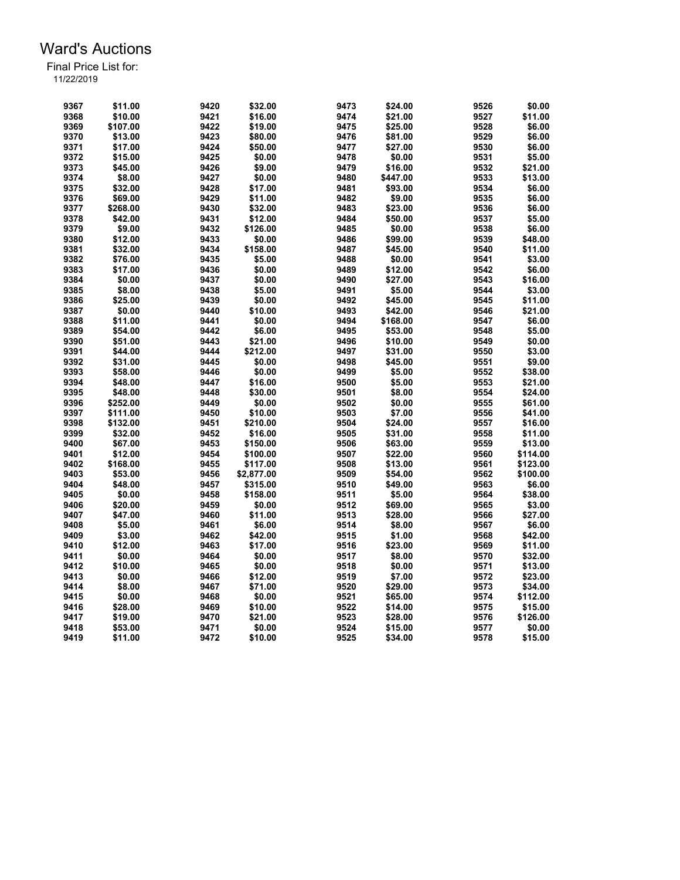| 9367 | \$11.00  | 9420 | \$32.00    | 9473 | \$24.00  | 9526 | \$0.00   |
|------|----------|------|------------|------|----------|------|----------|
| 9368 | \$10.00  | 9421 | \$16.00    | 9474 | \$21.00  | 9527 | \$11.00  |
| 9369 | \$107.00 | 9422 | \$19.00    | 9475 | \$25.00  | 9528 | \$6.00   |
| 9370 | \$13.00  | 9423 | \$80.00    | 9476 | \$81.00  | 9529 | \$6.00   |
| 9371 | \$17.00  | 9424 | \$50.00    | 9477 | \$27.00  | 9530 | \$6.00   |
| 9372 | \$15.00  | 9425 | \$0.00     | 9478 | \$0.00   | 9531 | \$5.00   |
| 9373 | \$45.00  | 9426 | \$9.00     | 9479 | \$16.00  | 9532 | \$21.00  |
| 9374 | \$8.00   | 9427 | \$0.00     | 9480 | \$447.00 | 9533 | \$13.00  |
| 9375 | \$32.00  | 9428 | \$17.00    | 9481 | \$93.00  | 9534 | \$6.00   |
| 9376 | \$69.00  | 9429 | \$11.00    | 9482 | \$9.00   | 9535 | \$6.00   |
| 9377 | \$268.00 | 9430 | \$32.00    | 9483 | \$23.00  | 9536 | \$6.00   |
| 9378 | \$42.00  | 9431 | \$12.00    | 9484 | \$50.00  | 9537 | \$5.00   |
| 9379 | \$9.00   | 9432 | \$126.00   | 9485 | \$0.00   | 9538 | \$6.00   |
| 9380 | \$12.00  | 9433 | \$0.00     | 9486 | \$99.00  | 9539 | \$48.00  |
| 9381 | \$32.00  | 9434 | \$158.00   | 9487 | \$45.00  | 9540 | \$11.00  |
| 9382 | \$76.00  | 9435 | \$5.00     | 9488 | \$0.00   | 9541 | \$3.00   |
| 9383 | \$17.00  | 9436 | \$0.00     | 9489 | \$12.00  | 9542 | \$6.00   |
| 9384 | \$0.00   | 9437 | \$0.00     | 9490 | \$27.00  | 9543 | \$16.00  |
| 9385 | \$8.00   | 9438 | \$5.00     | 9491 | \$5.00   | 9544 | \$3.00   |
| 9386 | \$25.00  | 9439 | \$0.00     | 9492 | \$45.00  | 9545 | \$11.00  |
| 9387 | \$0.00   | 9440 | \$10.00    | 9493 | \$42.00  | 9546 | \$21.00  |
| 9388 | \$11.00  | 9441 | \$0.00     | 9494 | \$168.00 | 9547 | \$6.00   |
| 9389 | \$54.00  | 9442 | \$6.00     | 9495 | \$53.00  | 9548 | \$5.00   |
| 9390 | \$51.00  | 9443 |            | 9496 | \$10.00  |      | \$0.00   |
|      |          |      | \$21.00    |      |          | 9549 | \$3.00   |
| 9391 | \$44.00  | 9444 | \$212.00   | 9497 | \$31.00  | 9550 |          |
| 9392 | \$31.00  | 9445 | \$0.00     | 9498 | \$45.00  | 9551 | \$9.00   |
| 9393 | \$58.00  | 9446 | \$0.00     | 9499 | \$5.00   | 9552 | \$38.00  |
| 9394 | \$48.00  | 9447 | \$16.00    | 9500 | \$5.00   | 9553 | \$21.00  |
| 9395 | \$48.00  | 9448 | \$30.00    | 9501 | \$8.00   | 9554 | \$24.00  |
| 9396 | \$252.00 | 9449 | \$0.00     | 9502 | \$0.00   | 9555 | \$61.00  |
| 9397 | \$111.00 | 9450 | \$10.00    | 9503 | \$7.00   | 9556 | \$41.00  |
| 9398 | \$132.00 | 9451 | \$210.00   | 9504 | \$24.00  | 9557 | \$16.00  |
| 9399 | \$32.00  | 9452 | \$16.00    | 9505 | \$31.00  | 9558 | \$11.00  |
| 9400 | \$67.00  | 9453 | \$150.00   | 9506 | \$63.00  | 9559 | \$13.00  |
| 9401 | \$12.00  | 9454 | \$100.00   | 9507 | \$22.00  | 9560 | \$114.00 |
| 9402 | \$168.00 | 9455 | \$117.00   | 9508 | \$13.00  | 9561 | \$123.00 |
| 9403 | \$53.00  | 9456 | \$2,877.00 | 9509 | \$54.00  | 9562 | \$100.00 |
| 9404 | \$48.00  | 9457 | \$315.00   | 9510 | \$49.00  | 9563 | \$6.00   |
| 9405 | \$0.00   | 9458 | \$158.00   | 9511 | \$5.00   | 9564 | \$38.00  |
| 9406 | \$20.00  | 9459 | \$0.00     | 9512 | \$69.00  | 9565 | \$3.00   |
| 9407 | \$47.00  | 9460 | \$11.00    | 9513 | \$28.00  | 9566 | \$27.00  |
| 9408 | \$5.00   | 9461 | \$6.00     | 9514 | \$8.00   | 9567 | \$6.00   |
| 9409 | \$3.00   | 9462 | \$42.00    | 9515 | \$1.00   | 9568 | \$42.00  |
| 9410 | \$12.00  | 9463 | \$17.00    | 9516 | \$23.00  | 9569 | \$11.00  |
| 9411 | \$0.00   | 9464 | \$0.00     | 9517 | \$8.00   | 9570 | \$32.00  |
| 9412 | \$10.00  | 9465 | \$0.00     | 9518 | \$0.00   | 9571 | \$13.00  |
| 9413 | \$0.00   | 9466 | \$12.00    | 9519 | \$7.00   | 9572 | \$23.00  |
| 9414 | \$8.00   | 9467 | \$71.00    | 9520 | \$29.00  | 9573 | \$34.00  |
| 9415 | \$0.00   | 9468 | \$0.00     | 9521 | \$65.00  | 9574 | \$112.00 |
| 9416 | \$28.00  | 9469 | \$10.00    | 9522 | \$14.00  | 9575 | \$15.00  |
| 9417 | \$19.00  | 9470 | \$21.00    | 9523 | \$28.00  | 9576 | \$126.00 |
| 9418 | \$53.00  | 9471 | \$0.00     | 9524 | \$15.00  | 9577 | \$0.00   |
| 9419 | \$11.00  | 9472 | \$10.00    | 9525 | \$34.00  | 9578 | \$15.00  |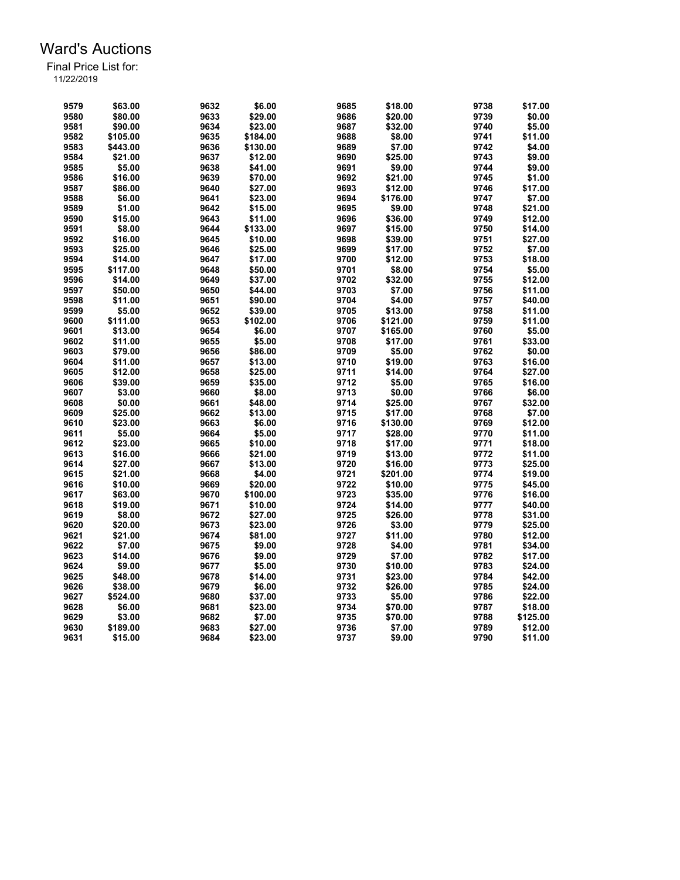| 9579 | \$63.00  | 9632 | \$6.00   | 9685 | \$18.00  | 9738         | \$17.00  |
|------|----------|------|----------|------|----------|--------------|----------|
| 9580 | \$80.00  | 9633 | \$29.00  | 9686 | \$20.00  | 9739         | \$0.00   |
| 9581 | \$90.00  | 9634 | \$23.00  | 9687 | \$32.00  | 9740         | \$5.00   |
| 9582 | \$105.00 | 9635 | \$184.00 | 9688 | \$8.00   | 9741         | \$11.00  |
| 9583 | \$443.00 | 9636 | \$130.00 | 9689 | \$7.00   | 9742         | \$4.00   |
| 9584 | \$21.00  | 9637 | \$12.00  | 9690 | \$25.00  | 9743         | \$9.00   |
| 9585 | \$5.00   | 9638 | \$41.00  | 9691 | \$9.00   | 9744         | \$9.00   |
| 9586 | \$16.00  | 9639 | \$70.00  | 9692 | \$21.00  | 9745         | \$1.00   |
| 9587 | \$86.00  | 9640 | \$27.00  | 9693 | \$12.00  | 9746         | \$17.00  |
| 9588 | \$6.00   | 9641 | \$23.00  | 9694 | \$176.00 | 9747         | \$7.00   |
| 9589 | \$1.00   | 9642 | \$15.00  | 9695 | \$9.00   | 9748         | \$21.00  |
| 9590 | \$15.00  | 9643 | \$11.00  | 9696 | \$36.00  | 9749         | \$12.00  |
| 9591 | \$8.00   | 9644 | \$133.00 | 9697 | \$15.00  | 9750         | \$14.00  |
| 9592 | \$16.00  | 9645 | \$10.00  | 9698 | \$39.00  | 9751         | \$27.00  |
| 9593 | \$25.00  | 9646 | \$25.00  | 9699 | \$17.00  | 9752         | \$7.00   |
| 9594 | \$14.00  | 9647 | \$17.00  | 9700 | \$12.00  | 9753         | \$18.00  |
| 9595 | \$117.00 | 9648 | \$50.00  | 9701 | \$8.00   | 9754         | \$5.00   |
| 9596 |          |      |          |      |          |              |          |
|      | \$14.00  | 9649 | \$37.00  | 9702 | \$32.00  | 9755         | \$12.00  |
| 9597 | \$50.00  | 9650 | \$44.00  | 9703 | \$7.00   | 9756         | \$11.00  |
| 9598 | \$11.00  | 9651 | \$90.00  | 9704 | \$4.00   | 9757         | \$40.00  |
| 9599 | \$5.00   | 9652 | \$39.00  | 9705 | \$13.00  | 9758         | \$11.00  |
| 9600 | \$111.00 | 9653 | \$102.00 | 9706 | \$121.00 | 9759         | \$11.00  |
| 9601 | \$13.00  | 9654 | \$6.00   | 9707 | \$165.00 | 9760         | \$5.00   |
| 9602 | \$11.00  | 9655 | \$5.00   | 9708 | \$17.00  | 9761         | \$33.00  |
| 9603 | \$79.00  | 9656 | \$86.00  | 9709 | \$5.00   | 9762         | \$0.00   |
| 9604 | \$11.00  | 9657 | \$13.00  | 9710 | \$19.00  | 9763         | \$16.00  |
| 9605 | \$12.00  | 9658 | \$25.00  | 9711 | \$14.00  | 9764         | \$27.00  |
| 9606 | \$39.00  | 9659 | \$35.00  | 9712 | \$5.00   | 9765         | \$16.00  |
| 9607 | \$3.00   | 9660 | \$8.00   | 9713 | \$0.00   | 9766         | \$6.00   |
| 9608 | \$0.00   | 9661 | \$48.00  | 9714 | \$25.00  | 9767         | \$32.00  |
| 9609 | \$25.00  | 9662 | \$13.00  | 9715 | \$17.00  | 9768         | \$7.00   |
| 9610 | \$23.00  | 9663 | \$6.00   | 9716 | \$130.00 | 9769         | \$12.00  |
| 9611 | \$5.00   | 9664 | \$5.00   | 9717 | \$28.00  | 9770         | \$11.00  |
| 9612 | \$23.00  | 9665 | \$10.00  | 9718 | \$17.00  | 9771         | \$18.00  |
| 9613 | \$16.00  | 9666 | \$21.00  | 9719 | \$13.00  | 9772         | \$11.00  |
| 9614 | \$27.00  | 9667 | \$13.00  | 9720 | \$16.00  | 9773         | \$25.00  |
| 9615 | \$21.00  | 9668 | \$4.00   | 9721 | \$201.00 | 9774         | \$19.00  |
| 9616 | \$10.00  | 9669 | \$20.00  | 9722 | \$10.00  | 9775         | \$45.00  |
| 9617 | \$63.00  | 9670 | \$100.00 | 9723 | \$35.00  | 9776         | \$16.00  |
| 9618 | \$19.00  | 9671 | \$10.00  | 9724 | \$14.00  | 9777         | \$40.00  |
| 9619 | \$8.00   | 9672 | \$27.00  | 9725 | \$26.00  | 9778         | \$31.00  |
| 9620 | \$20.00  | 9673 | \$23.00  | 9726 | \$3.00   | 9779         | \$25.00  |
| 9621 | \$21.00  | 9674 | \$81.00  | 9727 | \$11.00  | 9780         | \$12.00  |
| 9622 | \$7.00   | 9675 | \$9.00   | 9728 | \$4.00   | 9781         | \$34.00  |
| 9623 | \$14.00  | 9676 | \$9.00   | 9729 | \$7.00   | 9782         | \$17.00  |
| 9624 | \$9.00   | 9677 | \$5.00   | 9730 | \$10.00  | 9783         | \$24.00  |
| 9625 | \$48.00  | 9678 | \$14.00  | 9731 | \$23.00  | 9784         | \$42.00  |
| 9626 | \$38.00  | 9679 |          | 9732 |          | 9785         |          |
|      |          |      | \$6.00   |      | \$26.00  |              | \$24.00  |
| 9627 | \$524.00 | 9680 | \$37.00  | 9733 | \$5.00   | 9786         | \$22.00  |
| 9628 | \$6.00   | 9681 | \$23.00  | 9734 | \$70.00  | 9787<br>9788 | \$18.00  |
| 9629 | \$3.00   | 9682 | \$7.00   | 9735 | \$70.00  |              | \$125.00 |
| 9630 | \$189.00 | 9683 | \$27.00  | 9736 | \$7.00   | 9789         | \$12.00  |
| 9631 | \$15.00  | 9684 | \$23.00  | 9737 | \$9.00   | 9790         | \$11.00  |